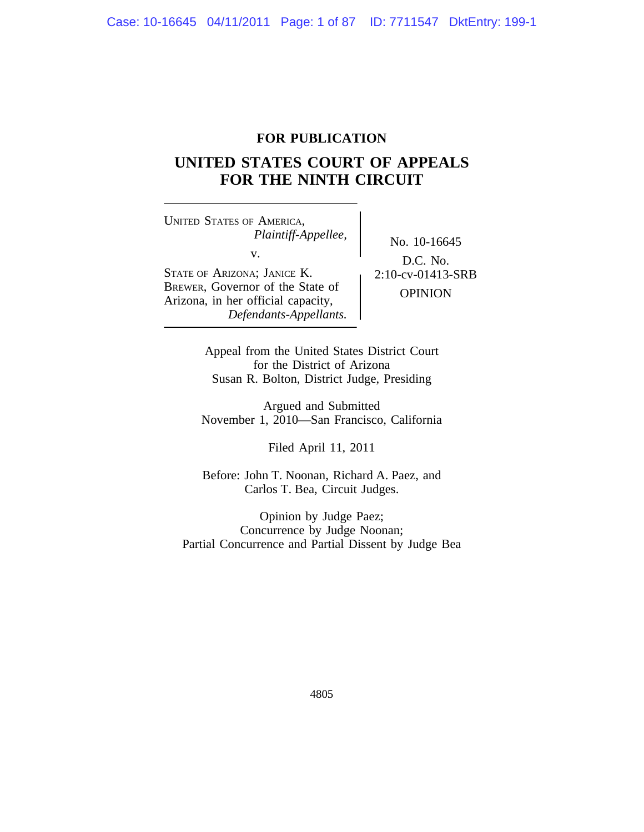# **FOR PUBLICATION**

# **UNITED STATES COURT OF APPEALS FOR THE NINTH CIRCUIT**

<sup>U</sup>NITED STATES OF AMERICA, *Plaintiff-Appellee,* No. 10-16645 STATE OF ARIZONA; JANICE K.<br>BREWER, Governor of the State of COLUGN. BREWER, GOVERNOT OF the State of OPINION<br>Arizona, in her official capacity,

*Defendants-Appellants.*

D.C. No.

Appeal from the United States District Court for the District of Arizona Susan R. Bolton, District Judge, Presiding

Argued and Submitted November 1, 2010—San Francisco, California

Filed April 11, 2011

Before: John T. Noonan, Richard A. Paez, and Carlos T. Bea, Circuit Judges.

Opinion by Judge Paez; Concurrence by Judge Noonan; Partial Concurrence and Partial Dissent by Judge Bea

4805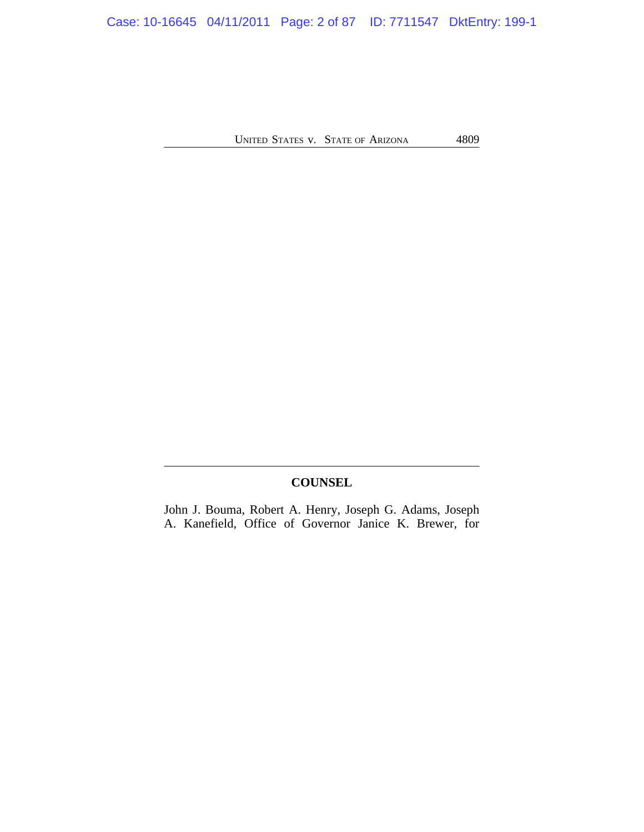Case: 10-16645 04/11/2011 Page: 2 of 87 ID: 7711547 DktEntry: 199-1

UNITED STATES V. STATE OF ARIZONA 4809

# **COUNSEL**

John J. Bouma, Robert A. Henry, Joseph G. Adams, Joseph A. Kanefield, Office of Governor Janice K. Brewer, for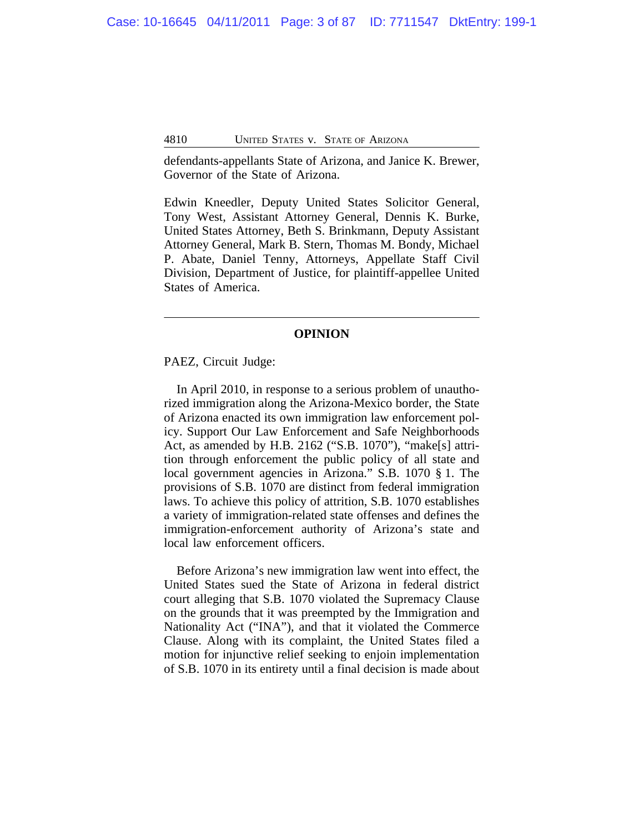defendants-appellants State of Arizona, and Janice K. Brewer, Governor of the State of Arizona.

Edwin Kneedler, Deputy United States Solicitor General, Tony West, Assistant Attorney General, Dennis K. Burke, United States Attorney, Beth S. Brinkmann, Deputy Assistant Attorney General, Mark B. Stern, Thomas M. Bondy, Michael P. Abate, Daniel Tenny, Attorneys, Appellate Staff Civil Division, Department of Justice, for plaintiff-appellee United States of America.

## **OPINION**

PAEZ, Circuit Judge:

In April 2010, in response to a serious problem of unauthorized immigration along the Arizona-Mexico border, the State of Arizona enacted its own immigration law enforcement policy. Support Our Law Enforcement and Safe Neighborhoods Act, as amended by H.B. 2162 ("S.B. 1070"), "make[s] attrition through enforcement the public policy of all state and local government agencies in Arizona." S.B. 1070 § 1. The provisions of S.B. 1070 are distinct from federal immigration laws. To achieve this policy of attrition, S.B. 1070 establishes a variety of immigration-related state offenses and defines the immigration-enforcement authority of Arizona's state and local law enforcement officers.

Before Arizona's new immigration law went into effect, the United States sued the State of Arizona in federal district court alleging that S.B. 1070 violated the Supremacy Clause on the grounds that it was preempted by the Immigration and Nationality Act ("INA"), and that it violated the Commerce Clause. Along with its complaint, the United States filed a motion for injunctive relief seeking to enjoin implementation of S.B. 1070 in its entirety until a final decision is made about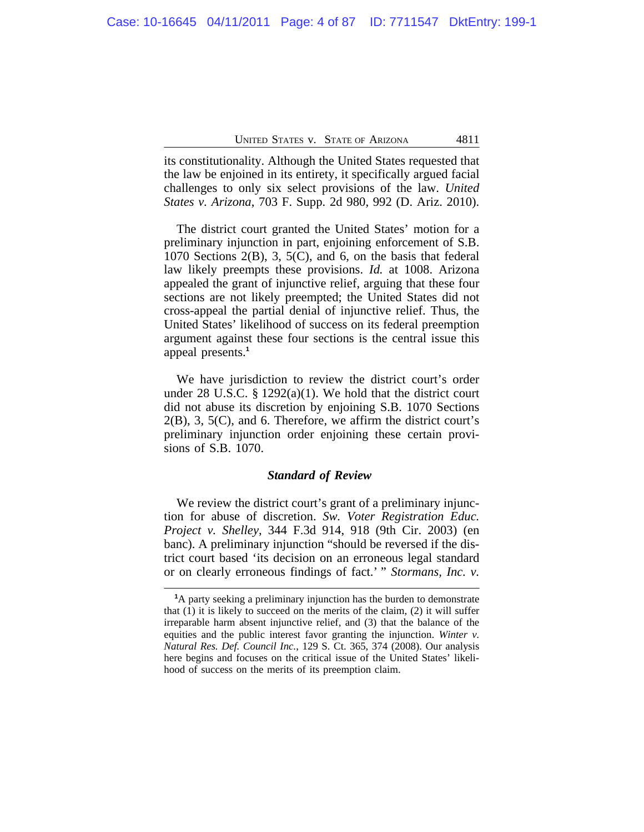its constitutionality. Although the United States requested that the law be enjoined in its entirety, it specifically argued facial challenges to only six select provisions of the law. *United States v. Arizona*, 703 F. Supp. 2d 980, 992 (D. Ariz. 2010).

The district court granted the United States' motion for a preliminary injunction in part, enjoining enforcement of S.B. 1070 Sections 2(B), 3, 5(C), and 6, on the basis that federal law likely preempts these provisions. *Id.* at 1008. Arizona appealed the grant of injunctive relief, arguing that these four sections are not likely preempted; the United States did not cross-appeal the partial denial of injunctive relief. Thus, the United States' likelihood of success on its federal preemption argument against these four sections is the central issue this appeal presents.**<sup>1</sup>**

We have jurisdiction to review the district court's order under 28 U.S.C. § 1292(a)(1). We hold that the district court did not abuse its discretion by enjoining S.B. 1070 Sections 2(B), 3, 5(C), and 6. Therefore, we affirm the district court's preliminary injunction order enjoining these certain provisions of S.B. 1070.

## *Standard of Review*

We review the district court's grant of a preliminary injunction for abuse of discretion. *Sw. Voter Registration Educ. Project v. Shelley*, 344 F.3d 914, 918 (9th Cir. 2003) (en banc). A preliminary injunction "should be reversed if the district court based 'its decision on an erroneous legal standard or on clearly erroneous findings of fact.' " *Stormans, Inc. v.*

**<sup>1</sup>**A party seeking a preliminary injunction has the burden to demonstrate that (1) it is likely to succeed on the merits of the claim, (2) it will suffer irreparable harm absent injunctive relief, and (3) that the balance of the equities and the public interest favor granting the injunction. *Winter v. Natural Res. Def. Council Inc.*, 129 S. Ct. 365, 374 (2008). Our analysis here begins and focuses on the critical issue of the United States' likelihood of success on the merits of its preemption claim.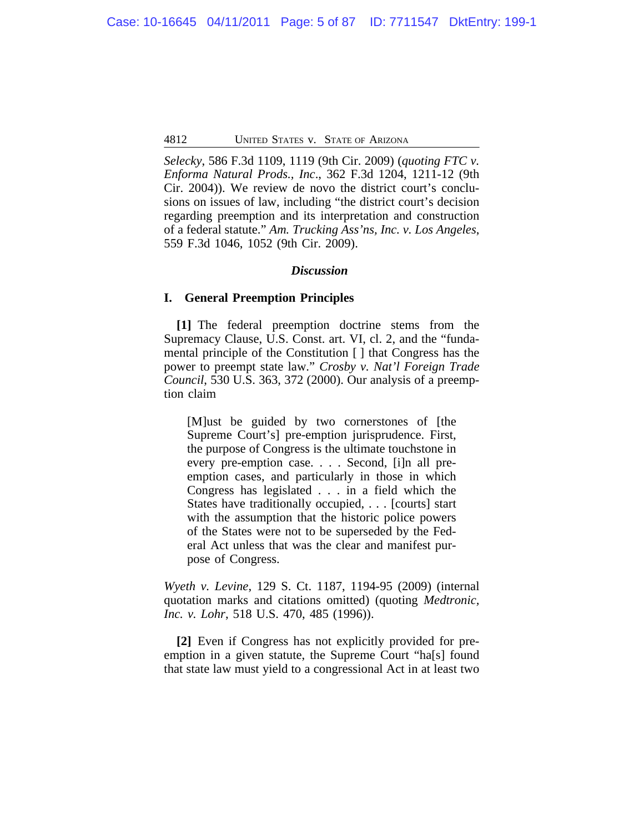*Selecky*, 586 F.3d 1109, 1119 (9th Cir. 2009) (*quoting FTC v. Enforma Natural Prods., Inc*., 362 F.3d 1204, 1211-12 (9th Cir. 2004)). We review de novo the district court's conclusions on issues of law, including "the district court's decision regarding preemption and its interpretation and construction of a federal statute." *Am. Trucking Ass'ns, Inc. v. Los Angeles*, 559 F.3d 1046, 1052 (9th Cir. 2009).

## *Discussion*

## **I. General Preemption Principles**

**[1]** The federal preemption doctrine stems from the Supremacy Clause, U.S. Const. art. VI, cl. 2, and the "fundamental principle of the Constitution [ ] that Congress has the power to preempt state law." *Crosby v. Nat'l Foreign Trade Council*, 530 U.S. 363, 372 (2000). Our analysis of a preemption claim

[M]ust be guided by two cornerstones of [the Supreme Court's] pre-emption jurisprudence. First, the purpose of Congress is the ultimate touchstone in every pre-emption case. . . . Second, [i]n all preemption cases, and particularly in those in which Congress has legislated . . . in a field which the States have traditionally occupied, . . . [courts] start with the assumption that the historic police powers of the States were not to be superseded by the Federal Act unless that was the clear and manifest purpose of Congress.

*Wyeth v. Levine*, 129 S. Ct. 1187, 1194-95 (2009) (internal quotation marks and citations omitted) (quoting *Medtronic, Inc. v. Lohr*, 518 U.S. 470, 485 (1996)).

**[2]** Even if Congress has not explicitly provided for preemption in a given statute, the Supreme Court "ha[s] found that state law must yield to a congressional Act in at least two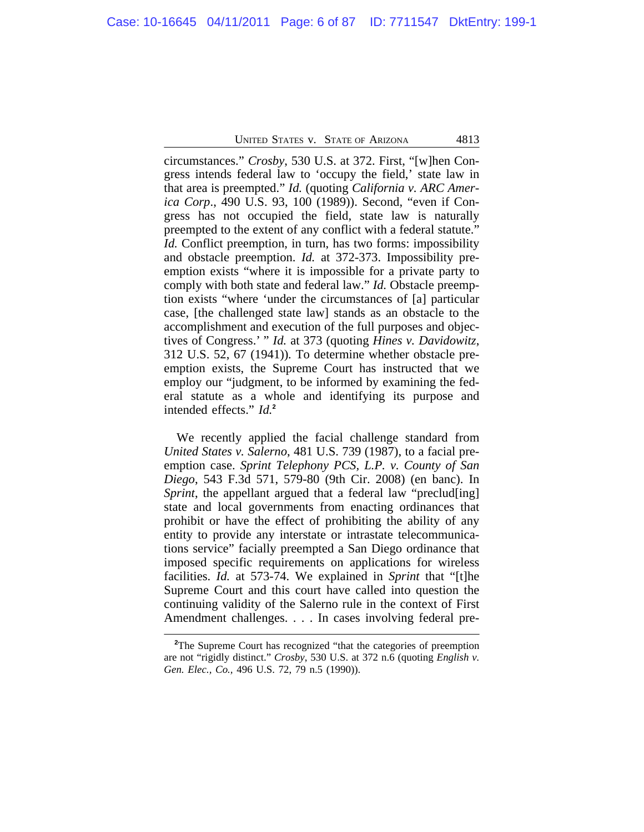circumstances." *Crosby*, 530 U.S. at 372. First, "[w]hen Congress intends federal law to 'occupy the field,' state law in that area is preempted." *Id.* (quoting *California v. ARC America Corp*., 490 U.S. 93, 100 (1989)). Second, "even if Congress has not occupied the field, state law is naturally preempted to the extent of any conflict with a federal statute." *Id.* Conflict preemption, in turn, has two forms: impossibility and obstacle preemption. *Id.* at 372-373. Impossibility preemption exists "where it is impossible for a private party to comply with both state and federal law." *Id.* Obstacle preemption exists "where 'under the circumstances of [a] particular case, [the challenged state law] stands as an obstacle to the accomplishment and execution of the full purposes and objectives of Congress.' " *Id.* at 373 (quoting *Hines v. Davidowitz*, 312 U.S. 52, 67 (1941))*.* To determine whether obstacle preemption exists, the Supreme Court has instructed that we employ our "judgment, to be informed by examining the federal statute as a whole and identifying its purpose and intended effects." *Id.***<sup>2</sup>**

We recently applied the facial challenge standard from *United States v. Salerno*, 481 U.S. 739 (1987), to a facial preemption case. *Sprint Telephony PCS, L.P. v. County of San Diego*, 543 F.3d 571, 579-80 (9th Cir. 2008) (en banc). In *Sprint*, the appellant argued that a federal law "preclud[ing] state and local governments from enacting ordinances that prohibit or have the effect of prohibiting the ability of any entity to provide any interstate or intrastate telecommunications service" facially preempted a San Diego ordinance that imposed specific requirements on applications for wireless facilities. *Id.* at 573-74. We explained in *Sprint* that "[t]he Supreme Court and this court have called into question the continuing validity of the Salerno rule in the context of First Amendment challenges. . . . In cases involving federal pre-

<sup>&</sup>lt;sup>2</sup>The Supreme Court has recognized "that the categories of preemption" are not "rigidly distinct." *Crosby*, 530 U.S. at 372 n.6 (quoting *English v. Gen. Elec., Co.,* 496 U.S. 72, 79 n.5 (1990)).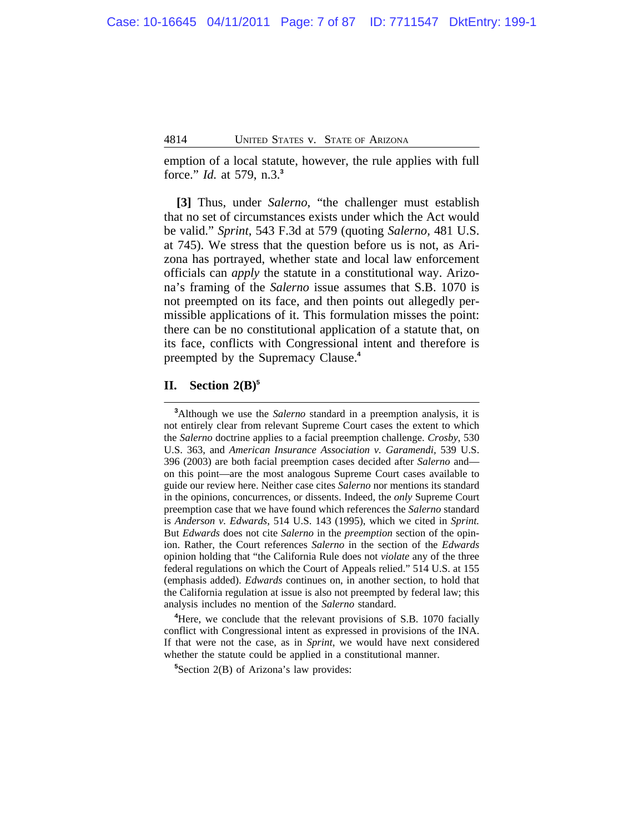emption of a local statute, however, the rule applies with full force." *Id.* at 579, n.3.**<sup>3</sup>**

**[3]** Thus, under *Salerno*, "the challenger must establish that no set of circumstances exists under which the Act would be valid." *Sprint*, 543 F.3d at 579 (quoting *Salerno,* 481 U.S. at 745). We stress that the question before us is not, as Arizona has portrayed, whether state and local law enforcement officials can *apply* the statute in a constitutional way. Arizona's framing of the *Salerno* issue assumes that S.B. 1070 is not preempted on its face, and then points out allegedly permissible applications of it. This formulation misses the point: there can be no constitutional application of a statute that, on its face, conflicts with Congressional intent and therefore is preempted by the Supremacy Clause.**<sup>4</sup>**

# **II. Section 2(B)<sup>5</sup>**

**<sup>4</sup>**Here, we conclude that the relevant provisions of S.B. 1070 facially conflict with Congressional intent as expressed in provisions of the INA. If that were not the case, as in *Sprint*, we would have next considered whether the statute could be applied in a constitutional manner.

**<sup>5</sup>**Section 2(B) of Arizona's law provides:

**<sup>3</sup>**Although we use the *Salerno* standard in a preemption analysis, it is not entirely clear from relevant Supreme Court cases the extent to which the *Salerno* doctrine applies to a facial preemption challenge. *Crosby*, 530 U.S. 363, and *American Insurance Association v. Garamendi,* 539 U.S. 396 (2003) are both facial preemption cases decided after *Salerno* and on this point—are the most analogous Supreme Court cases available to guide our review here. Neither case cites *Salerno* nor mentions its standard in the opinions, concurrences, or dissents. Indeed, the *only* Supreme Court preemption case that we have found which references the *Salerno* standard is *Anderson v. Edwards*, 514 U.S. 143 (1995), which we cited in *Sprint.* But *Edwards* does not cite *Salerno* in the *preemption* section of the opinion. Rather, the Court references *Salerno* in the section of the *Edwards* opinion holding that "the California Rule does not *violate* any of the three federal regulations on which the Court of Appeals relied." 514 U.S. at 155 (emphasis added). *Edwards* continues on, in another section, to hold that the California regulation at issue is also not preempted by federal law; this analysis includes no mention of the *Salerno* standard.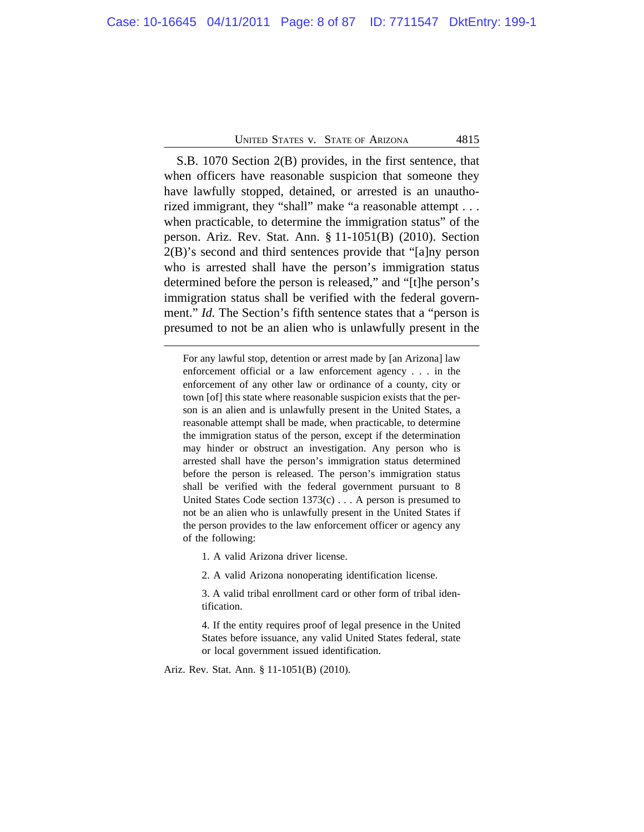S.B. 1070 Section 2(B) provides, in the first sentence, that when officers have reasonable suspicion that someone they have lawfully stopped, detained, or arrested is an unauthorized immigrant, they "shall" make "a reasonable attempt . . . when practicable, to determine the immigration status" of the person. Ariz. Rev. Stat. Ann. § 11-1051(B) (2010). Section 2(B)'s second and third sentences provide that "[a]ny person who is arrested shall have the person's immigration status determined before the person is released," and "[t]he person's immigration status shall be verified with the federal government." *Id.* The Section's fifth sentence states that a "person is presumed to not be an alien who is unlawfully present in the

For any lawful stop, detention or arrest made by [an Arizona] law enforcement official or a law enforcement agency . . . in the enforcement of any other law or ordinance of a county, city or town [of] this state where reasonable suspicion exists that the person is an alien and is unlawfully present in the United States, a reasonable attempt shall be made, when practicable, to determine the immigration status of the person, except if the determination may hinder or obstruct an investigation. Any person who is arrested shall have the person's immigration status determined before the person is released. The person's immigration status shall be verified with the federal government pursuant to 8 United States Code section 1373(c) . . . A person is presumed to not be an alien who is unlawfully present in the United States if the person provides to the law enforcement officer or agency any of the following:

1. A valid Arizona driver license.

2. A valid Arizona nonoperating identification license.

3. A valid tribal enrollment card or other form of tribal identification.

4. If the entity requires proof of legal presence in the United States before issuance, any valid United States federal, state or local government issued identification.

Ariz. Rev. Stat. Ann. § 11-1051(B) (2010).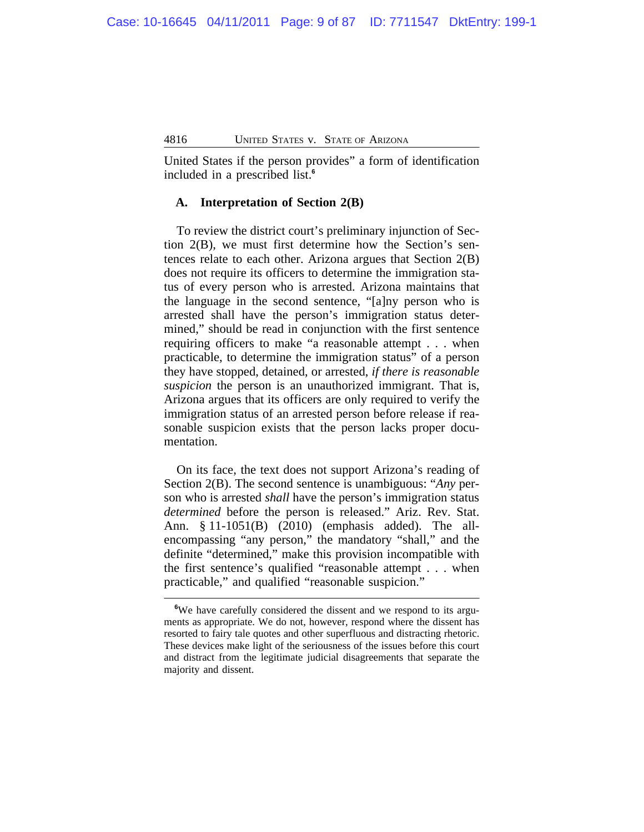United States if the person provides" a form of identification included in a prescribed list.**<sup>6</sup>**

# **A. Interpretation of Section 2(B)**

To review the district court's preliminary injunction of Section 2(B), we must first determine how the Section's sentences relate to each other. Arizona argues that Section 2(B) does not require its officers to determine the immigration status of every person who is arrested. Arizona maintains that the language in the second sentence, "[a]ny person who is arrested shall have the person's immigration status determined," should be read in conjunction with the first sentence requiring officers to make "a reasonable attempt . . . when practicable, to determine the immigration status" of a person they have stopped, detained, or arrested, *if there is reasonable suspicion* the person is an unauthorized immigrant. That is, Arizona argues that its officers are only required to verify the immigration status of an arrested person before release if reasonable suspicion exists that the person lacks proper documentation.

On its face, the text does not support Arizona's reading of Section 2(B). The second sentence is unambiguous: "*Any* person who is arrested *shall* have the person's immigration status *determined* before the person is released." Ariz. Rev. Stat. Ann. § 11-1051(B) (2010) (emphasis added). The allencompassing "any person," the mandatory "shall," and the definite "determined," make this provision incompatible with the first sentence's qualified "reasonable attempt . . . when practicable," and qualified "reasonable suspicion."

**<sup>6</sup>**We have carefully considered the dissent and we respond to its arguments as appropriate. We do not, however, respond where the dissent has resorted to fairy tale quotes and other superfluous and distracting rhetoric. These devices make light of the seriousness of the issues before this court and distract from the legitimate judicial disagreements that separate the majority and dissent.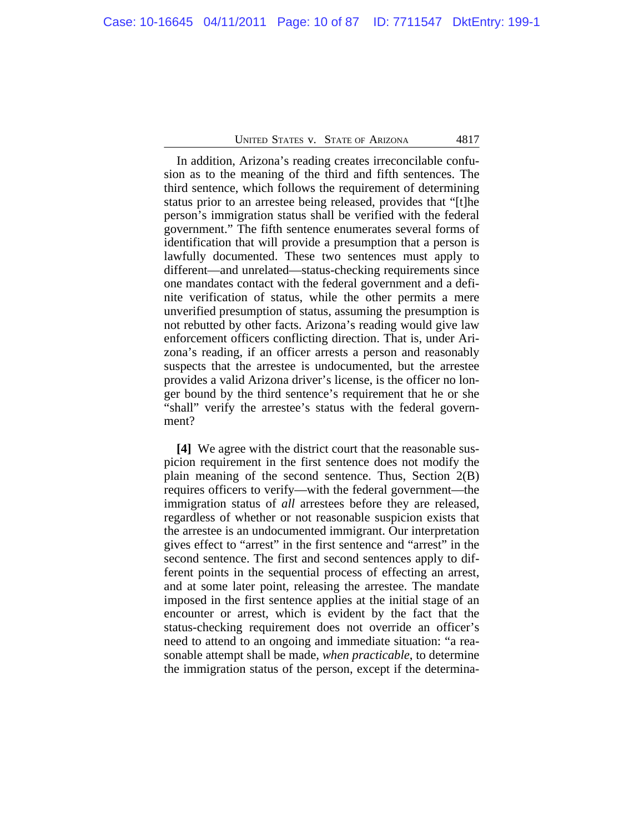In addition, Arizona's reading creates irreconcilable confusion as to the meaning of the third and fifth sentences. The third sentence, which follows the requirement of determining status prior to an arrestee being released, provides that "[t]he person's immigration status shall be verified with the federal government." The fifth sentence enumerates several forms of identification that will provide a presumption that a person is lawfully documented. These two sentences must apply to different—and unrelated—status-checking requirements since one mandates contact with the federal government and a definite verification of status, while the other permits a mere unverified presumption of status, assuming the presumption is not rebutted by other facts. Arizona's reading would give law enforcement officers conflicting direction. That is, under Arizona's reading, if an officer arrests a person and reasonably suspects that the arrestee is undocumented, but the arrestee provides a valid Arizona driver's license, is the officer no longer bound by the third sentence's requirement that he or she "shall" verify the arrestee's status with the federal government?

**[4]** We agree with the district court that the reasonable suspicion requirement in the first sentence does not modify the plain meaning of the second sentence. Thus, Section 2(B) requires officers to verify—with the federal government—the immigration status of *all* arrestees before they are released, regardless of whether or not reasonable suspicion exists that the arrestee is an undocumented immigrant. Our interpretation gives effect to "arrest" in the first sentence and "arrest" in the second sentence. The first and second sentences apply to different points in the sequential process of effecting an arrest, and at some later point, releasing the arrestee. The mandate imposed in the first sentence applies at the initial stage of an encounter or arrest, which is evident by the fact that the status-checking requirement does not override an officer's need to attend to an ongoing and immediate situation: "a reasonable attempt shall be made, *when practicable*, to determine the immigration status of the person, except if the determina-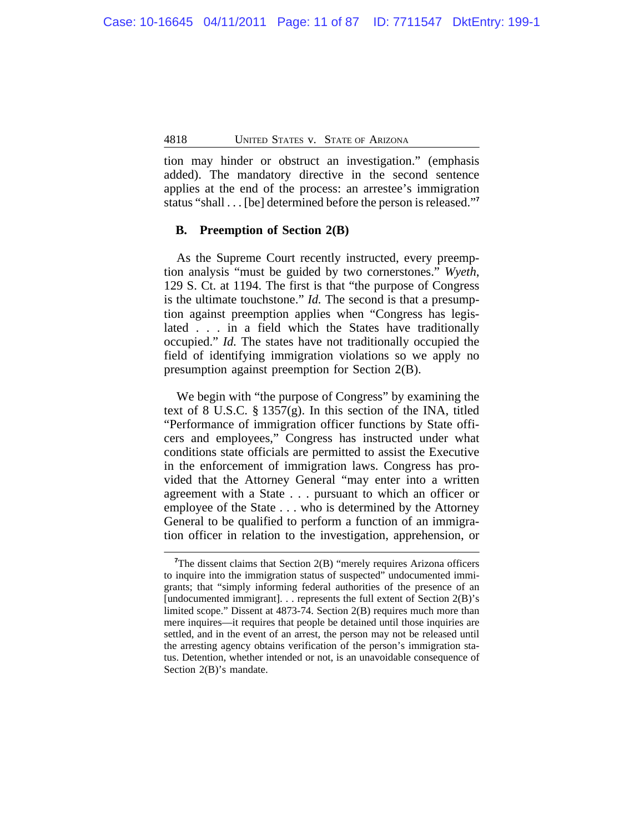tion may hinder or obstruct an investigation." (emphasis added). The mandatory directive in the second sentence applies at the end of the process: an arrestee's immigration status "shall . . . [be] determined before the person is released." **7**

## **B. Preemption of Section 2(B)**

As the Supreme Court recently instructed, every preemption analysis "must be guided by two cornerstones." *Wyeth*, 129 S. Ct. at 1194. The first is that "the purpose of Congress is the ultimate touchstone." *Id.* The second is that a presumption against preemption applies when "Congress has legislated . . . in a field which the States have traditionally occupied." *Id.* The states have not traditionally occupied the field of identifying immigration violations so we apply no presumption against preemption for Section 2(B).

We begin with "the purpose of Congress" by examining the text of 8 U.S.C. § 1357(g). In this section of the INA, titled "Performance of immigration officer functions by State officers and employees," Congress has instructed under what conditions state officials are permitted to assist the Executive in the enforcement of immigration laws. Congress has provided that the Attorney General "may enter into a written agreement with a State . . . pursuant to which an officer or employee of the State . . . who is determined by the Attorney General to be qualified to perform a function of an immigration officer in relation to the investigation, apprehension, or

<sup>&</sup>lt;sup>7</sup>The dissent claims that Section 2(B) "merely requires Arizona officers to inquire into the immigration status of suspected" undocumented immigrants; that "simply informing federal authorities of the presence of an [undocumented immigrant].  $\ldots$  represents the full extent of Section 2(B)'s limited scope." Dissent at 4873-74. Section 2(B) requires much more than mere inquires—it requires that people be detained until those inquiries are settled, and in the event of an arrest, the person may not be released until the arresting agency obtains verification of the person's immigration status. Detention, whether intended or not, is an unavoidable consequence of Section 2(B)'s mandate.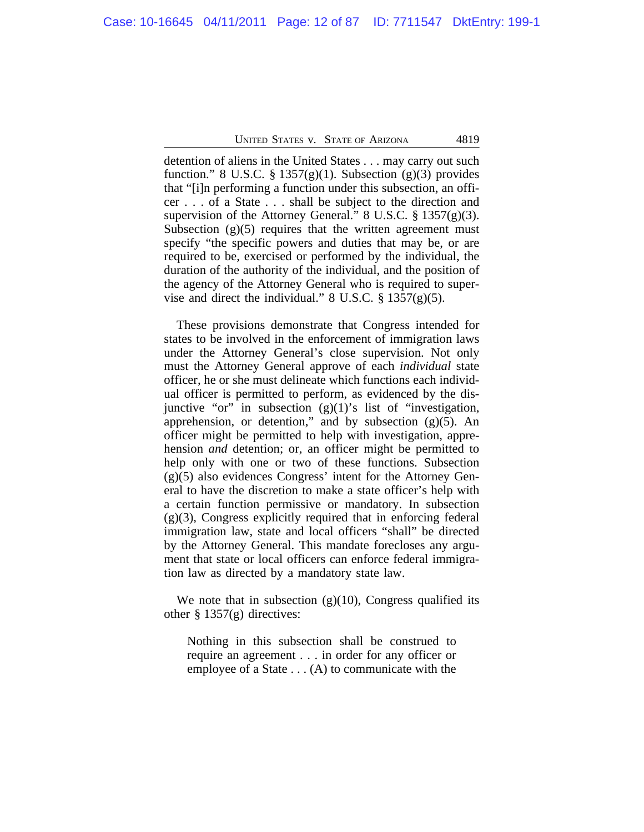detention of aliens in the United States . . . may carry out such function." 8 U.S.C.  $\S 1357(g)(1)$ . Subsection (g)(3) provides that "[i]n performing a function under this subsection, an officer . . . of a State . . . shall be subject to the direction and supervision of the Attorney General." 8 U.S.C. § 1357(g)(3). Subsection  $(g)(5)$  requires that the written agreement must specify "the specific powers and duties that may be, or are required to be, exercised or performed by the individual, the duration of the authority of the individual, and the position of the agency of the Attorney General who is required to supervise and direct the individual." 8 U.S.C.  $\S$  1357(g)(5).

These provisions demonstrate that Congress intended for states to be involved in the enforcement of immigration laws under the Attorney General's close supervision. Not only must the Attorney General approve of each *individual* state officer, he or she must delineate which functions each individual officer is permitted to perform, as evidenced by the disjunctive "or" in subsection  $(g)(1)$ 's list of "investigation, apprehension, or detention," and by subsection  $(g)(5)$ . An officer might be permitted to help with investigation, apprehension *and* detention; or, an officer might be permitted to help only with one or two of these functions. Subsection (g)(5) also evidences Congress' intent for the Attorney General to have the discretion to make a state officer's help with a certain function permissive or mandatory. In subsection (g)(3), Congress explicitly required that in enforcing federal immigration law, state and local officers "shall" be directed by the Attorney General. This mandate forecloses any argument that state or local officers can enforce federal immigration law as directed by a mandatory state law.

We note that in subsection  $(g)(10)$ , Congress qualified its other  $\S 1357(g)$  directives:

Nothing in this subsection shall be construed to require an agreement . . . in order for any officer or employee of a State . . . (A) to communicate with the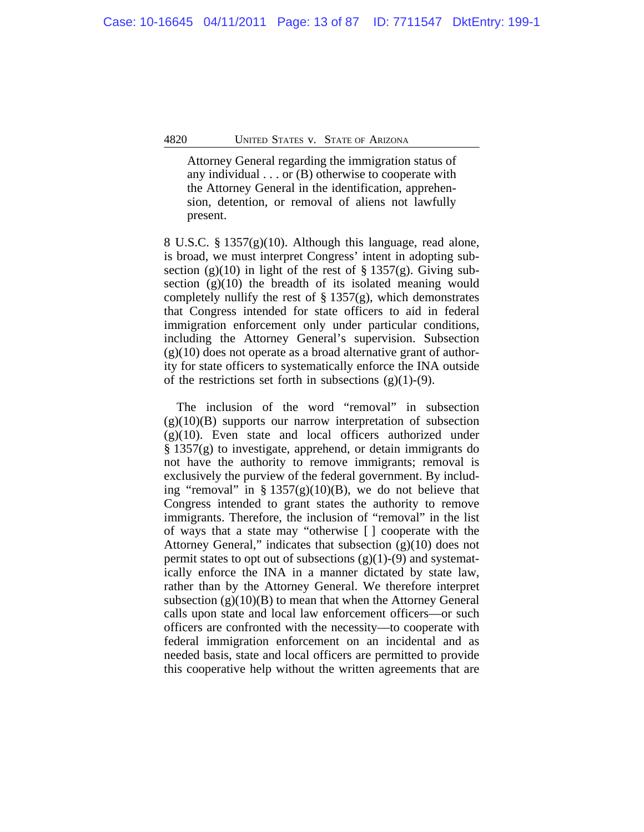Attorney General regarding the immigration status of any individual . . . or (B) otherwise to cooperate with the Attorney General in the identification, apprehension, detention, or removal of aliens not lawfully present.

8 U.S.C. § 1357(g)(10). Although this language, read alone, is broad, we must interpret Congress' intent in adopting subsection (g)(10) in light of the rest of  $\S 1357(g)$ . Giving subsection  $(g)(10)$  the breadth of its isolated meaning would completely nullify the rest of  $\S 1357(g)$ , which demonstrates that Congress intended for state officers to aid in federal immigration enforcement only under particular conditions, including the Attorney General's supervision. Subsection  $(g)(10)$  does not operate as a broad alternative grant of authority for state officers to systematically enforce the INA outside of the restrictions set forth in subsections  $(g)(1)-(9)$ .

The inclusion of the word "removal" in subsection  $(g)(10)(B)$  supports our narrow interpretation of subsection  $(g)(10)$ . Even state and local officers authorized under § 1357(g) to investigate, apprehend, or detain immigrants do not have the authority to remove immigrants; removal is exclusively the purview of the federal government. By including "removal" in §  $1357(g)(10)(B)$ , we do not believe that Congress intended to grant states the authority to remove immigrants. Therefore, the inclusion of "removal" in the list of ways that a state may "otherwise [ ] cooperate with the Attorney General," indicates that subsection  $(g)(10)$  does not permit states to opt out of subsections  $(g)(1)-(9)$  and systematically enforce the INA in a manner dictated by state law, rather than by the Attorney General. We therefore interpret subsection  $(g)(10)(B)$  to mean that when the Attorney General calls upon state and local law enforcement officers—or such officers are confronted with the necessity—to cooperate with federal immigration enforcement on an incidental and as needed basis, state and local officers are permitted to provide this cooperative help without the written agreements that are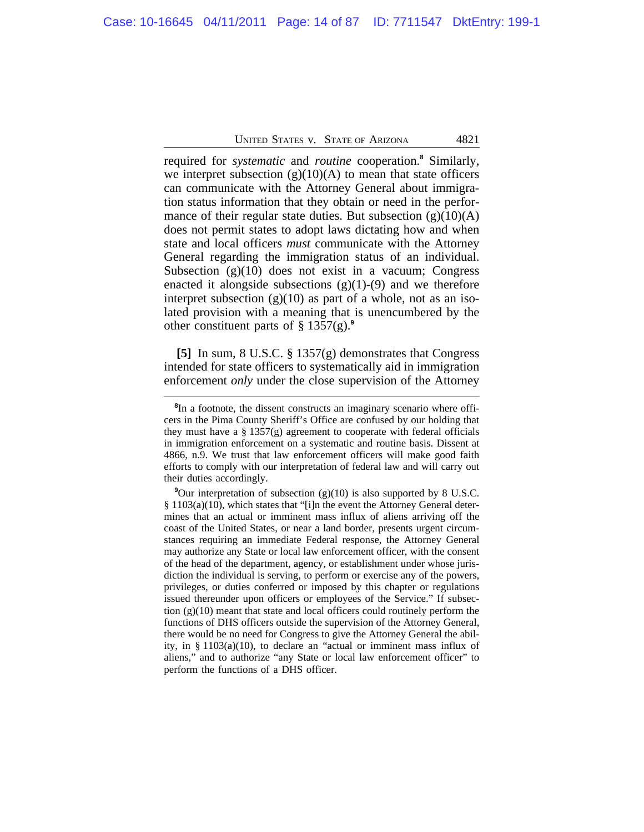required for *systematic* and *routine* cooperation.**<sup>8</sup>** Similarly, we interpret subsection  $(g)(10)(A)$  to mean that state officers can communicate with the Attorney General about immigration status information that they obtain or need in the performance of their regular state duties. But subsection  $(g)(10)(A)$ does not permit states to adopt laws dictating how and when state and local officers *must* communicate with the Attorney General regarding the immigration status of an individual. Subsection  $(g)(10)$  does not exist in a vacuum; Congress enacted it alongside subsections  $(g)(1)-(9)$  and we therefore interpret subsection  $(g)(10)$  as part of a whole, not as an isolated provision with a meaning that is unencumbered by the other constituent parts of § 1357(g).**<sup>9</sup>**

**[5]** In sum, 8 U.S.C. § 1357(g) demonstrates that Congress intended for state officers to systematically aid in immigration enforcement *only* under the close supervision of the Attorney

<sup>&</sup>lt;sup>8</sup>In a footnote, the dissent constructs an imaginary scenario where officers in the Pima County Sheriff's Office are confused by our holding that they must have a  $\S 1357(g)$  agreement to cooperate with federal officials in immigration enforcement on a systematic and routine basis. Dissent at 4866, n.9. We trust that law enforcement officers will make good faith efforts to comply with our interpretation of federal law and will carry out their duties accordingly.

<sup>&</sup>lt;sup>9</sup>Our interpretation of subsection (g)(10) is also supported by 8 U.S.C. § 1103(a)(10), which states that "[i]n the event the Attorney General determines that an actual or imminent mass influx of aliens arriving off the coast of the United States, or near a land border, presents urgent circumstances requiring an immediate Federal response, the Attorney General may authorize any State or local law enforcement officer, with the consent of the head of the department, agency, or establishment under whose jurisdiction the individual is serving, to perform or exercise any of the powers, privileges, or duties conferred or imposed by this chapter or regulations issued thereunder upon officers or employees of the Service." If subsection (g)(10) meant that state and local officers could routinely perform the functions of DHS officers outside the supervision of the Attorney General, there would be no need for Congress to give the Attorney General the ability, in § 1103(a)(10), to declare an "actual or imminent mass influx of aliens," and to authorize "any State or local law enforcement officer" to perform the functions of a DHS officer.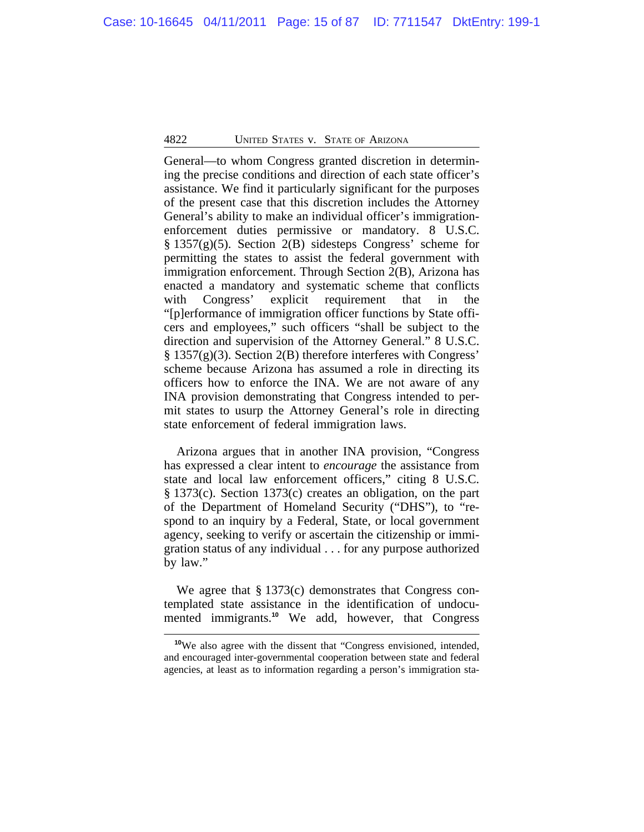General—to whom Congress granted discretion in determining the precise conditions and direction of each state officer's assistance. We find it particularly significant for the purposes of the present case that this discretion includes the Attorney General's ability to make an individual officer's immigrationenforcement duties permissive or mandatory. 8 U.S.C. § 1357(g)(5). Section 2(B) sidesteps Congress' scheme for permitting the states to assist the federal government with immigration enforcement. Through Section 2(B), Arizona has enacted a mandatory and systematic scheme that conflicts with Congress' explicit requirement that in the "[p]erformance of immigration officer functions by State officers and employees," such officers "shall be subject to the direction and supervision of the Attorney General." 8 U.S.C. § 1357(g)(3). Section 2(B) therefore interferes with Congress' scheme because Arizona has assumed a role in directing its officers how to enforce the INA. We are not aware of any INA provision demonstrating that Congress intended to permit states to usurp the Attorney General's role in directing state enforcement of federal immigration laws.

Arizona argues that in another INA provision, "Congress has expressed a clear intent to *encourage* the assistance from state and local law enforcement officers," citing 8 U.S.C. § 1373(c). Section 1373(c) creates an obligation, on the part of the Department of Homeland Security ("DHS"), to "respond to an inquiry by a Federal, State, or local government agency, seeking to verify or ascertain the citizenship or immigration status of any individual . . . for any purpose authorized by law."

We agree that § 1373(c) demonstrates that Congress contemplated state assistance in the identification of undocumented immigrants.**<sup>10</sup>** We add, however, that Congress

**<sup>10</sup>**We also agree with the dissent that "Congress envisioned, intended, and encouraged inter-governmental cooperation between state and federal agencies, at least as to information regarding a person's immigration sta-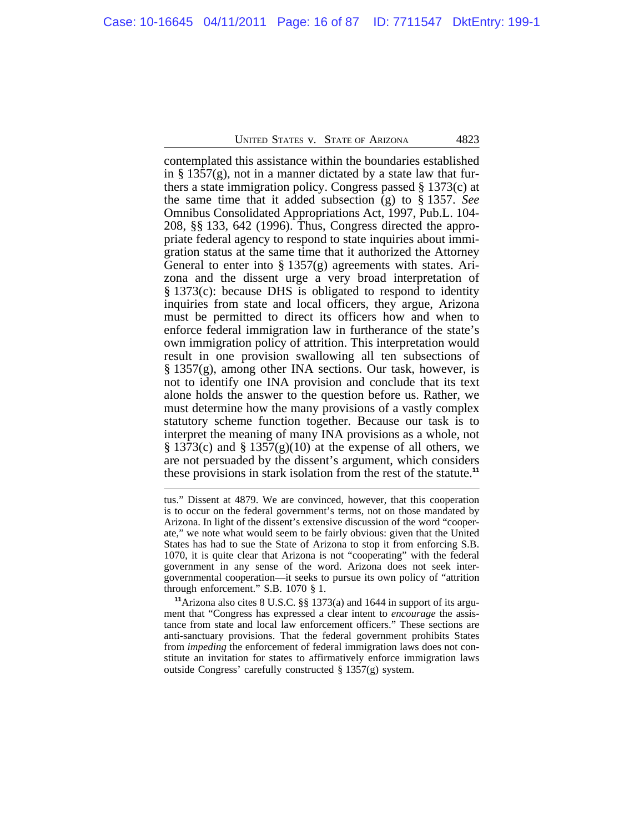contemplated this assistance within the boundaries established in § 1357(g), not in a manner dictated by a state law that furthers a state immigration policy. Congress passed § 1373(c) at the same time that it added subsection (g) to § 1357. *See* Omnibus Consolidated Appropriations Act, 1997, Pub.L. 104- 208, §§ 133, 642 (1996). Thus, Congress directed the appropriate federal agency to respond to state inquiries about immigration status at the same time that it authorized the Attorney General to enter into § 1357(g) agreements with states. Arizona and the dissent urge a very broad interpretation of § 1373(c): because DHS is obligated to respond to identity inquiries from state and local officers, they argue, Arizona must be permitted to direct its officers how and when to enforce federal immigration law in furtherance of the state's own immigration policy of attrition. This interpretation would result in one provision swallowing all ten subsections of § 1357(g), among other INA sections. Our task, however, is not to identify one INA provision and conclude that its text alone holds the answer to the question before us. Rather, we must determine how the many provisions of a vastly complex statutory scheme function together. Because our task is to interpret the meaning of many INA provisions as a whole, not § 1373(c) and § 1357(g)(10) at the expense of all others, we are not persuaded by the dissent's argument, which considers these provisions in stark isolation from the rest of the statute.**<sup>11</sup>**

**<sup>11</sup>**Arizona also cites 8 U.S.C. §§ 1373(a) and 1644 in support of its argument that "Congress has expressed a clear intent to *encourage* the assistance from state and local law enforcement officers." These sections are anti-sanctuary provisions. That the federal government prohibits States from *impeding* the enforcement of federal immigration laws does not constitute an invitation for states to affirmatively enforce immigration laws outside Congress' carefully constructed § 1357(g) system.

tus." Dissent at 4879. We are convinced, however, that this cooperation is to occur on the federal government's terms, not on those mandated by Arizona. In light of the dissent's extensive discussion of the word "cooperate," we note what would seem to be fairly obvious: given that the United States has had to sue the State of Arizona to stop it from enforcing S.B. 1070, it is quite clear that Arizona is not "cooperating" with the federal government in any sense of the word. Arizona does not seek intergovernmental cooperation—it seeks to pursue its own policy of "attrition through enforcement." S.B. 1070 § 1.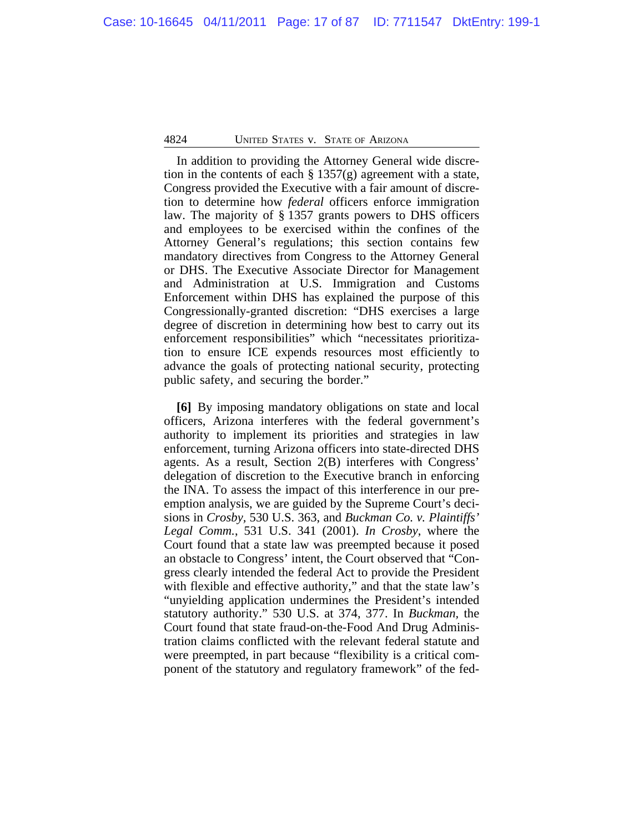In addition to providing the Attorney General wide discretion in the contents of each  $\S 1357(g)$  agreement with a state, Congress provided the Executive with a fair amount of discretion to determine how *federal* officers enforce immigration law. The majority of § 1357 grants powers to DHS officers and employees to be exercised within the confines of the Attorney General's regulations; this section contains few mandatory directives from Congress to the Attorney General or DHS. The Executive Associate Director for Management and Administration at U.S. Immigration and Customs Enforcement within DHS has explained the purpose of this Congressionally-granted discretion: "DHS exercises a large degree of discretion in determining how best to carry out its enforcement responsibilities" which "necessitates prioritization to ensure ICE expends resources most efficiently to advance the goals of protecting national security, protecting public safety, and securing the border."

**[6]** By imposing mandatory obligations on state and local officers, Arizona interferes with the federal government's authority to implement its priorities and strategies in law enforcement, turning Arizona officers into state-directed DHS agents. As a result, Section 2(B) interferes with Congress' delegation of discretion to the Executive branch in enforcing the INA. To assess the impact of this interference in our preemption analysis, we are guided by the Supreme Court's decisions in *Crosby,* 530 U.S. 363, and *Buckman Co. v. Plaintiffs' Legal Comm.*, 531 U.S. 341 (2001). *In Crosby*, where the Court found that a state law was preempted because it posed an obstacle to Congress' intent, the Court observed that "Congress clearly intended the federal Act to provide the President with flexible and effective authority," and that the state law's "unyielding application undermines the President's intended statutory authority." 530 U.S. at 374, 377. In *Buckman,* the Court found that state fraud-on-the-Food And Drug Administration claims conflicted with the relevant federal statute and were preempted, in part because "flexibility is a critical component of the statutory and regulatory framework" of the fed-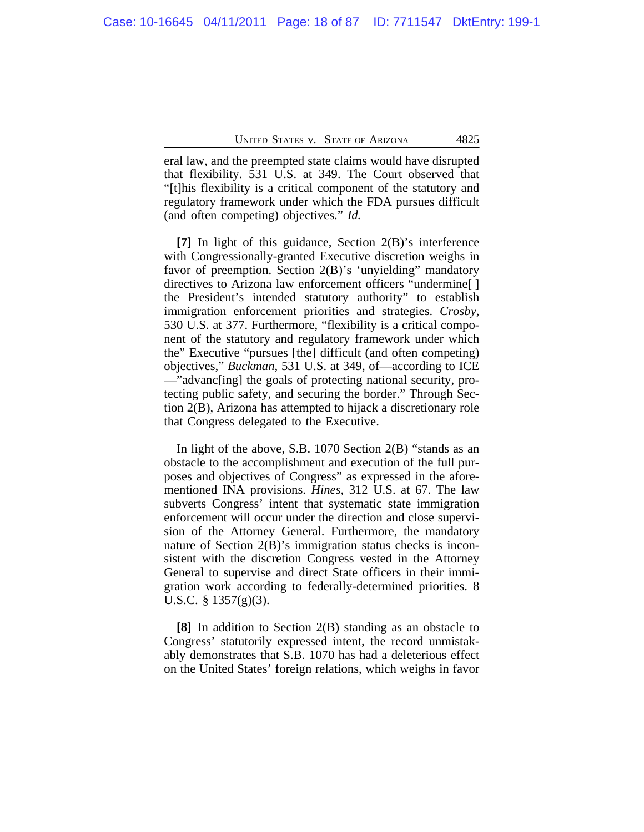eral law, and the preempted state claims would have disrupted that flexibility. 531 U.S. at 349. The Court observed that "[t]his flexibility is a critical component of the statutory and regulatory framework under which the FDA pursues difficult (and often competing) objectives." *Id.*

**[7]** In light of this guidance, Section 2(B)'s interference with Congressionally-granted Executive discretion weighs in favor of preemption. Section 2(B)'s 'unyielding" mandatory directives to Arizona law enforcement officers "undermine[ ] the President's intended statutory authority" to establish immigration enforcement priorities and strategies. *Crosby*, 530 U.S. at 377. Furthermore, "flexibility is a critical component of the statutory and regulatory framework under which the" Executive "pursues [the] difficult (and often competing) objectives," *Buckman*, 531 U.S. at 349, of—according to ICE —"advanc[ing] the goals of protecting national security, protecting public safety, and securing the border." Through Section 2(B), Arizona has attempted to hijack a discretionary role that Congress delegated to the Executive.

In light of the above, S.B. 1070 Section 2(B) "stands as an obstacle to the accomplishment and execution of the full purposes and objectives of Congress" as expressed in the aforementioned INA provisions. *Hines,* 312 U.S. at 67. The law subverts Congress' intent that systematic state immigration enforcement will occur under the direction and close supervision of the Attorney General. Furthermore, the mandatory nature of Section 2(B)'s immigration status checks is inconsistent with the discretion Congress vested in the Attorney General to supervise and direct State officers in their immigration work according to federally-determined priorities. 8 U.S.C. § 1357(g)(3).

**[8]** In addition to Section 2(B) standing as an obstacle to Congress' statutorily expressed intent, the record unmistakably demonstrates that S.B. 1070 has had a deleterious effect on the United States' foreign relations, which weighs in favor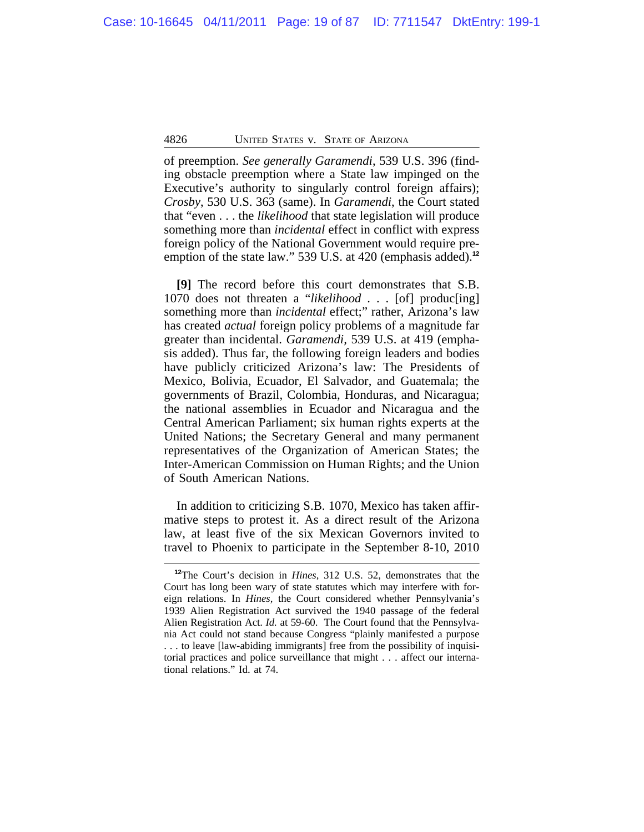of preemption. *See generally Garamendi*, 539 U.S. 396 (finding obstacle preemption where a State law impinged on the Executive's authority to singularly control foreign affairs); *Crosby*, 530 U.S. 363 (same). In *Garamendi*, the Court stated that "even . . . the *likelihood* that state legislation will produce something more than *incidental* effect in conflict with express foreign policy of the National Government would require preemption of the state law." 539 U.S. at 420 (emphasis added).**<sup>12</sup>**

**[9]** The record before this court demonstrates that S.B. 1070 does not threaten a "*likelihood* . . . [of] produc[ing] something more than *incidental* effect;" rather, Arizona's law has created *actual* foreign policy problems of a magnitude far greater than incidental. *Garamendi,* 539 U.S. at 419 (emphasis added). Thus far, the following foreign leaders and bodies have publicly criticized Arizona's law: The Presidents of Mexico, Bolivia, Ecuador, El Salvador, and Guatemala; the governments of Brazil, Colombia, Honduras, and Nicaragua; the national assemblies in Ecuador and Nicaragua and the Central American Parliament; six human rights experts at the United Nations; the Secretary General and many permanent representatives of the Organization of American States; the Inter-American Commission on Human Rights; and the Union of South American Nations.

In addition to criticizing S.B. 1070, Mexico has taken affirmative steps to protest it. As a direct result of the Arizona law, at least five of the six Mexican Governors invited to travel to Phoenix to participate in the September 8-10, 2010

**<sup>12</sup>**The Court's decision in *Hines*, 312 U.S. 52, demonstrates that the Court has long been wary of state statutes which may interfere with foreign relations. In *Hines,* the Court considered whether Pennsylvania's 1939 Alien Registration Act survived the 1940 passage of the federal Alien Registration Act. *Id.* at 59-60. The Court found that the Pennsylvania Act could not stand because Congress "plainly manifested a purpose . . . to leave [law-abiding immigrants] free from the possibility of inquisitorial practices and police surveillance that might . . . affect our international relations." Id. at 74.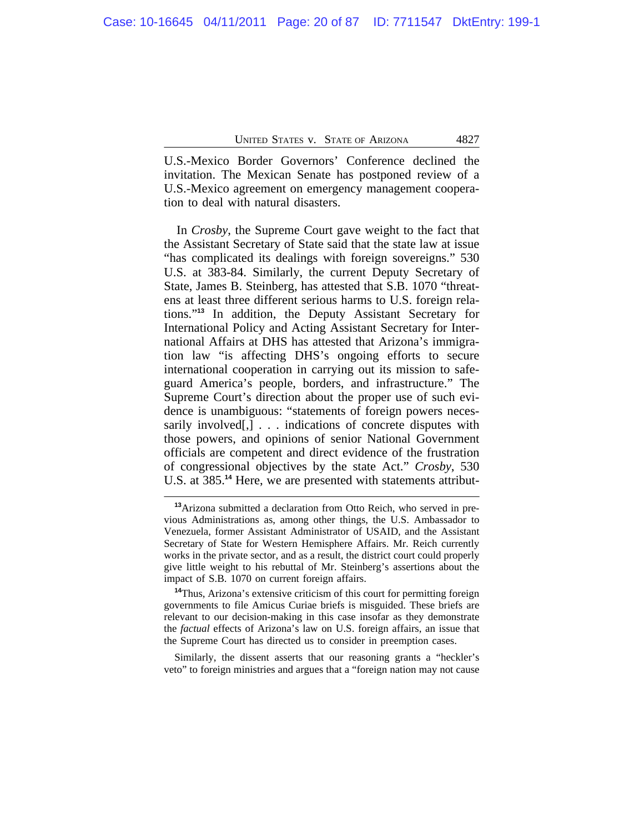U.S.-Mexico Border Governors' Conference declined the invitation. The Mexican Senate has postponed review of a U.S.-Mexico agreement on emergency management cooperation to deal with natural disasters.

In *Crosby*, the Supreme Court gave weight to the fact that the Assistant Secretary of State said that the state law at issue "has complicated its dealings with foreign sovereigns." 530 U.S. at 383-84. Similarly, the current Deputy Secretary of State, James B. Steinberg, has attested that S.B. 1070 "threatens at least three different serious harms to U.S. foreign relations."**<sup>13</sup>** In addition, the Deputy Assistant Secretary for International Policy and Acting Assistant Secretary for International Affairs at DHS has attested that Arizona's immigration law "is affecting DHS's ongoing efforts to secure international cooperation in carrying out its mission to safeguard America's people, borders, and infrastructure." The Supreme Court's direction about the proper use of such evidence is unambiguous: "statements of foreign powers necessarily involved[,] . . . indications of concrete disputes with those powers, and opinions of senior National Government officials are competent and direct evidence of the frustration of congressional objectives by the state Act." *Crosby*, 530 U.S. at 385.**14** Here, we are presented with statements attribut-

Similarly, the dissent asserts that our reasoning grants a "heckler's veto" to foreign ministries and argues that a "foreign nation may not cause

**<sup>13</sup>**Arizona submitted a declaration from Otto Reich, who served in previous Administrations as, among other things, the U.S. Ambassador to Venezuela, former Assistant Administrator of USAID, and the Assistant Secretary of State for Western Hemisphere Affairs. Mr. Reich currently works in the private sector, and as a result, the district court could properly give little weight to his rebuttal of Mr. Steinberg's assertions about the impact of S.B. 1070 on current foreign affairs.

**<sup>14</sup>**Thus, Arizona's extensive criticism of this court for permitting foreign governments to file Amicus Curiae briefs is misguided. These briefs are relevant to our decision-making in this case insofar as they demonstrate the *factual* effects of Arizona's law on U.S. foreign affairs, an issue that the Supreme Court has directed us to consider in preemption cases.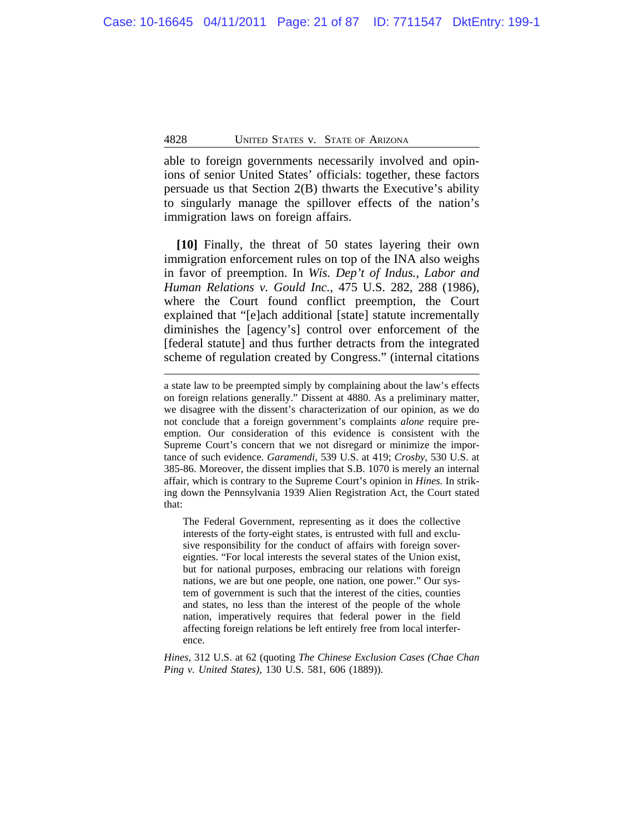able to foreign governments necessarily involved and opinions of senior United States' officials: together, these factors persuade us that Section 2(B) thwarts the Executive's ability to singularly manage the spillover effects of the nation's immigration laws on foreign affairs.

**[10]** Finally, the threat of 50 states layering their own immigration enforcement rules on top of the INA also weighs in favor of preemption. In *Wis. Dep't of Indus., Labor and Human Relations v. Gould Inc.*, 475 U.S. 282, 288 (1986)*,* where the Court found conflict preemption, the Court explained that "[e]ach additional [state] statute incrementally diminishes the [agency's] control over enforcement of the [federal statute] and thus further detracts from the integrated scheme of regulation created by Congress." (internal citations

a state law to be preempted simply by complaining about the law's effects on foreign relations generally." Dissent at 4880. As a preliminary matter, we disagree with the dissent's characterization of our opinion, as we do not conclude that a foreign government's complaints *alone* require preemption. Our consideration of this evidence is consistent with the Supreme Court's concern that we not disregard or minimize the importance of such evidence. *Garamendi*, 539 U.S. at 419; *Crosby*, 530 U.S. at 385-86. Moreover, the dissent implies that S.B. 1070 is merely an internal affair, which is contrary to the Supreme Court's opinion in *Hines.* In striking down the Pennsylvania 1939 Alien Registration Act, the Court stated that:

The Federal Government, representing as it does the collective interests of the forty-eight states, is entrusted with full and exclusive responsibility for the conduct of affairs with foreign sovereignties. "For local interests the several states of the Union exist, but for national purposes, embracing our relations with foreign nations, we are but one people, one nation, one power." Our system of government is such that the interest of the cities, counties and states, no less than the interest of the people of the whole nation, imperatively requires that federal power in the field affecting foreign relations be left entirely free from local interference.

*Hines*, 312 U.S. at 62 (quoting *The Chinese Exclusion Cases (Chae Chan Ping v. United States)*, 130 U.S. 581, 606 (1889)).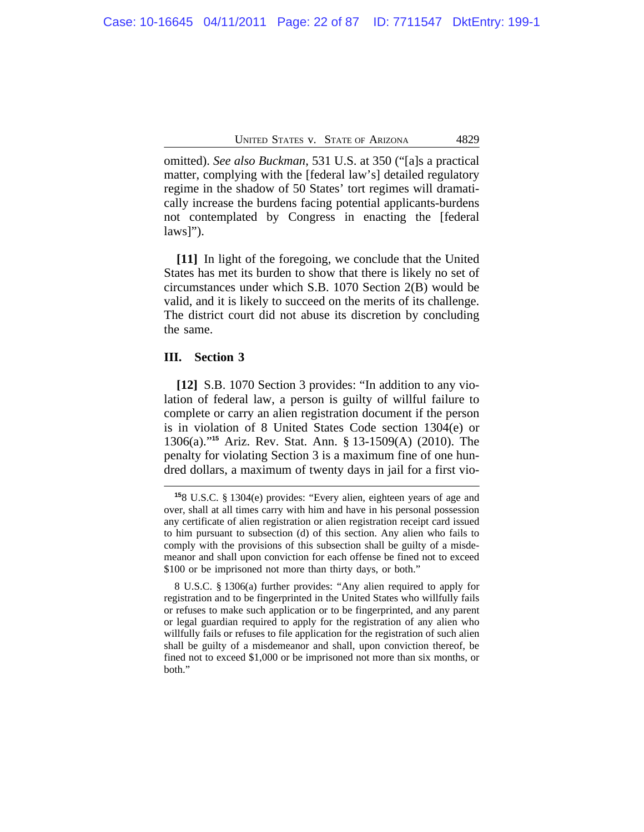omitted). *See also Buckman*, 531 U.S. at 350 ("[a]s a practical matter, complying with the [federal law's] detailed regulatory regime in the shadow of 50 States' tort regimes will dramatically increase the burdens facing potential applicants-burdens not contemplated by Congress in enacting the [federal  $laws$ *"*).

**[11]** In light of the foregoing, we conclude that the United States has met its burden to show that there is likely no set of circumstances under which S.B. 1070 Section 2(B) would be valid, and it is likely to succeed on the merits of its challenge. The district court did not abuse its discretion by concluding the same.

# **III. Section 3**

**[12]** S.B. 1070 Section 3 provides: "In addition to any violation of federal law, a person is guilty of willful failure to complete or carry an alien registration document if the person is in violation of 8 United States Code section 1304(e) or 1306(a)."**<sup>15</sup>** Ariz. Rev. Stat. Ann. § 13-1509(A) (2010). The penalty for violating Section 3 is a maximum fine of one hundred dollars, a maximum of twenty days in jail for a first vio-

8 U.S.C. § 1306(a) further provides: "Any alien required to apply for registration and to be fingerprinted in the United States who willfully fails or refuses to make such application or to be fingerprinted, and any parent or legal guardian required to apply for the registration of any alien who willfully fails or refuses to file application for the registration of such alien shall be guilty of a misdemeanor and shall, upon conviction thereof, be fined not to exceed \$1,000 or be imprisoned not more than six months, or both."

**<sup>15</sup>**8 U.S.C. § 1304(e) provides: "Every alien, eighteen years of age and over, shall at all times carry with him and have in his personal possession any certificate of alien registration or alien registration receipt card issued to him pursuant to subsection (d) of this section. Any alien who fails to comply with the provisions of this subsection shall be guilty of a misdemeanor and shall upon conviction for each offense be fined not to exceed \$100 or be imprisoned not more than thirty days, or both."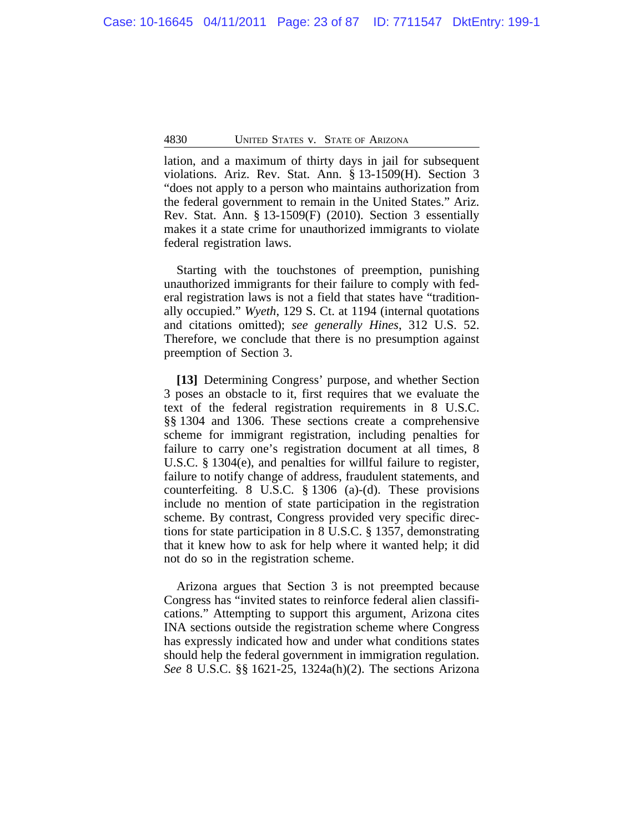lation, and a maximum of thirty days in jail for subsequent violations. Ariz. Rev. Stat. Ann. § 13-1509(H). Section 3 "does not apply to a person who maintains authorization from the federal government to remain in the United States." Ariz. Rev. Stat. Ann. § 13-1509(F) (2010). Section 3 essentially makes it a state crime for unauthorized immigrants to violate federal registration laws.

Starting with the touchstones of preemption, punishing unauthorized immigrants for their failure to comply with federal registration laws is not a field that states have "traditionally occupied." *Wyeth*, 129 S. Ct. at 1194 (internal quotations and citations omitted); *see generally Hines*, 312 U.S. 52. Therefore, we conclude that there is no presumption against preemption of Section 3.

**[13]** Determining Congress' purpose, and whether Section 3 poses an obstacle to it, first requires that we evaluate the text of the federal registration requirements in 8 U.S.C. §§ 1304 and 1306. These sections create a comprehensive scheme for immigrant registration, including penalties for failure to carry one's registration document at all times, 8 U.S.C. § 1304(e), and penalties for willful failure to register, failure to notify change of address, fraudulent statements, and counterfeiting. 8 U.S.C. § 1306 (a)-(d). These provisions include no mention of state participation in the registration scheme. By contrast, Congress provided very specific directions for state participation in 8 U.S.C. § 1357, demonstrating that it knew how to ask for help where it wanted help; it did not do so in the registration scheme.

Arizona argues that Section 3 is not preempted because Congress has "invited states to reinforce federal alien classifications." Attempting to support this argument, Arizona cites INA sections outside the registration scheme where Congress has expressly indicated how and under what conditions states should help the federal government in immigration regulation. *See* 8 U.S.C. §§ 1621-25, 1324a(h)(2). The sections Arizona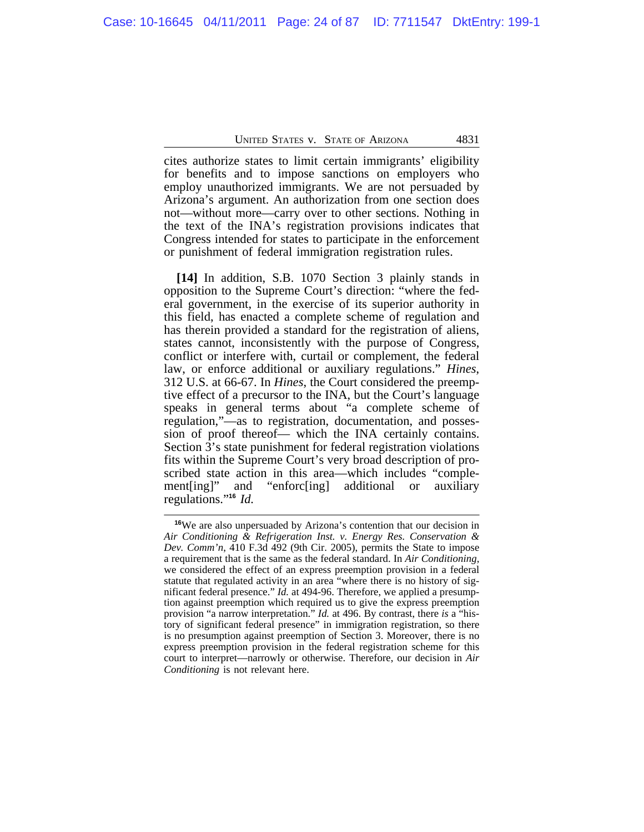cites authorize states to limit certain immigrants' eligibility for benefits and to impose sanctions on employers who employ unauthorized immigrants. We are not persuaded by Arizona's argument. An authorization from one section does not—without more—carry over to other sections. Nothing in the text of the INA's registration provisions indicates that Congress intended for states to participate in the enforcement or punishment of federal immigration registration rules.

**[14]** In addition, S.B. 1070 Section 3 plainly stands in opposition to the Supreme Court's direction: "where the federal government, in the exercise of its superior authority in this field, has enacted a complete scheme of regulation and has therein provided a standard for the registration of aliens, states cannot, inconsistently with the purpose of Congress, conflict or interfere with, curtail or complement, the federal law, or enforce additional or auxiliary regulations." *Hines*, 312 U.S. at 66-67. In *Hines*, the Court considered the preemptive effect of a precursor to the INA, but the Court's language speaks in general terms about "a complete scheme of regulation,"—as to registration, documentation, and possession of proof thereof— which the INA certainly contains. Section 3's state punishment for federal registration violations fits within the Supreme Court's very broad description of proscribed state action in this area—which includes "comple-"enforc[ing] additional or auxiliary" ment[ing]" and<br>regulations."<sup>16</sup> *Id.* 

**<sup>16</sup>**We are also unpersuaded by Arizona's contention that our decision in *Air Conditioning & Refrigeration Inst. v. Energy Res. Conservation & Dev. Comm'n*, 410 F.3d 492 (9th Cir. 2005), permits the State to impose a requirement that is the same as the federal standard. In *Air Conditioning,* we considered the effect of an express preemption provision in a federal statute that regulated activity in an area "where there is no history of significant federal presence." *Id.* at 494-96. Therefore, we applied a presumption against preemption which required us to give the express preemption provision "a narrow interpretation." *Id.* at 496. By contrast, there *is* a "history of significant federal presence" in immigration registration, so there is no presumption against preemption of Section 3. Moreover, there is no express preemption provision in the federal registration scheme for this court to interpret—narrowly or otherwise. Therefore, our decision in *Air Conditioning* is not relevant here.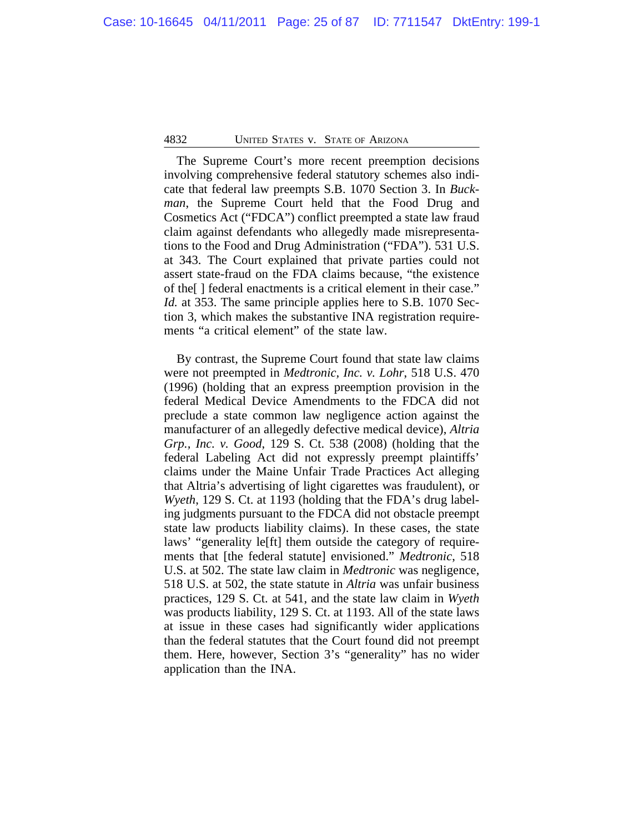The Supreme Court's more recent preemption decisions involving comprehensive federal statutory schemes also indicate that federal law preempts S.B. 1070 Section 3. In *Buckman*, the Supreme Court held that the Food Drug and Cosmetics Act ("FDCA") conflict preempted a state law fraud claim against defendants who allegedly made misrepresentations to the Food and Drug Administration ("FDA"). 531 U.S. at 343. The Court explained that private parties could not assert state-fraud on the FDA claims because, "the existence of the[ ] federal enactments is a critical element in their case." *Id.* at 353. The same principle applies here to S.B. 1070 Section 3, which makes the substantive INA registration requirements "a critical element" of the state law.

By contrast, the Supreme Court found that state law claims were not preempted in *Medtronic, Inc. v. Lohr*, 518 U.S. 470 (1996) (holding that an express preemption provision in the federal Medical Device Amendments to the FDCA did not preclude a state common law negligence action against the manufacturer of an allegedly defective medical device), *Altria Grp., Inc. v. Good*, 129 S. Ct. 538 (2008) (holding that the federal Labeling Act did not expressly preempt plaintiffs' claims under the Maine Unfair Trade Practices Act alleging that Altria's advertising of light cigarettes was fraudulent), or *Wyeth*, 129 S. Ct. at 1193 (holding that the FDA's drug labeling judgments pursuant to the FDCA did not obstacle preempt state law products liability claims). In these cases, the state laws' "generality le[ft] them outside the category of requirements that [the federal statute] envisioned." *Medtronic*, 518 U.S. at 502. The state law claim in *Medtronic* was negligence, 518 U.S. at 502, the state statute in *Altria* was unfair business practices, 129 S. Ct. at 541, and the state law claim in *Wyeth* was products liability, 129 S. Ct. at 1193. All of the state laws at issue in these cases had significantly wider applications than the federal statutes that the Court found did not preempt them. Here, however, Section 3's "generality" has no wider application than the INA.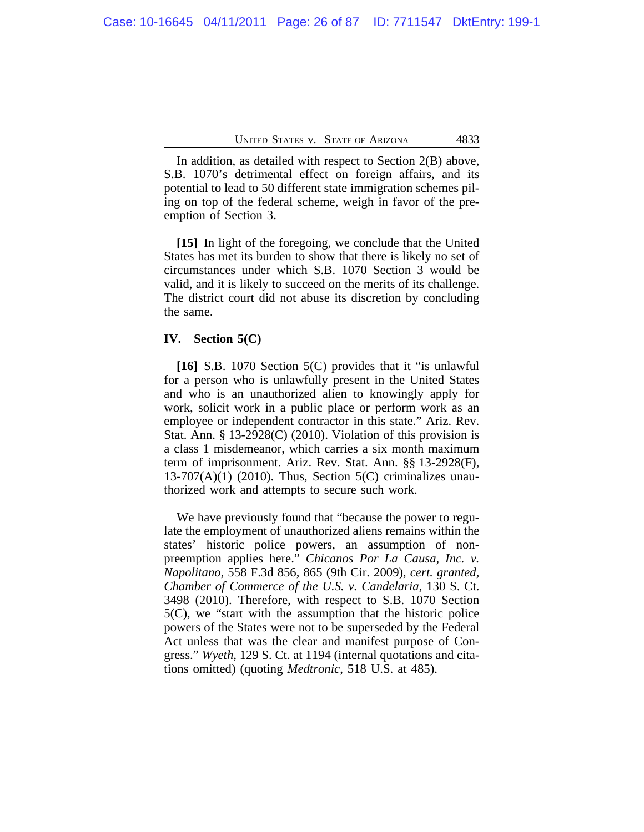In addition, as detailed with respect to Section 2(B) above, S.B. 1070's detrimental effect on foreign affairs, and its potential to lead to 50 different state immigration schemes piling on top of the federal scheme, weigh in favor of the preemption of Section 3.

**[15]** In light of the foregoing, we conclude that the United States has met its burden to show that there is likely no set of circumstances under which S.B. 1070 Section 3 would be valid, and it is likely to succeed on the merits of its challenge. The district court did not abuse its discretion by concluding the same.

# **IV. Section 5(C)**

**[16]** S.B. 1070 Section 5(C) provides that it "is unlawful for a person who is unlawfully present in the United States and who is an unauthorized alien to knowingly apply for work, solicit work in a public place or perform work as an employee or independent contractor in this state." Ariz. Rev. Stat. Ann. § 13-2928(C) (2010). Violation of this provision is a class 1 misdemeanor, which carries a six month maximum term of imprisonment. Ariz. Rev. Stat. Ann. §§ 13-2928(F),  $13-707(A)(1)$  (2010). Thus, Section 5(C) criminalizes unauthorized work and attempts to secure such work.

We have previously found that "because the power to regulate the employment of unauthorized aliens remains within the states' historic police powers, an assumption of nonpreemption applies here." *Chicanos Por La Causa, Inc. v. Napolitano*, 558 F.3d 856, 865 (9th Cir. 2009), *cert. granted*, *Chamber of Commerce of the U.S. v. Candelaria*, 130 S. Ct. 3498 (2010). Therefore, with respect to S.B. 1070 Section 5(C), we "start with the assumption that the historic police powers of the States were not to be superseded by the Federal Act unless that was the clear and manifest purpose of Congress." *Wyeth*, 129 S. Ct. at 1194 (internal quotations and citations omitted) (quoting *Medtronic*, 518 U.S. at 485).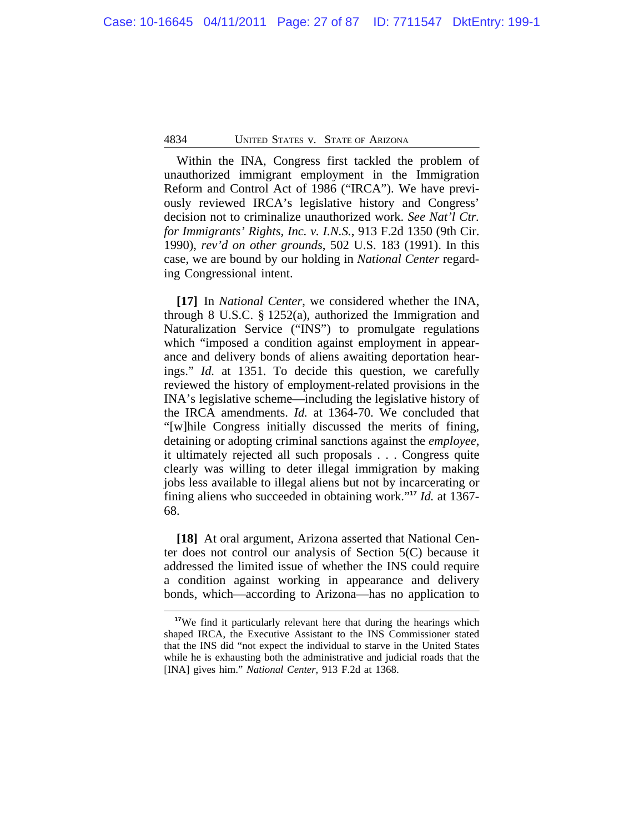Within the INA, Congress first tackled the problem of unauthorized immigrant employment in the Immigration Reform and Control Act of 1986 ("IRCA"). We have previously reviewed IRCA's legislative history and Congress' decision not to criminalize unauthorized work. *See Nat'l Ctr. for Immigrants' Rights, Inc. v. I.N.S.*, 913 F.2d 1350 (9th Cir. 1990), *rev'd on other grounds*, 502 U.S. 183 (1991). In this case, we are bound by our holding in *National Center* regarding Congressional intent.

**[17]** In *National Center*, we considered whether the INA, through 8 U.S.C. § 1252(a), authorized the Immigration and Naturalization Service ("INS") to promulgate regulations which "imposed a condition against employment in appearance and delivery bonds of aliens awaiting deportation hearings." *Id.* at 1351. To decide this question, we carefully reviewed the history of employment-related provisions in the INA's legislative scheme—including the legislative history of the IRCA amendments. *Id.* at 1364-70. We concluded that "[w]hile Congress initially discussed the merits of fining, detaining or adopting criminal sanctions against the *employee*, it ultimately rejected all such proposals . . . Congress quite clearly was willing to deter illegal immigration by making jobs less available to illegal aliens but not by incarcerating or fining aliens who succeeded in obtaining work." **<sup>17</sup>** *Id.* at 1367- 68.

**[18]** At oral argument, Arizona asserted that National Center does not control our analysis of Section 5(C) because it addressed the limited issue of whether the INS could require a condition against working in appearance and delivery bonds, which—according to Arizona—has no application to

<sup>&</sup>lt;sup>17</sup>We find it particularly relevant here that during the hearings which shaped IRCA, the Executive Assistant to the INS Commissioner stated that the INS did "not expect the individual to starve in the United States while he is exhausting both the administrative and judicial roads that the [INA] gives him." *National Center*, 913 F.2d at 1368.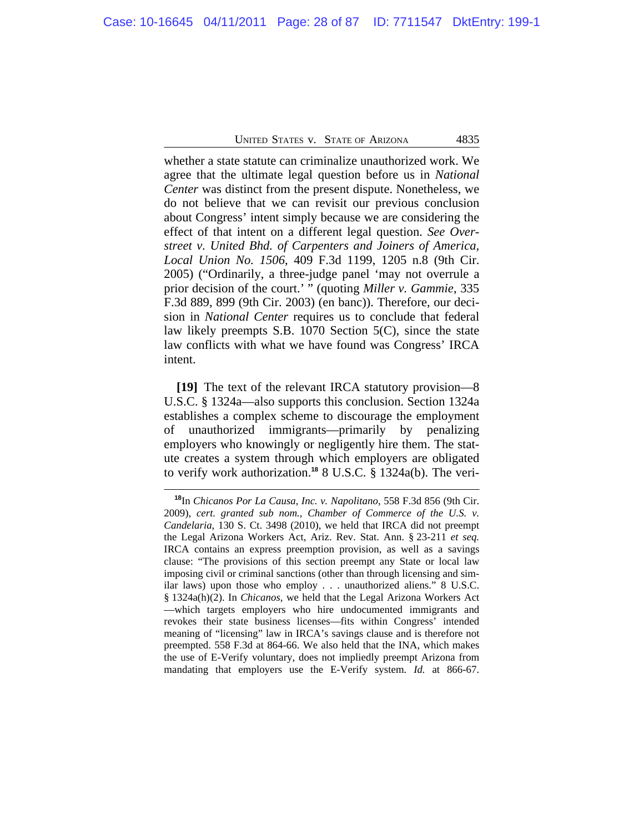whether a state statute can criminalize unauthorized work. We agree that the ultimate legal question before us in *National Center* was distinct from the present dispute. Nonetheless, we do not believe that we can revisit our previous conclusion about Congress' intent simply because we are considering the effect of that intent on a different legal question. *See Overstreet v. United Bhd. of Carpenters and Joiners of America, Local Union No. 1506*, 409 F.3d 1199, 1205 n.8 (9th Cir. 2005) ("Ordinarily, a three-judge panel 'may not overrule a prior decision of the court.' " (quoting *Miller v. Gammie*, 335 F.3d 889, 899 (9th Cir. 2003) (en banc)). Therefore, our decision in *National Center* requires us to conclude that federal law likely preempts S.B. 1070 Section 5(C), since the state law conflicts with what we have found was Congress' IRCA intent.

**[19]** The text of the relevant IRCA statutory provision—8 U.S.C. § 1324a—also supports this conclusion. Section 1324a establishes a complex scheme to discourage the employment of unauthorized immigrants—primarily by penalizing employers who knowingly or negligently hire them. The statute creates a system through which employers are obligated to verify work authorization.**<sup>18</sup>** 8 U.S.C. § 1324a(b). The veri-

**<sup>18</sup>**In *Chicanos Por La Causa, Inc. v. Napolitano*, 558 F.3d 856 (9th Cir. 2009), *cert. granted sub nom., Chamber of Commerce of the U.S. v. Candelaria*, 130 S. Ct. 3498 (2010), we held that IRCA did not preempt the Legal Arizona Workers Act, Ariz. Rev. Stat. Ann. § 23-211 *et seq.* IRCA contains an express preemption provision, as well as a savings clause: "The provisions of this section preempt any State or local law imposing civil or criminal sanctions (other than through licensing and similar laws) upon those who employ . . . unauthorized aliens." 8 U.S.C. § 1324a(h)(2). In *Chicanos*, we held that the Legal Arizona Workers Act —which targets employers who hire undocumented immigrants and revokes their state business licenses—fits within Congress' intended meaning of "licensing" law in IRCA's savings clause and is therefore not preempted. 558 F.3d at 864-66. We also held that the INA, which makes the use of E-Verify voluntary, does not impliedly preempt Arizona from mandating that employers use the E-Verify system. *Id.* at 866-67.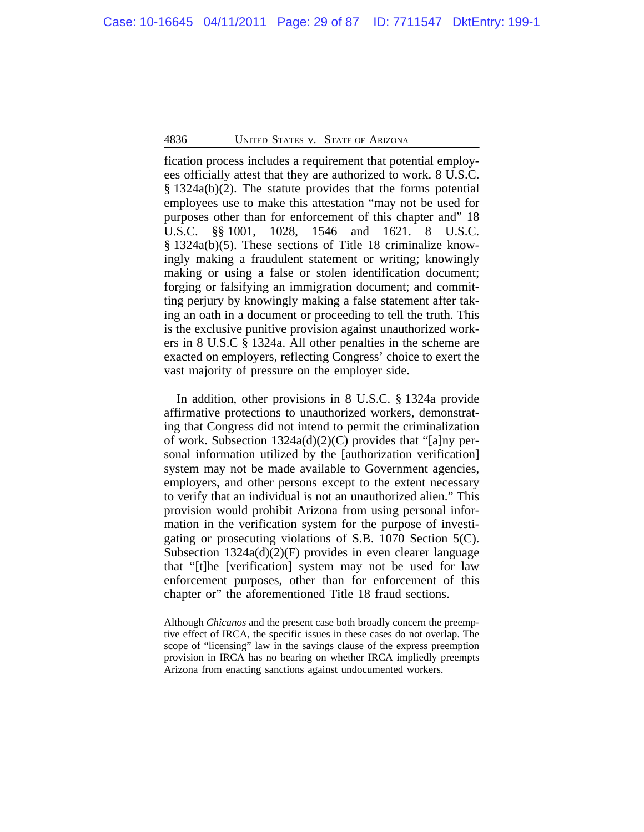fication process includes a requirement that potential employees officially attest that they are authorized to work. 8 U.S.C. § 1324a(b)(2). The statute provides that the forms potential employees use to make this attestation "may not be used for purposes other than for enforcement of this chapter and" 18 U.S.C. §§ 1001, 1028, 1546 and 1621. 8 U.S.C. § 1324a(b)(5). These sections of Title 18 criminalize knowingly making a fraudulent statement or writing; knowingly making or using a false or stolen identification document; forging or falsifying an immigration document; and committing perjury by knowingly making a false statement after taking an oath in a document or proceeding to tell the truth. This is the exclusive punitive provision against unauthorized workers in 8 U.S.C § 1324a. All other penalties in the scheme are exacted on employers, reflecting Congress' choice to exert the vast majority of pressure on the employer side.

In addition, other provisions in 8 U.S.C. § 1324a provide affirmative protections to unauthorized workers, demonstrating that Congress did not intend to permit the criminalization of work. Subsection 1324a(d)(2)(C) provides that "[a]ny personal information utilized by the [authorization verification] system may not be made available to Government agencies, employers, and other persons except to the extent necessary to verify that an individual is not an unauthorized alien." This provision would prohibit Arizona from using personal information in the verification system for the purpose of investigating or prosecuting violations of S.B. 1070 Section 5(C). Subsection  $1324a(d)(2)(F)$  provides in even clearer language that "[t]he [verification] system may not be used for law enforcement purposes, other than for enforcement of this chapter or" the aforementioned Title 18 fraud sections.

Although *Chicanos* and the present case both broadly concern the preemptive effect of IRCA, the specific issues in these cases do not overlap. The scope of "licensing" law in the savings clause of the express preemption provision in IRCA has no bearing on whether IRCA impliedly preempts Arizona from enacting sanctions against undocumented workers.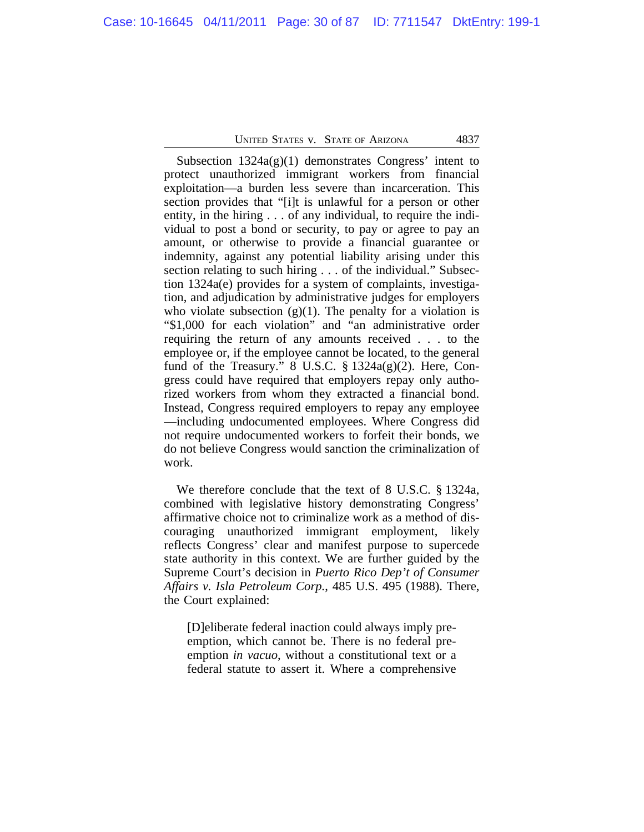Subsection  $1324a(g)(1)$  demonstrates Congress' intent to protect unauthorized immigrant workers from financial exploitation—a burden less severe than incarceration. This section provides that "[i]t is unlawful for a person or other entity, in the hiring . . . of any individual, to require the individual to post a bond or security, to pay or agree to pay an amount, or otherwise to provide a financial guarantee or indemnity, against any potential liability arising under this section relating to such hiring . . . of the individual." Subsection 1324a(e) provides for a system of complaints, investigation, and adjudication by administrative judges for employers who violate subsection  $(g)(1)$ . The penalty for a violation is "\$1,000 for each violation" and "an administrative order requiring the return of any amounts received . . . to the employee or, if the employee cannot be located, to the general fund of the Treasury." 8 U.S.C.  $\S 1324a(g)(2)$ . Here, Congress could have required that employers repay only authorized workers from whom they extracted a financial bond. Instead, Congress required employers to repay any employee —including undocumented employees. Where Congress did not require undocumented workers to forfeit their bonds, we do not believe Congress would sanction the criminalization of work.

We therefore conclude that the text of 8 U.S.C. § 1324a, combined with legislative history demonstrating Congress' affirmative choice not to criminalize work as a method of discouraging unauthorized immigrant employment, likely reflects Congress' clear and manifest purpose to supercede state authority in this context. We are further guided by the Supreme Court's decision in *Puerto Rico Dep't of Consumer Affairs v. Isla Petroleum Corp.*, 485 U.S. 495 (1988). There, the Court explained:

[D]eliberate federal inaction could always imply preemption, which cannot be. There is no federal preemption *in vacuo*, without a constitutional text or a federal statute to assert it. Where a comprehensive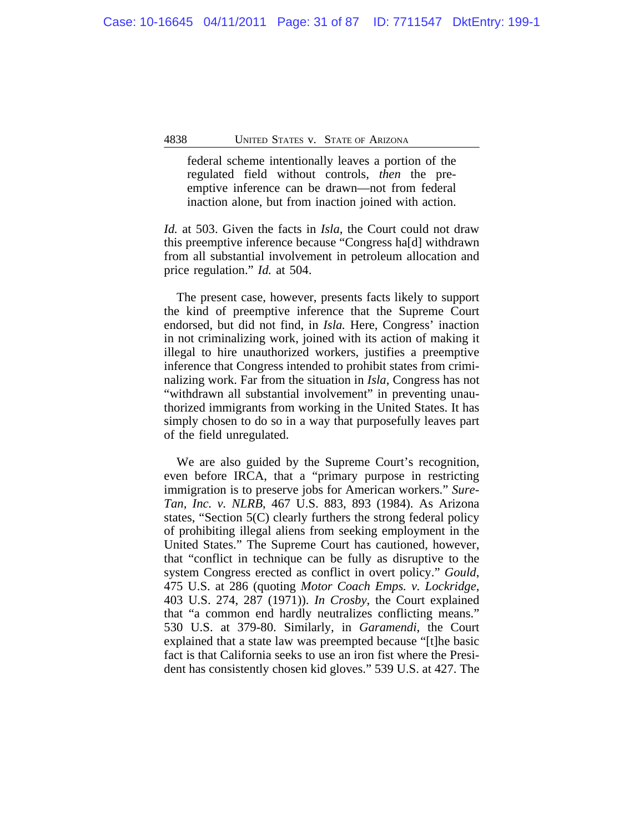federal scheme intentionally leaves a portion of the regulated field without controls, *then* the preemptive inference can be drawn—not from federal inaction alone, but from inaction joined with action.

*Id.* at 503. Given the facts in *Isla*, the Court could not draw this preemptive inference because "Congress ha[d] withdrawn from all substantial involvement in petroleum allocation and price regulation." *Id.* at 504.

The present case, however, presents facts likely to support the kind of preemptive inference that the Supreme Court endorsed, but did not find, in *Isla.* Here, Congress' inaction in not criminalizing work, joined with its action of making it illegal to hire unauthorized workers, justifies a preemptive inference that Congress intended to prohibit states from criminalizing work. Far from the situation in *Isla*, Congress has not "withdrawn all substantial involvement" in preventing unauthorized immigrants from working in the United States. It has simply chosen to do so in a way that purposefully leaves part of the field unregulated.

We are also guided by the Supreme Court's recognition, even before IRCA, that a "primary purpose in restricting immigration is to preserve jobs for American workers." *Sure-Tan, Inc. v. NLRB*, 467 U.S. 883, 893 (1984). As Arizona states, "Section 5(C) clearly furthers the strong federal policy of prohibiting illegal aliens from seeking employment in the United States." The Supreme Court has cautioned, however, that "conflict in technique can be fully as disruptive to the system Congress erected as conflict in overt policy." *Gould*, 475 U.S. at 286 (quoting *Motor Coach Emps. v. Lockridge*, 403 U.S. 274, 287 (1971)). *In Crosby*, the Court explained that "a common end hardly neutralizes conflicting means." 530 U.S. at 379-80. Similarly, in *Garamendi*, the Court explained that a state law was preempted because "[t]he basic fact is that California seeks to use an iron fist where the President has consistently chosen kid gloves." 539 U.S. at 427. The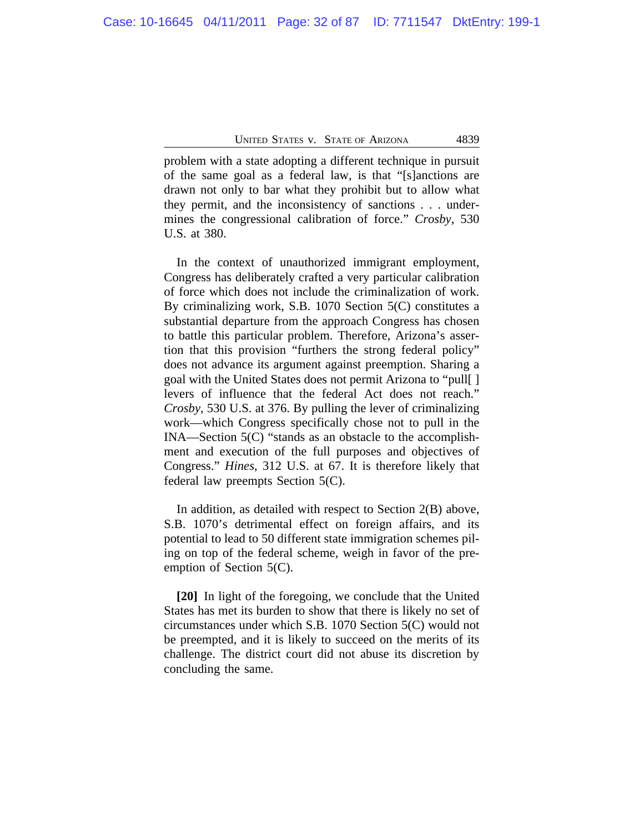problem with a state adopting a different technique in pursuit of the same goal as a federal law, is that "[s]anctions are drawn not only to bar what they prohibit but to allow what they permit, and the inconsistency of sanctions . . . undermines the congressional calibration of force." *Crosby*, 530 U.S. at 380.

In the context of unauthorized immigrant employment, Congress has deliberately crafted a very particular calibration of force which does not include the criminalization of work. By criminalizing work, S.B. 1070 Section 5(C) constitutes a substantial departure from the approach Congress has chosen to battle this particular problem. Therefore, Arizona's assertion that this provision "furthers the strong federal policy" does not advance its argument against preemption. Sharing a goal with the United States does not permit Arizona to "pull[ ] levers of influence that the federal Act does not reach." *Crosby*, 530 U.S. at 376. By pulling the lever of criminalizing work—which Congress specifically chose not to pull in the INA—Section 5(C) "stands as an obstacle to the accomplishment and execution of the full purposes and objectives of Congress." *Hines*, 312 U.S. at 67. It is therefore likely that federal law preempts Section 5(C).

In addition, as detailed with respect to Section 2(B) above, S.B. 1070's detrimental effect on foreign affairs, and its potential to lead to 50 different state immigration schemes piling on top of the federal scheme, weigh in favor of the preemption of Section 5(C).

**[20]** In light of the foregoing, we conclude that the United States has met its burden to show that there is likely no set of circumstances under which S.B. 1070 Section 5(C) would not be preempted, and it is likely to succeed on the merits of its challenge. The district court did not abuse its discretion by concluding the same.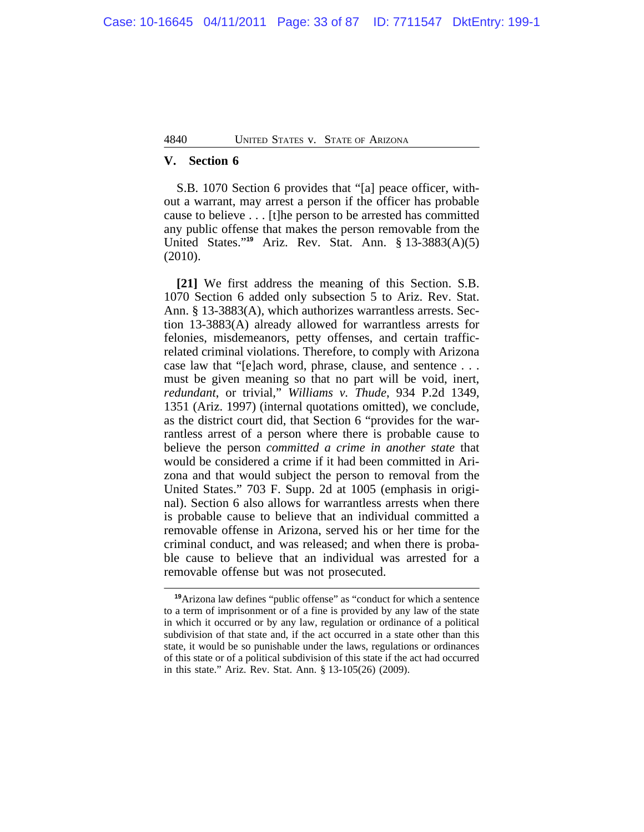## **V. Section 6**

S.B. 1070 Section 6 provides that "[a] peace officer, without a warrant, may arrest a person if the officer has probable cause to believe . . . [t]he person to be arrested has committed any public offense that makes the person removable from the United States." **<sup>19</sup>** Ariz. Rev. Stat. Ann. § 13-3883(A)(5) (2010).

**[21]** We first address the meaning of this Section. S.B. 1070 Section 6 added only subsection 5 to Ariz. Rev. Stat. Ann. § 13-3883(A), which authorizes warrantless arrests. Section 13-3883(A) already allowed for warrantless arrests for felonies, misdemeanors, petty offenses, and certain trafficrelated criminal violations. Therefore, to comply with Arizona case law that "[e]ach word, phrase, clause, and sentence . . . must be given meaning so that no part will be void, inert, *redundant*, or trivial," *Williams v. Thude*, 934 P.2d 1349, 1351 (Ariz. 1997) (internal quotations omitted), we conclude, as the district court did, that Section 6 "provides for the warrantless arrest of a person where there is probable cause to believe the person *committed a crime in another state* that would be considered a crime if it had been committed in Arizona and that would subject the person to removal from the United States." 703 F. Supp. 2d at 1005 (emphasis in original). Section 6 also allows for warrantless arrests when there is probable cause to believe that an individual committed a removable offense in Arizona, served his or her time for the criminal conduct, and was released; and when there is probable cause to believe that an individual was arrested for a removable offense but was not prosecuted.

**<sup>19</sup>**Arizona law defines "public offense" as "conduct for which a sentence to a term of imprisonment or of a fine is provided by any law of the state in which it occurred or by any law, regulation or ordinance of a political subdivision of that state and, if the act occurred in a state other than this state, it would be so punishable under the laws, regulations or ordinances of this state or of a political subdivision of this state if the act had occurred in this state." Ariz. Rev. Stat. Ann. § 13-105(26) (2009).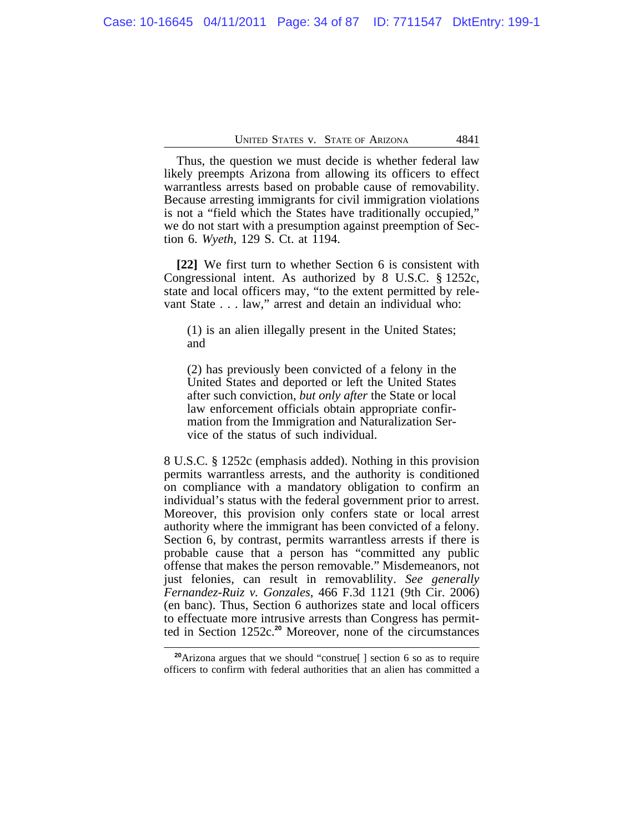Thus, the question we must decide is whether federal law likely preempts Arizona from allowing its officers to effect warrantless arrests based on probable cause of removability. Because arresting immigrants for civil immigration violations is not a "field which the States have traditionally occupied," we do not start with a presumption against preemption of Section 6. *Wyeth*, 129 S. Ct. at 1194.

**[22]** We first turn to whether Section 6 is consistent with Congressional intent. As authorized by 8 U.S.C. § 1252c, state and local officers may, "to the extent permitted by relevant State . . . law," arrest and detain an individual who:

(1) is an alien illegally present in the United States; and

(2) has previously been convicted of a felony in the United States and deported or left the United States after such conviction, *but only after* the State or local law enforcement officials obtain appropriate confirmation from the Immigration and Naturalization Service of the status of such individual.

8 U.S.C. § 1252c (emphasis added). Nothing in this provision permits warrantless arrests, and the authority is conditioned on compliance with a mandatory obligation to confirm an individual's status with the federal government prior to arrest. Moreover, this provision only confers state or local arrest authority where the immigrant has been convicted of a felony. Section 6, by contrast, permits warrantless arrests if there is probable cause that a person has "committed any public offense that makes the person removable." Misdemeanors, not just felonies, can result in removablility. *See generally Fernandez-Ruiz v. Gonzales*, 466 F.3d 1121 (9th Cir. 2006) (en banc). Thus, Section 6 authorizes state and local officers to effectuate more intrusive arrests than Congress has permitted in Section 1252c.**<sup>20</sup>** Moreover, none of the circumstances

**<sup>20</sup>**Arizona argues that we should "construe[ ] section 6 so as to require officers to confirm with federal authorities that an alien has committed a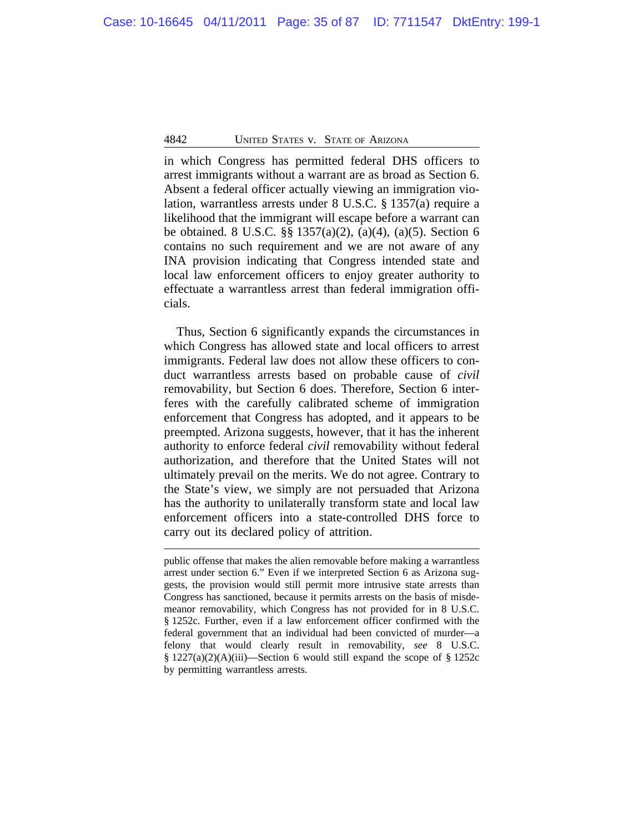in which Congress has permitted federal DHS officers to arrest immigrants without a warrant are as broad as Section 6. Absent a federal officer actually viewing an immigration violation, warrantless arrests under 8 U.S.C. § 1357(a) require a likelihood that the immigrant will escape before a warrant can be obtained. 8 U.S.C. §§ 1357(a)(2), (a)(4), (a)(5). Section 6 contains no such requirement and we are not aware of any INA provision indicating that Congress intended state and local law enforcement officers to enjoy greater authority to effectuate a warrantless arrest than federal immigration officials.

Thus, Section 6 significantly expands the circumstances in which Congress has allowed state and local officers to arrest immigrants. Federal law does not allow these officers to conduct warrantless arrests based on probable cause of *civil* removability, but Section 6 does. Therefore, Section 6 interferes with the carefully calibrated scheme of immigration enforcement that Congress has adopted, and it appears to be preempted. Arizona suggests, however, that it has the inherent authority to enforce federal *civil* removability without federal authorization, and therefore that the United States will not ultimately prevail on the merits. We do not agree. Contrary to the State's view, we simply are not persuaded that Arizona has the authority to unilaterally transform state and local law enforcement officers into a state-controlled DHS force to carry out its declared policy of attrition.

public offense that makes the alien removable before making a warrantless arrest under section 6." Even if we interpreted Section 6 as Arizona suggests, the provision would still permit more intrusive state arrests than Congress has sanctioned, because it permits arrests on the basis of misdemeanor removability, which Congress has not provided for in 8 U.S.C. § 1252c. Further, even if a law enforcement officer confirmed with the federal government that an individual had been convicted of murder—a felony that would clearly result in removability, *see* 8 U.S.C. § 1227(a)(2)(A)(iii)—Section 6 would still expand the scope of § 1252c by permitting warrantless arrests.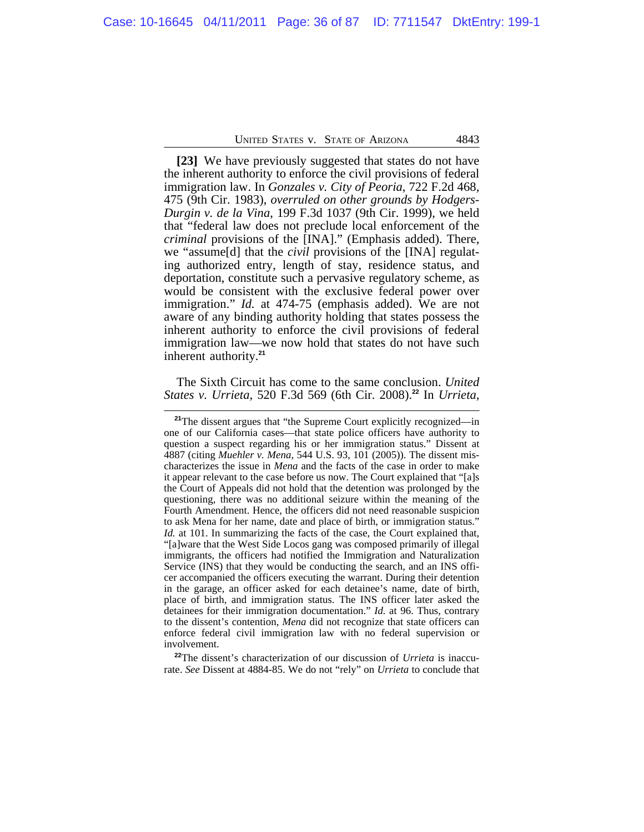**[23]** We have previously suggested that states do not have the inherent authority to enforce the civil provisions of federal immigration law. In *Gonzales v. City of Peoria*, 722 F.2d 468, 475 (9th Cir. 1983), *overruled on other grounds by Hodgers-Durgin v. de la Vina*, 199 F.3d 1037 (9th Cir. 1999), we held that "federal law does not preclude local enforcement of the *criminal* provisions of the [INA]." (Emphasis added). There, we "assume[d] that the *civil* provisions of the [INA] regulating authorized entry, length of stay, residence status, and deportation, constitute such a pervasive regulatory scheme, as would be consistent with the exclusive federal power over immigration." *Id.* at 474-75 (emphasis added). We are not aware of any binding authority holding that states possess the inherent authority to enforce the civil provisions of federal immigration law—we now hold that states do not have such inherent authority.**<sup>21</sup>**

The Sixth Circuit has come to the same conclusion. *United States v. Urrieta*, 520 F.3d 569 (6th Cir. 2008).**<sup>22</sup>** In *Urrieta*,

**<sup>22</sup>**The dissent's characterization of our discussion of *Urrieta* is inaccurate. *See* Dissent at 4884-85. We do not "rely" on *Urrieta* to conclude that

<sup>&</sup>lt;sup>21</sup>The dissent argues that "the Supreme Court explicitly recognized—in one of our California cases—that state police officers have authority to question a suspect regarding his or her immigration status." Dissent at 4887 (citing *Muehler v. Mena*, 544 U.S. 93, 101 (2005)). The dissent mischaracterizes the issue in *Mena* and the facts of the case in order to make it appear relevant to the case before us now. The Court explained that "[a]s the Court of Appeals did not hold that the detention was prolonged by the questioning, there was no additional seizure within the meaning of the Fourth Amendment. Hence, the officers did not need reasonable suspicion to ask Mena for her name, date and place of birth, or immigration status." *Id.* at 101. In summarizing the facts of the case, the Court explained that, "[a]ware that the West Side Locos gang was composed primarily of illegal immigrants, the officers had notified the Immigration and Naturalization Service (INS) that they would be conducting the search, and an INS officer accompanied the officers executing the warrant. During their detention in the garage, an officer asked for each detainee's name, date of birth, place of birth, and immigration status. The INS officer later asked the detainees for their immigration documentation." *Id.* at 96. Thus, contrary to the dissent's contention, *Mena* did not recognize that state officers can enforce federal civil immigration law with no federal supervision or involvement.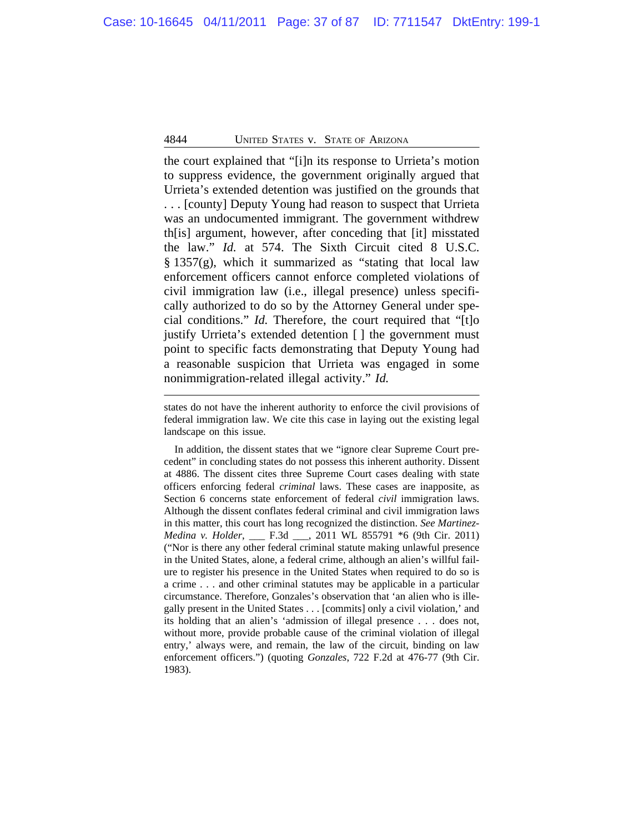the court explained that "[i]n its response to Urrieta's motion to suppress evidence, the government originally argued that Urrieta's extended detention was justified on the grounds that . . . [county] Deputy Young had reason to suspect that Urrieta was an undocumented immigrant. The government withdrew th[is] argument, however, after conceding that [it] misstated the law." *Id.* at 574. The Sixth Circuit cited 8 U.S.C.  $§$  1357(g), which it summarized as "stating that local law enforcement officers cannot enforce completed violations of civil immigration law (i.e., illegal presence) unless specifically authorized to do so by the Attorney General under special conditions." *Id.* Therefore, the court required that "[t]o justify Urrieta's extended detention [ ] the government must point to specific facts demonstrating that Deputy Young had a reasonable suspicion that Urrieta was engaged in some nonimmigration-related illegal activity." *Id.*

In addition, the dissent states that we "ignore clear Supreme Court precedent" in concluding states do not possess this inherent authority. Dissent at 4886. The dissent cites three Supreme Court cases dealing with state officers enforcing federal *criminal* laws. These cases are inapposite, as Section 6 concerns state enforcement of federal *civil* immigration laws. Although the dissent conflates federal criminal and civil immigration laws in this matter, this court has long recognized the distinction. *See Martinez-Medina v. Holder*, \_\_\_ F.3d \_\_\_, 2011 WL 855791 \*6 (9th Cir. 2011) ("Nor is there any other federal criminal statute making unlawful presence in the United States, alone, a federal crime, although an alien's willful failure to register his presence in the United States when required to do so is a crime . . . and other criminal statutes may be applicable in a particular circumstance. Therefore, Gonzales's observation that 'an alien who is illegally present in the United States . . . [commits] only a civil violation,' and its holding that an alien's 'admission of illegal presence . . . does not, without more, provide probable cause of the criminal violation of illegal entry,' always were, and remain, the law of the circuit, binding on law enforcement officers.") (quoting *Gonzales*, 722 F.2d at 476-77 (9th Cir. 1983).

states do not have the inherent authority to enforce the civil provisions of federal immigration law. We cite this case in laying out the existing legal landscape on this issue.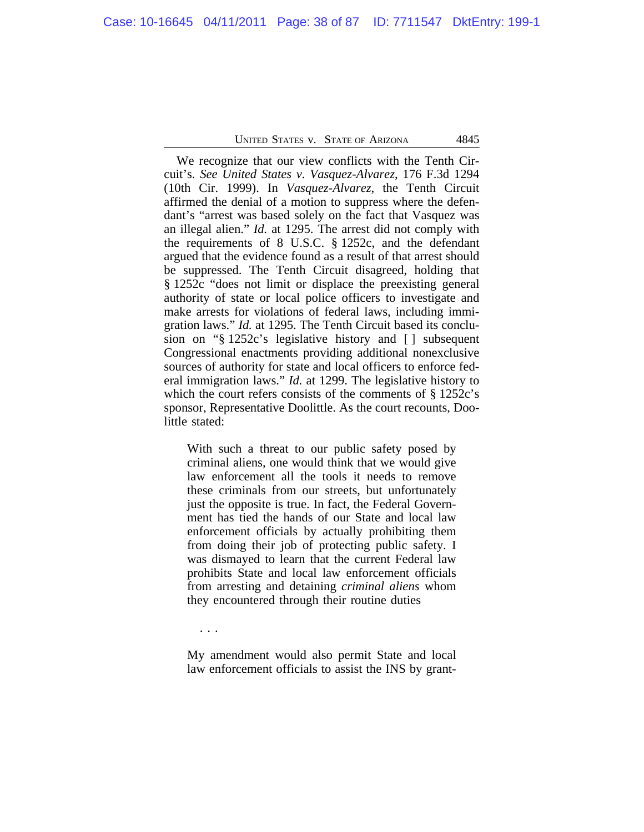We recognize that our view conflicts with the Tenth Circuit's. *See United States v. Vasquez-Alvarez*, 176 F.3d 1294 (10th Cir. 1999). In *Vasquez-Alvarez*, the Tenth Circuit affirmed the denial of a motion to suppress where the defendant's "arrest was based solely on the fact that Vasquez was an illegal alien." *Id.* at 1295. The arrest did not comply with the requirements of 8 U.S.C. § 1252c, and the defendant argued that the evidence found as a result of that arrest should be suppressed. The Tenth Circuit disagreed, holding that § 1252c "does not limit or displace the preexisting general authority of state or local police officers to investigate and make arrests for violations of federal laws, including immigration laws." *Id.* at 1295. The Tenth Circuit based its conclusion on "§ 1252c's legislative history and [ ] subsequent Congressional enactments providing additional nonexclusive sources of authority for state and local officers to enforce federal immigration laws." *Id.* at 1299. The legislative history to which the court refers consists of the comments of § 1252c's sponsor, Representative Doolittle. As the court recounts, Doolittle stated:

With such a threat to our public safety posed by criminal aliens, one would think that we would give law enforcement all the tools it needs to remove these criminals from our streets, but unfortunately just the opposite is true. In fact, the Federal Government has tied the hands of our State and local law enforcement officials by actually prohibiting them from doing their job of protecting public safety. I was dismayed to learn that the current Federal law prohibits State and local law enforcement officials from arresting and detaining *criminal aliens* whom they encountered through their routine duties

. . .

My amendment would also permit State and local law enforcement officials to assist the INS by grant-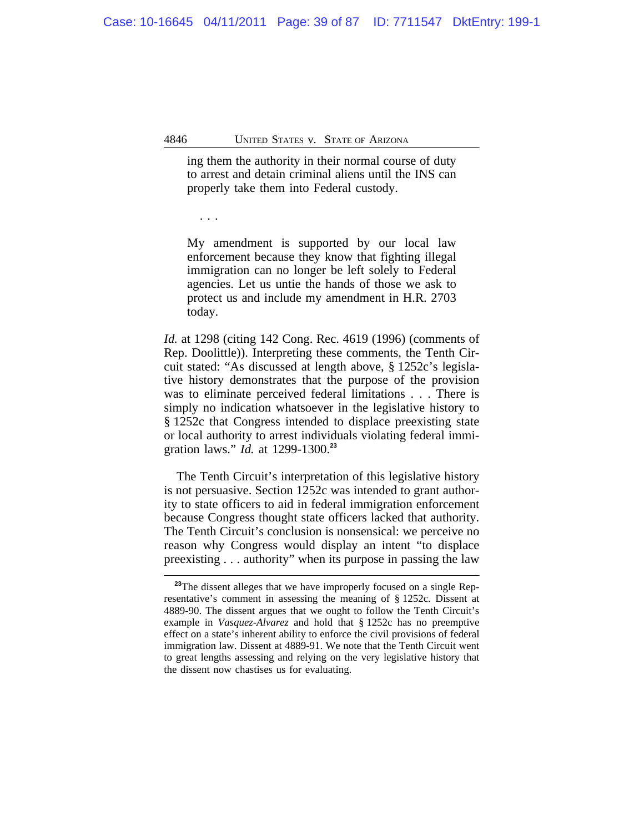ing them the authority in their normal course of duty to arrest and detain criminal aliens until the INS can properly take them into Federal custody.

. . .

My amendment is supported by our local law enforcement because they know that fighting illegal immigration can no longer be left solely to Federal agencies. Let us untie the hands of those we ask to protect us and include my amendment in H.R. 2703 today.

*Id.* at 1298 (citing 142 Cong. Rec. 4619 (1996) (comments of Rep. Doolittle)). Interpreting these comments, the Tenth Circuit stated: "As discussed at length above, § 1252c's legislative history demonstrates that the purpose of the provision was to eliminate perceived federal limitations . . . There is simply no indication whatsoever in the legislative history to § 1252c that Congress intended to displace preexisting state or local authority to arrest individuals violating federal immigration laws." *Id.* at 1299-1300.**<sup>23</sup>**

The Tenth Circuit's interpretation of this legislative history is not persuasive. Section 1252c was intended to grant authority to state officers to aid in federal immigration enforcement because Congress thought state officers lacked that authority. The Tenth Circuit's conclusion is nonsensical: we perceive no reason why Congress would display an intent "to displace preexisting . . . authority" when its purpose in passing the law

<sup>&</sup>lt;sup>23</sup>The dissent alleges that we have improperly focused on a single Representative's comment in assessing the meaning of § 1252c. Dissent at 4889-90. The dissent argues that we ought to follow the Tenth Circuit's example in *Vasquez-Alvarez* and hold that § 1252c has no preemptive effect on a state's inherent ability to enforce the civil provisions of federal immigration law. Dissent at 4889-91. We note that the Tenth Circuit went to great lengths assessing and relying on the very legislative history that the dissent now chastises us for evaluating.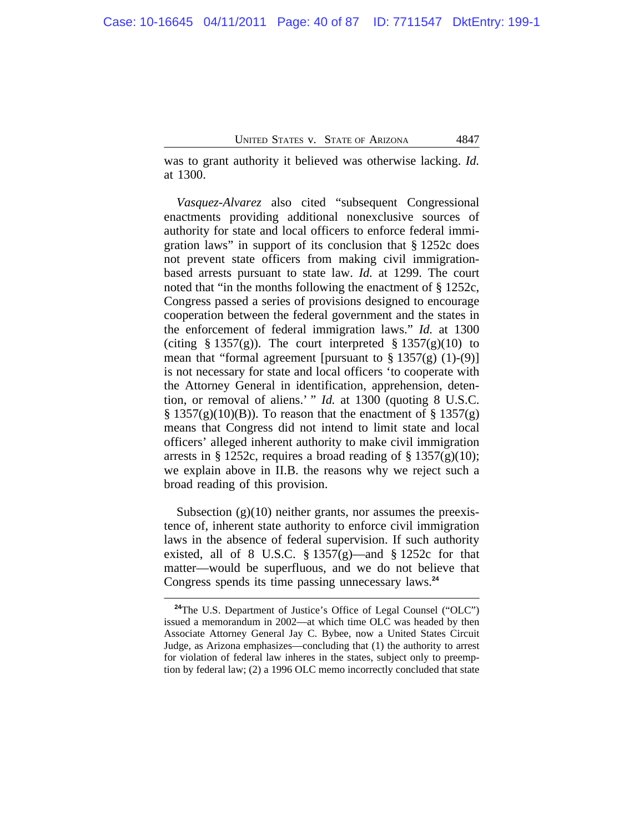was to grant authority it believed was otherwise lacking. *Id.* at 1300.

*Vasquez-Alvarez* also cited "subsequent Congressional enactments providing additional nonexclusive sources of authority for state and local officers to enforce federal immigration laws" in support of its conclusion that § 1252c does not prevent state officers from making civil immigrationbased arrests pursuant to state law. *Id.* at 1299. The court noted that "in the months following the enactment of § 1252c, Congress passed a series of provisions designed to encourage cooperation between the federal government and the states in the enforcement of federal immigration laws." *Id.* at 1300 (citing § 1357(g)). The court interpreted § 1357(g)(10) to mean that "formal agreement [pursuant to  $\S 1357(g)$  (1)-(9)] is not necessary for state and local officers 'to cooperate with the Attorney General in identification, apprehension, detention, or removal of aliens.' " *Id.* at 1300 (quoting 8 U.S.C.  $\S 1357(g)(10)(B)$ . To reason that the enactment of  $\S 1357(g)$ means that Congress did not intend to limit state and local officers' alleged inherent authority to make civil immigration arrests in § 1252c, requires a broad reading of § 1357 $(g)(10)$ ; we explain above in II.B. the reasons why we reject such a broad reading of this provision.

Subsection  $(g)(10)$  neither grants, nor assumes the preexistence of, inherent state authority to enforce civil immigration laws in the absence of federal supervision. If such authority existed, all of 8 U.S.C.  $\S 1357(g)$ —and  $\S 1252c$  for that matter—would be superfluous, and we do not believe that Congress spends its time passing unnecessary laws.**<sup>24</sup>**

**<sup>24</sup>**The U.S. Department of Justice's Office of Legal Counsel ("OLC") issued a memorandum in 2002—at which time OLC was headed by then Associate Attorney General Jay C. Bybee, now a United States Circuit Judge, as Arizona emphasizes—concluding that (1) the authority to arrest for violation of federal law inheres in the states, subject only to preemption by federal law; (2) a 1996 OLC memo incorrectly concluded that state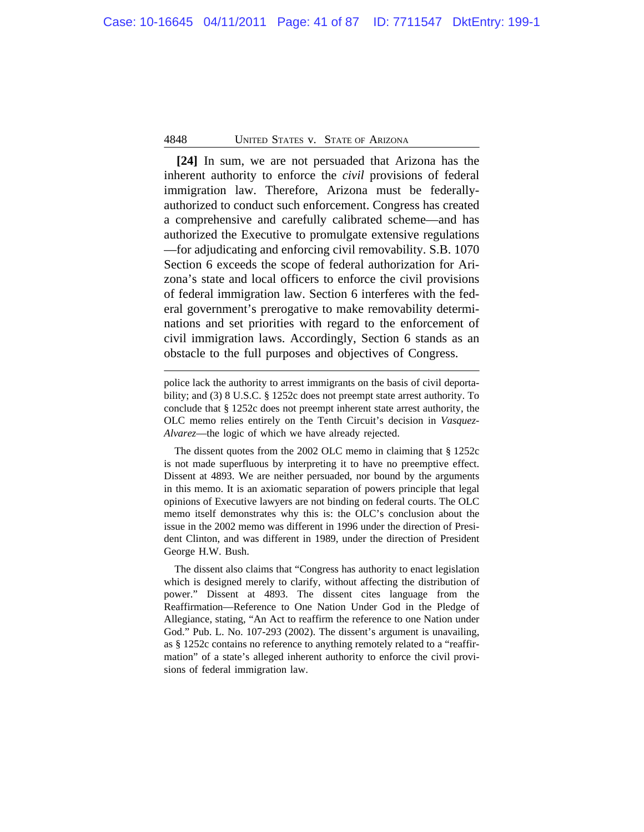**[24]** In sum, we are not persuaded that Arizona has the inherent authority to enforce the *civil* provisions of federal immigration law. Therefore, Arizona must be federallyauthorized to conduct such enforcement. Congress has created a comprehensive and carefully calibrated scheme—and has authorized the Executive to promulgate extensive regulations —for adjudicating and enforcing civil removability. S.B. 1070 Section 6 exceeds the scope of federal authorization for Arizona's state and local officers to enforce the civil provisions of federal immigration law. Section 6 interferes with the federal government's prerogative to make removability determinations and set priorities with regard to the enforcement of civil immigration laws. Accordingly, Section 6 stands as an obstacle to the full purposes and objectives of Congress.

The dissent also claims that "Congress has authority to enact legislation which is designed merely to clarify, without affecting the distribution of power." Dissent at 4893. The dissent cites language from the Reaffirmation—Reference to One Nation Under God in the Pledge of Allegiance, stating, "An Act to reaffirm the reference to one Nation under God." Pub. L. No. 107-293 (2002). The dissent's argument is unavailing, as § 1252c contains no reference to anything remotely related to a "reaffirmation" of a state's alleged inherent authority to enforce the civil provisions of federal immigration law.

police lack the authority to arrest immigrants on the basis of civil deportability; and (3) 8 U.S.C. § 1252c does not preempt state arrest authority. To conclude that § 1252c does not preempt inherent state arrest authority, the OLC memo relies entirely on the Tenth Circuit's decision in *Vasquez-Alvarez*—the logic of which we have already rejected.

The dissent quotes from the 2002 OLC memo in claiming that § 1252c is not made superfluous by interpreting it to have no preemptive effect. Dissent at 4893. We are neither persuaded, nor bound by the arguments in this memo. It is an axiomatic separation of powers principle that legal opinions of Executive lawyers are not binding on federal courts. The OLC memo itself demonstrates why this is: the OLC's conclusion about the issue in the 2002 memo was different in 1996 under the direction of President Clinton, and was different in 1989, under the direction of President George H.W. Bush.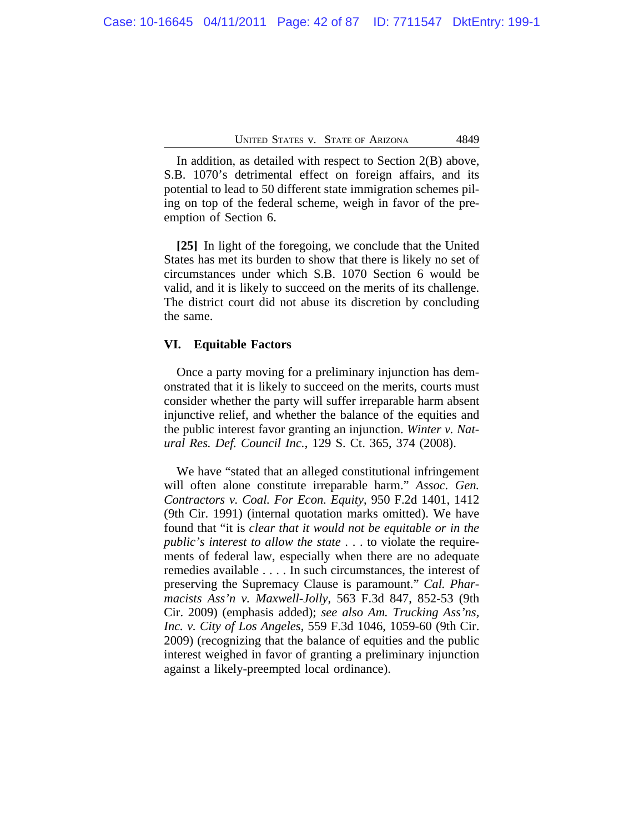In addition, as detailed with respect to Section 2(B) above, S.B. 1070's detrimental effect on foreign affairs, and its potential to lead to 50 different state immigration schemes piling on top of the federal scheme, weigh in favor of the preemption of Section 6.

**[25]** In light of the foregoing, we conclude that the United States has met its burden to show that there is likely no set of circumstances under which S.B. 1070 Section 6 would be valid, and it is likely to succeed on the merits of its challenge. The district court did not abuse its discretion by concluding the same.

### **VI. Equitable Factors**

Once a party moving for a preliminary injunction has demonstrated that it is likely to succeed on the merits, courts must consider whether the party will suffer irreparable harm absent injunctive relief, and whether the balance of the equities and the public interest favor granting an injunction. *Winter v. Natural Res. Def. Council Inc.*, 129 S. Ct. 365, 374 (2008).

We have "stated that an alleged constitutional infringement will often alone constitute irreparable harm." *Assoc. Gen. Contractors v. Coal. For Econ. Equity*, 950 F.2d 1401, 1412 (9th Cir. 1991) (internal quotation marks omitted). We have found that "it is *clear that it would not be equitable or in the public's interest to allow the state* . . . to violate the requirements of federal law, especially when there are no adequate remedies available . . . . In such circumstances, the interest of preserving the Supremacy Clause is paramount." *Cal. Pharmacists Ass'n v. Maxwell-Jolly*, 563 F.3d 847, 852-53 (9th Cir. 2009) (emphasis added); *see also Am. Trucking Ass'ns, Inc. v. City of Los Angeles*, 559 F.3d 1046, 1059-60 (9th Cir. 2009) (recognizing that the balance of equities and the public interest weighed in favor of granting a preliminary injunction against a likely-preempted local ordinance).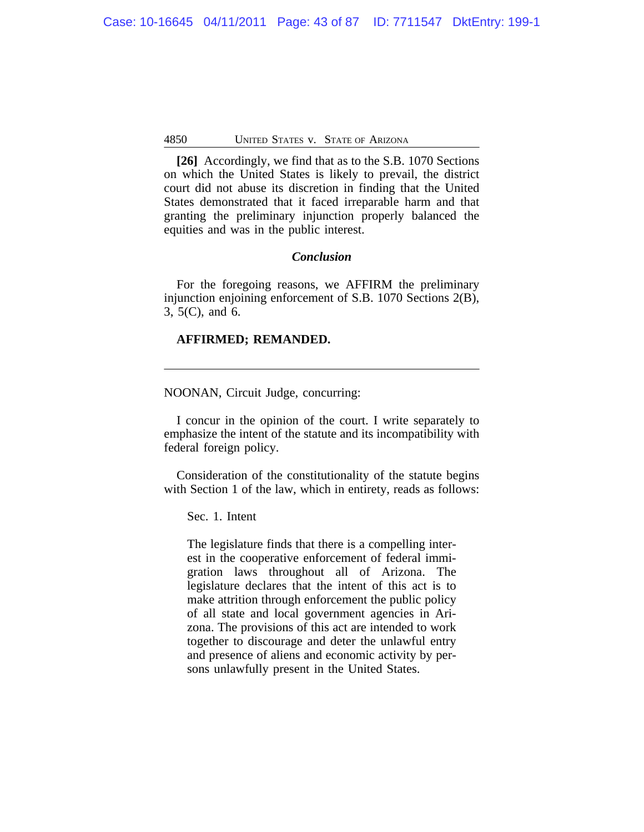**[26]** Accordingly, we find that as to the S.B. 1070 Sections on which the United States is likely to prevail, the district court did not abuse its discretion in finding that the United States demonstrated that it faced irreparable harm and that granting the preliminary injunction properly balanced the equities and was in the public interest.

# *Conclusion*

For the foregoing reasons, we AFFIRM the preliminary injunction enjoining enforcement of S.B. 1070 Sections 2(B), 3, 5(C), and 6.

### **AFFIRMED; REMANDED.**

NOONAN, Circuit Judge, concurring:

I concur in the opinion of the court. I write separately to emphasize the intent of the statute and its incompatibility with federal foreign policy.

Consideration of the constitutionality of the statute begins with Section 1 of the law, which in entirety, reads as follows:

Sec. 1. Intent

The legislature finds that there is a compelling interest in the cooperative enforcement of federal immigration laws throughout all of Arizona. The legislature declares that the intent of this act is to make attrition through enforcement the public policy of all state and local government agencies in Arizona. The provisions of this act are intended to work together to discourage and deter the unlawful entry and presence of aliens and economic activity by persons unlawfully present in the United States.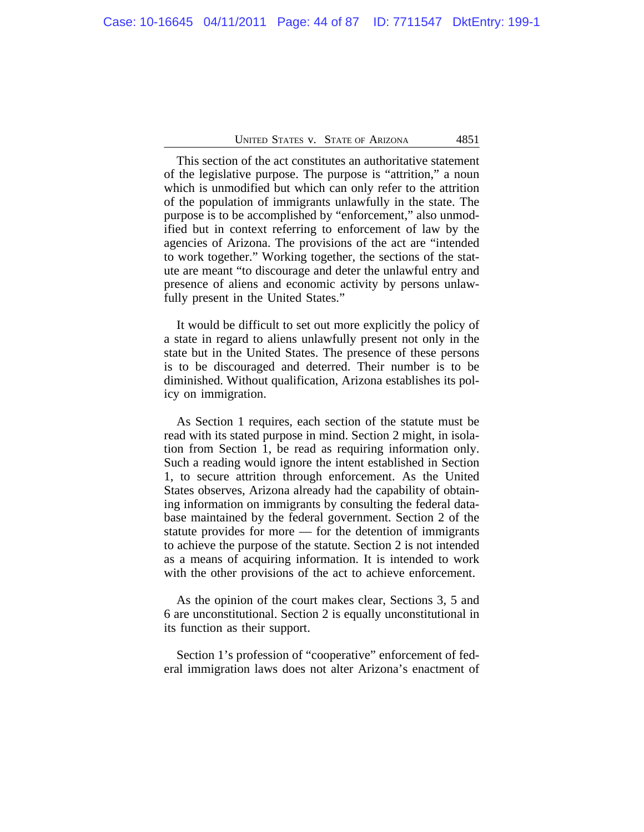This section of the act constitutes an authoritative statement of the legislative purpose. The purpose is "attrition," a noun which is unmodified but which can only refer to the attrition of the population of immigrants unlawfully in the state. The purpose is to be accomplished by "enforcement," also unmodified but in context referring to enforcement of law by the agencies of Arizona. The provisions of the act are "intended to work together." Working together, the sections of the statute are meant "to discourage and deter the unlawful entry and presence of aliens and economic activity by persons unlawfully present in the United States."

It would be difficult to set out more explicitly the policy of a state in regard to aliens unlawfully present not only in the state but in the United States. The presence of these persons is to be discouraged and deterred. Their number is to be diminished. Without qualification, Arizona establishes its policy on immigration.

As Section 1 requires, each section of the statute must be read with its stated purpose in mind. Section 2 might, in isolation from Section 1, be read as requiring information only. Such a reading would ignore the intent established in Section 1, to secure attrition through enforcement. As the United States observes, Arizona already had the capability of obtaining information on immigrants by consulting the federal database maintained by the federal government. Section 2 of the statute provides for more — for the detention of immigrants to achieve the purpose of the statute. Section 2 is not intended as a means of acquiring information. It is intended to work with the other provisions of the act to achieve enforcement.

As the opinion of the court makes clear, Sections 3, 5 and 6 are unconstitutional. Section 2 is equally unconstitutional in its function as their support.

Section 1's profession of "cooperative" enforcement of federal immigration laws does not alter Arizona's enactment of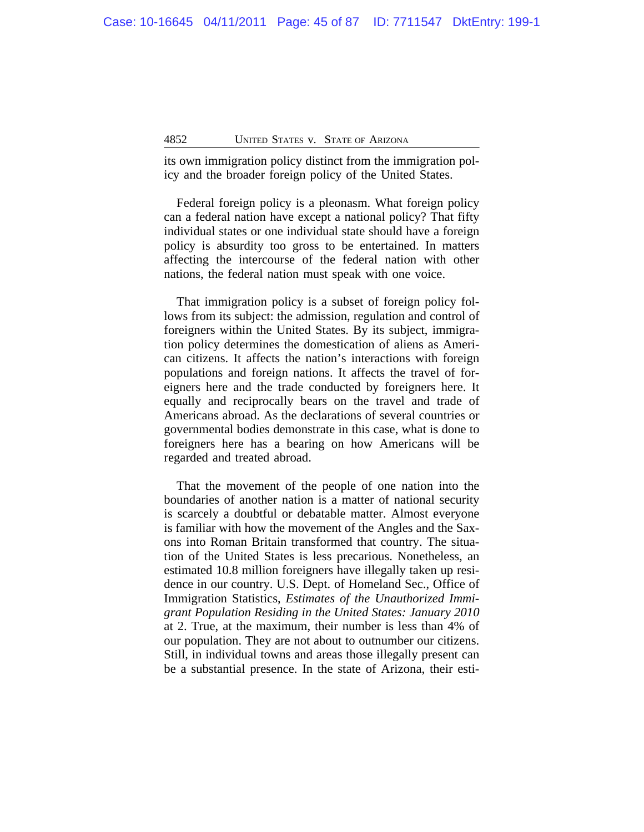its own immigration policy distinct from the immigration policy and the broader foreign policy of the United States.

Federal foreign policy is a pleonasm. What foreign policy can a federal nation have except a national policy? That fifty individual states or one individual state should have a foreign policy is absurdity too gross to be entertained. In matters affecting the intercourse of the federal nation with other nations, the federal nation must speak with one voice.

That immigration policy is a subset of foreign policy follows from its subject: the admission, regulation and control of foreigners within the United States. By its subject, immigration policy determines the domestication of aliens as American citizens. It affects the nation's interactions with foreign populations and foreign nations. It affects the travel of foreigners here and the trade conducted by foreigners here. It equally and reciprocally bears on the travel and trade of Americans abroad. As the declarations of several countries or governmental bodies demonstrate in this case, what is done to foreigners here has a bearing on how Americans will be regarded and treated abroad.

That the movement of the people of one nation into the boundaries of another nation is a matter of national security is scarcely a doubtful or debatable matter. Almost everyone is familiar with how the movement of the Angles and the Saxons into Roman Britain transformed that country. The situation of the United States is less precarious. Nonetheless, an estimated 10.8 million foreigners have illegally taken up residence in our country. U.S. Dept. of Homeland Sec., Office of Immigration Statistics, *Estimates of the Unauthorized Immigrant Population Residing in the United States: January 2010* at 2. True, at the maximum, their number is less than 4% of our population. They are not about to outnumber our citizens. Still, in individual towns and areas those illegally present can be a substantial presence. In the state of Arizona, their esti-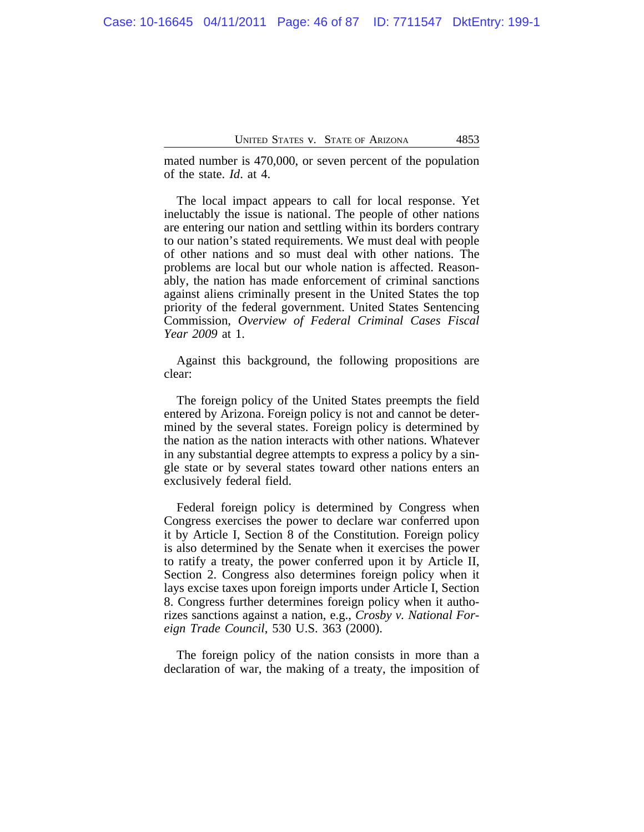mated number is 470,000, or seven percent of the population of the state. *Id*. at 4.

The local impact appears to call for local response. Yet ineluctably the issue is national. The people of other nations are entering our nation and settling within its borders contrary to our nation's stated requirements. We must deal with people of other nations and so must deal with other nations. The problems are local but our whole nation is affected. Reasonably, the nation has made enforcement of criminal sanctions against aliens criminally present in the United States the top priority of the federal government. United States Sentencing Commission, *Overview of Federal Criminal Cases Fiscal Year 2009* at 1.

Against this background, the following propositions are clear:

The foreign policy of the United States preempts the field entered by Arizona. Foreign policy is not and cannot be determined by the several states. Foreign policy is determined by the nation as the nation interacts with other nations. Whatever in any substantial degree attempts to express a policy by a single state or by several states toward other nations enters an exclusively federal field.

Federal foreign policy is determined by Congress when Congress exercises the power to declare war conferred upon it by Article I, Section 8 of the Constitution. Foreign policy is also determined by the Senate when it exercises the power to ratify a treaty, the power conferred upon it by Article II, Section 2. Congress also determines foreign policy when it lays excise taxes upon foreign imports under Article I, Section 8. Congress further determines foreign policy when it authorizes sanctions against a nation, e.g., *Crosby v. National Foreign Trade Council*, 530 U.S. 363 (2000).

The foreign policy of the nation consists in more than a declaration of war, the making of a treaty, the imposition of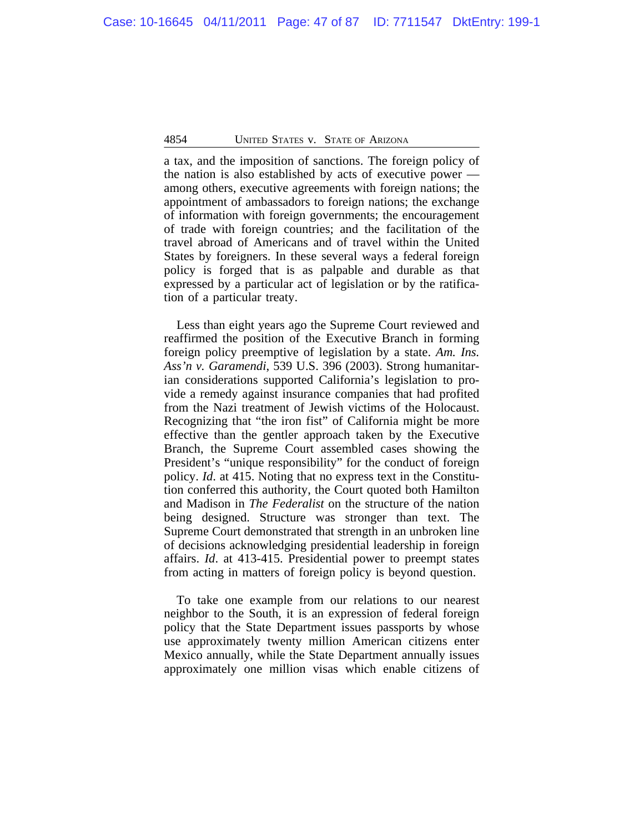a tax, and the imposition of sanctions. The foreign policy of the nation is also established by acts of executive power among others, executive agreements with foreign nations; the appointment of ambassadors to foreign nations; the exchange of information with foreign governments; the encouragement of trade with foreign countries; and the facilitation of the travel abroad of Americans and of travel within the United States by foreigners. In these several ways a federal foreign policy is forged that is as palpable and durable as that expressed by a particular act of legislation or by the ratification of a particular treaty.

Less than eight years ago the Supreme Court reviewed and reaffirmed the position of the Executive Branch in forming foreign policy preemptive of legislation by a state. *Am. Ins. Ass'n v. Garamendi*, 539 U.S. 396 (2003). Strong humanitarian considerations supported California's legislation to provide a remedy against insurance companies that had profited from the Nazi treatment of Jewish victims of the Holocaust. Recognizing that "the iron fist" of California might be more effective than the gentler approach taken by the Executive Branch, the Supreme Court assembled cases showing the President's "unique responsibility" for the conduct of foreign policy. *Id*. at 415. Noting that no express text in the Constitution conferred this authority, the Court quoted both Hamilton and Madison in *The Federalist* on the structure of the nation being designed. Structure was stronger than text. The Supreme Court demonstrated that strength in an unbroken line of decisions acknowledging presidential leadership in foreign affairs. *Id*. at 413-415. Presidential power to preempt states from acting in matters of foreign policy is beyond question.

To take one example from our relations to our nearest neighbor to the South, it is an expression of federal foreign policy that the State Department issues passports by whose use approximately twenty million American citizens enter Mexico annually, while the State Department annually issues approximately one million visas which enable citizens of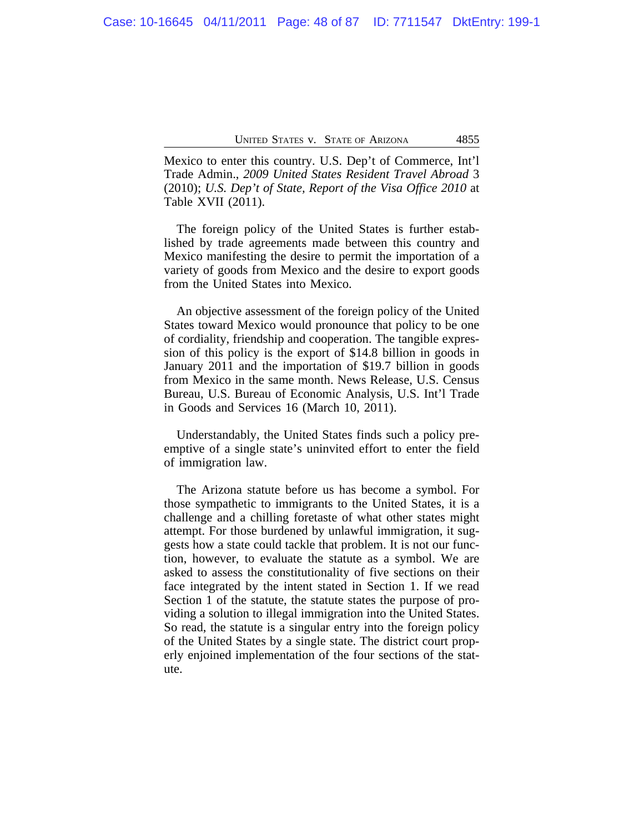Mexico to enter this country. U.S. Dep't of Commerce, Int'l Trade Admin., *2009 United States Resident Travel Abroad* 3 (2010); *U.S. Dep't of State, Report of the Visa Office 2010* at Table XVII (2011).

The foreign policy of the United States is further established by trade agreements made between this country and Mexico manifesting the desire to permit the importation of a variety of goods from Mexico and the desire to export goods from the United States into Mexico.

An objective assessment of the foreign policy of the United States toward Mexico would pronounce that policy to be one of cordiality, friendship and cooperation. The tangible expression of this policy is the export of \$14.8 billion in goods in January 2011 and the importation of \$19.7 billion in goods from Mexico in the same month. News Release, U.S. Census Bureau, U.S. Bureau of Economic Analysis, U.S. Int'l Trade in Goods and Services 16 (March 10, 2011).

Understandably, the United States finds such a policy preemptive of a single state's uninvited effort to enter the field of immigration law.

The Arizona statute before us has become a symbol. For those sympathetic to immigrants to the United States, it is a challenge and a chilling foretaste of what other states might attempt. For those burdened by unlawful immigration, it suggests how a state could tackle that problem. It is not our function, however, to evaluate the statute as a symbol. We are asked to assess the constitutionality of five sections on their face integrated by the intent stated in Section 1. If we read Section 1 of the statute, the statute states the purpose of providing a solution to illegal immigration into the United States. So read, the statute is a singular entry into the foreign policy of the United States by a single state. The district court properly enjoined implementation of the four sections of the statute.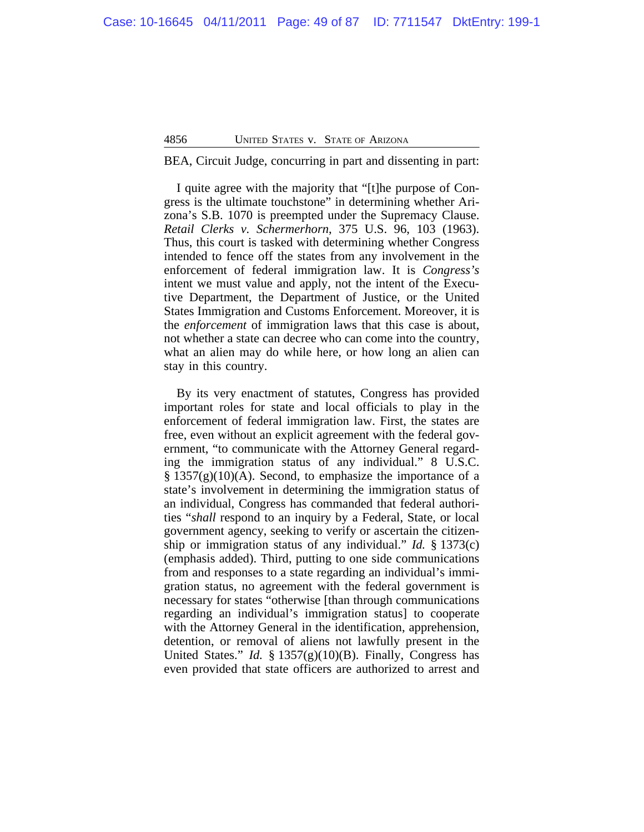BEA, Circuit Judge, concurring in part and dissenting in part:

I quite agree with the majority that "[t]he purpose of Congress is the ultimate touchstone" in determining whether Arizona's S.B. 1070 is preempted under the Supremacy Clause. *Retail Clerks v. Schermerhorn*, 375 U.S. 96, 103 (1963). Thus, this court is tasked with determining whether Congress intended to fence off the states from any involvement in the enforcement of federal immigration law. It is *Congress's* intent we must value and apply, not the intent of the Executive Department, the Department of Justice, or the United States Immigration and Customs Enforcement. Moreover, it is the *enforcement* of immigration laws that this case is about, not whether a state can decree who can come into the country, what an alien may do while here, or how long an alien can stay in this country.

By its very enactment of statutes, Congress has provided important roles for state and local officials to play in the enforcement of federal immigration law. First, the states are free, even without an explicit agreement with the federal government, "to communicate with the Attorney General regarding the immigration status of any individual." 8 U.S.C.  $\S 1357(g)(10)(A)$ . Second, to emphasize the importance of a state's involvement in determining the immigration status of an individual, Congress has commanded that federal authorities "*shall* respond to an inquiry by a Federal, State, or local government agency, seeking to verify or ascertain the citizenship or immigration status of any individual." *Id.* § 1373(c) (emphasis added). Third, putting to one side communications from and responses to a state regarding an individual's immigration status, no agreement with the federal government is necessary for states "otherwise [than through communications regarding an individual's immigration status] to cooperate with the Attorney General in the identification, apprehension, detention, or removal of aliens not lawfully present in the United States." *Id.* § 1357(g)(10)(B). Finally, Congress has even provided that state officers are authorized to arrest and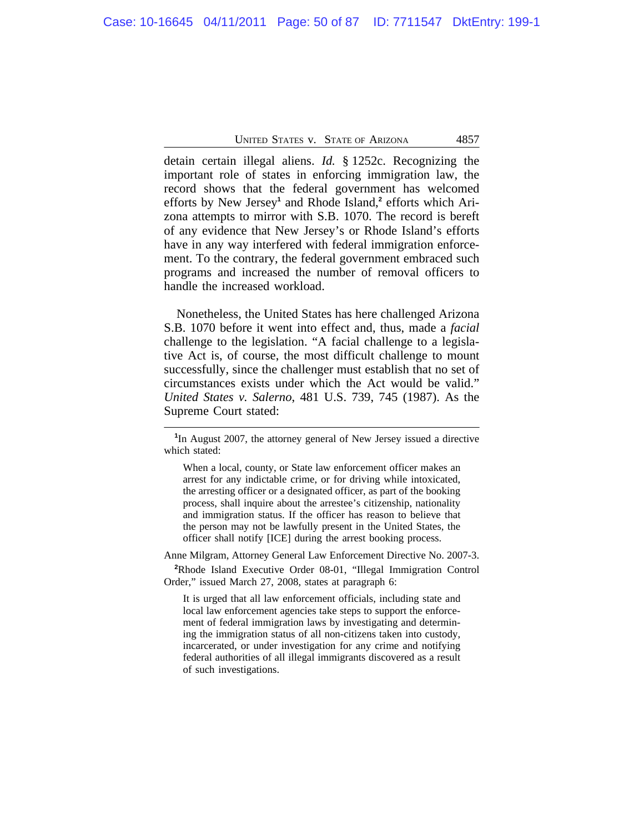detain certain illegal aliens. *Id.* § 1252c. Recognizing the important role of states in enforcing immigration law, the record shows that the federal government has welcomed efforts by New Jersey<sup>1</sup> and Rhode Island,<sup>2</sup> efforts which Arizona attempts to mirror with S.B. 1070. The record is bereft of any evidence that New Jersey's or Rhode Island's efforts have in any way interfered with federal immigration enforcement. To the contrary, the federal government embraced such programs and increased the number of removal officers to handle the increased workload.

Nonetheless, the United States has here challenged Arizona S.B. 1070 before it went into effect and, thus, made a *facial* challenge to the legislation. "A facial challenge to a legislative Act is, of course, the most difficult challenge to mount successfully, since the challenger must establish that no set of circumstances exists under which the Act would be valid." *United States v. Salerno*, 481 U.S. 739, 745 (1987). As the Supreme Court stated:

When a local, county, or State law enforcement officer makes an arrest for any indictable crime, or for driving while intoxicated, the arresting officer or a designated officer, as part of the booking process, shall inquire about the arrestee's citizenship, nationality and immigration status. If the officer has reason to believe that the person may not be lawfully present in the United States, the officer shall notify [ICE] during the arrest booking process.

Anne Milgram, Attorney General Law Enforcement Directive No. 2007-3.

**<sup>2</sup>**Rhode Island Executive Order 08-01, "Illegal Immigration Control Order," issued March 27, 2008, states at paragraph 6:

It is urged that all law enforcement officials, including state and local law enforcement agencies take steps to support the enforcement of federal immigration laws by investigating and determining the immigration status of all non-citizens taken into custody, incarcerated, or under investigation for any crime and notifying federal authorities of all illegal immigrants discovered as a result of such investigations.

**<sup>1</sup>** In August 2007, the attorney general of New Jersey issued a directive which stated: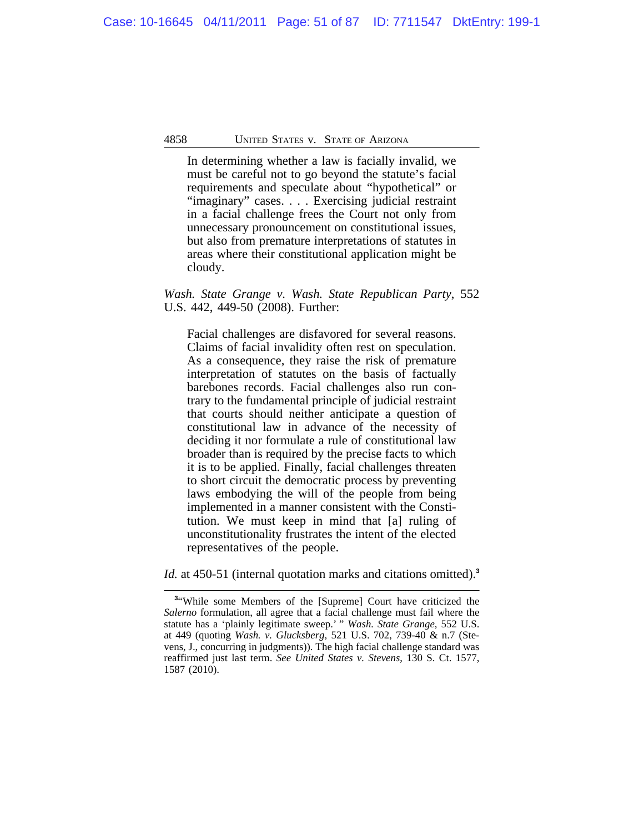In determining whether a law is facially invalid, we must be careful not to go beyond the statute's facial requirements and speculate about "hypothetical" or "imaginary" cases. . . . Exercising judicial restraint in a facial challenge frees the Court not only from unnecessary pronouncement on constitutional issues, but also from premature interpretations of statutes in areas where their constitutional application might be cloudy.

*Wash. State Grange v. Wash. State Republican Party*, 552 U.S. 442, 449-50 (2008). Further:

Facial challenges are disfavored for several reasons. Claims of facial invalidity often rest on speculation. As a consequence, they raise the risk of premature interpretation of statutes on the basis of factually barebones records. Facial challenges also run contrary to the fundamental principle of judicial restraint that courts should neither anticipate a question of constitutional law in advance of the necessity of deciding it nor formulate a rule of constitutional law broader than is required by the precise facts to which it is to be applied. Finally, facial challenges threaten to short circuit the democratic process by preventing laws embodying the will of the people from being implemented in a manner consistent with the Constitution. We must keep in mind that [a] ruling of unconstitutionality frustrates the intent of the elected representatives of the people.

*Id.* at 450-51 (internal quotation marks and citations omitted).**<sup>3</sup>**

<sup>&</sup>lt;sup>3</sup> "While some Members of the [Supreme] Court have criticized the *Salerno* formulation, all agree that a facial challenge must fail where the statute has a 'plainly legitimate sweep.' " *Wash. State Grange*, 552 U.S. at 449 (quoting *Wash. v. Glucksberg*, 521 U.S. 702, 739-40 & n.7 (Stevens, J., concurring in judgments)). The high facial challenge standard was reaffirmed just last term. *See United States v. Stevens*, 130 S. Ct. 1577, 1587 (2010).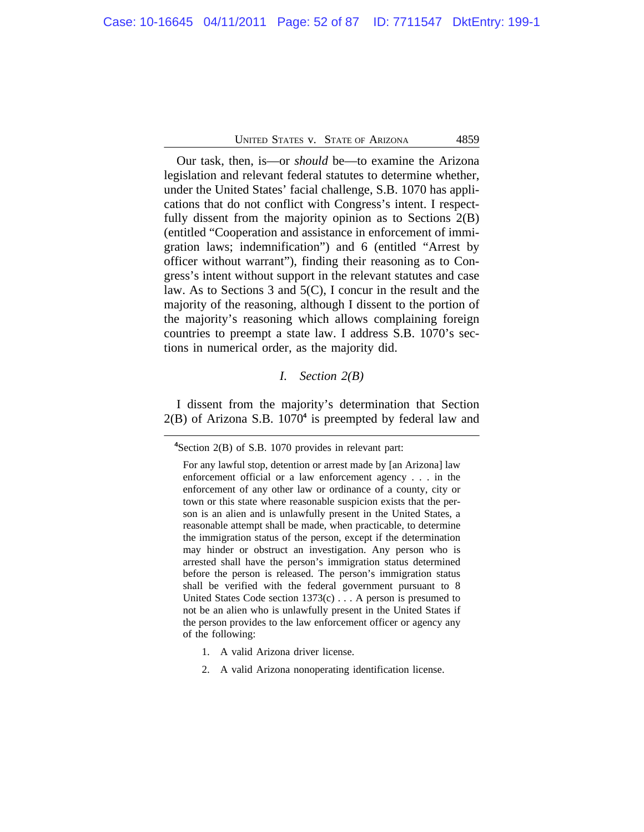Our task, then, is—or *should* be—to examine the Arizona legislation and relevant federal statutes to determine whether, under the United States' facial challenge, S.B. 1070 has applications that do not conflict with Congress's intent. I respectfully dissent from the majority opinion as to Sections 2(B) (entitled "Cooperation and assistance in enforcement of immigration laws; indemnification") and 6 (entitled "Arrest by officer without warrant"), finding their reasoning as to Congress's intent without support in the relevant statutes and case law. As to Sections 3 and 5(C), I concur in the result and the majority of the reasoning, although I dissent to the portion of the majority's reasoning which allows complaining foreign countries to preempt a state law. I address S.B. 1070's sections in numerical order, as the majority did.

### *I. Section 2(B)*

I dissent from the majority's determination that Section 2(B) of Arizona S.B. 1070**<sup>4</sup>** is preempted by federal law and

- 1. A valid Arizona driver license.
- 2. A valid Arizona nonoperating identification license.

**<sup>4</sup>**Section 2(B) of S.B. 1070 provides in relevant part:

For any lawful stop, detention or arrest made by [an Arizona] law enforcement official or a law enforcement agency . . . in the enforcement of any other law or ordinance of a county, city or town or this state where reasonable suspicion exists that the person is an alien and is unlawfully present in the United States, a reasonable attempt shall be made, when practicable, to determine the immigration status of the person, except if the determination may hinder or obstruct an investigation. Any person who is arrested shall have the person's immigration status determined before the person is released. The person's immigration status shall be verified with the federal government pursuant to 8 United States Code section 1373(c) . . . A person is presumed to not be an alien who is unlawfully present in the United States if the person provides to the law enforcement officer or agency any of the following: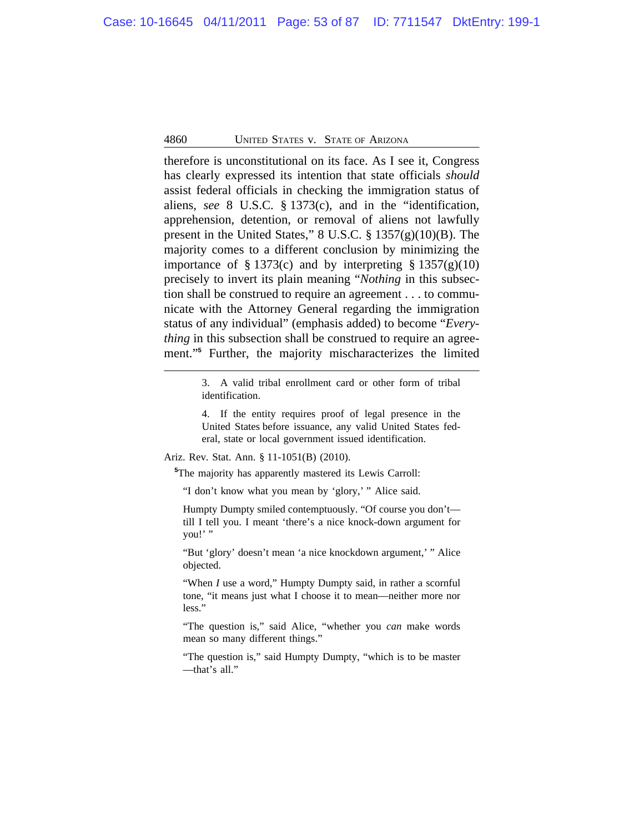therefore is unconstitutional on its face. As I see it, Congress has clearly expressed its intention that state officials *should* assist federal officials in checking the immigration status of aliens, *see* 8 U.S.C. § 1373(c), and in the "identification, apprehension, detention, or removal of aliens not lawfully present in the United States," 8 U.S.C. § 1357(g)(10)(B). The majority comes to a different conclusion by minimizing the importance of § 1373(c) and by interpreting § 1357(g)(10) precisely to invert its plain meaning "*Nothing* in this subsection shall be construed to require an agreement . . . to communicate with the Attorney General regarding the immigration status of any individual" (emphasis added) to become "*Everything* in this subsection shall be construed to require an agreement."**<sup>5</sup>** Further, the majority mischaracterizes the limited

> 3. A valid tribal enrollment card or other form of tribal identification.

> 4. If the entity requires proof of legal presence in the United States before issuance, any valid United States federal, state or local government issued identification.

Ariz. Rev. Stat. Ann. § 11-1051(B) (2010).

**<sup>5</sup>**The majority has apparently mastered its Lewis Carroll:

"I don't know what you mean by 'glory,' " Alice said.

Humpty Dumpty smiled contemptuously. "Of course you don't till I tell you. I meant 'there's a nice knock-down argument for you!' "

"But 'glory' doesn't mean 'a nice knockdown argument,' " Alice objected.

"When *I* use a word," Humpty Dumpty said, in rather a scornful tone, "it means just what I choose it to mean—neither more nor less."

"The question is," said Alice, "whether you *can* make words mean so many different things."

"The question is," said Humpty Dumpty, "which is to be master —that's all."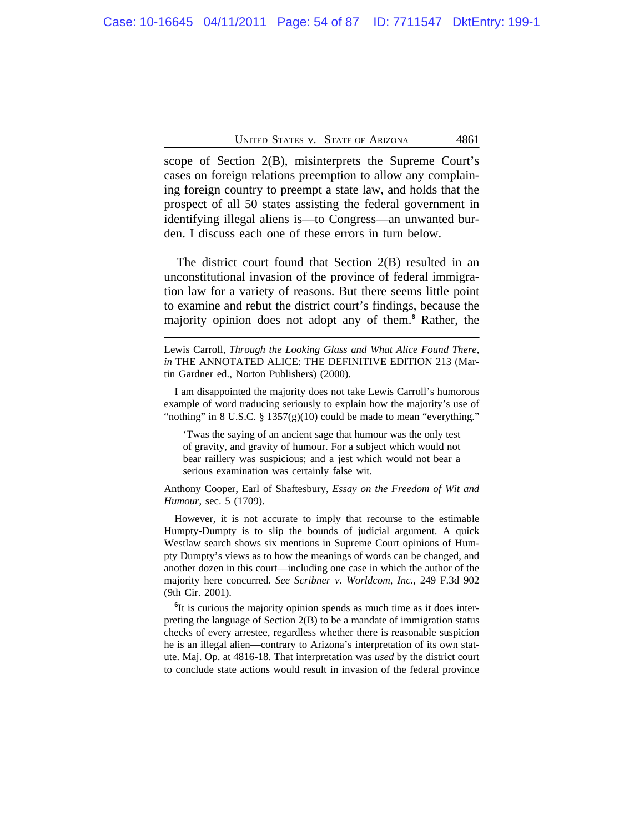scope of Section 2(B), misinterprets the Supreme Court's cases on foreign relations preemption to allow any complaining foreign country to preempt a state law, and holds that the prospect of all 50 states assisting the federal government in identifying illegal aliens is—to Congress—an unwanted burden. I discuss each one of these errors in turn below.

The district court found that Section 2(B) resulted in an unconstitutional invasion of the province of federal immigration law for a variety of reasons. But there seems little point to examine and rebut the district court's findings, because the majority opinion does not adopt any of them.**<sup>6</sup>** Rather, the

I am disappointed the majority does not take Lewis Carroll's humorous example of word traducing seriously to explain how the majority's use of "nothing" in 8 U.S.C.  $\S 1357(g)(10)$  could be made to mean "everything."

'Twas the saying of an ancient sage that humour was the only test of gravity, and gravity of humour. For a subject which would not bear raillery was suspicious; and a jest which would not bear a serious examination was certainly false wit.

Anthony Cooper, Earl of Shaftesbury, *Essay on the Freedom of Wit and Humour*, sec. 5 (1709).

However, it is not accurate to imply that recourse to the estimable Humpty-Dumpty is to slip the bounds of judicial argument. A quick Westlaw search shows six mentions in Supreme Court opinions of Humpty Dumpty's views as to how the meanings of words can be changed, and another dozen in this court—including one case in which the author of the majority here concurred. *See Scribner v. Worldcom, Inc.*, 249 F.3d 902 (9th Cir. 2001).

<sup>6</sup>It is curious the majority opinion spends as much time as it does interpreting the language of Section 2(B) to be a mandate of immigration status checks of every arrestee, regardless whether there is reasonable suspicion he is an illegal alien—contrary to Arizona's interpretation of its own statute. Maj. Op. at 4816-18. That interpretation was *used* by the district court to conclude state actions would result in invasion of the federal province

Lewis Carroll, *Through the Looking Glass and What Alice Found There*, *in* THE ANNOTATED ALICE: THE DEFINITIVE EDITION 213 (Martin Gardner ed., Norton Publishers) (2000).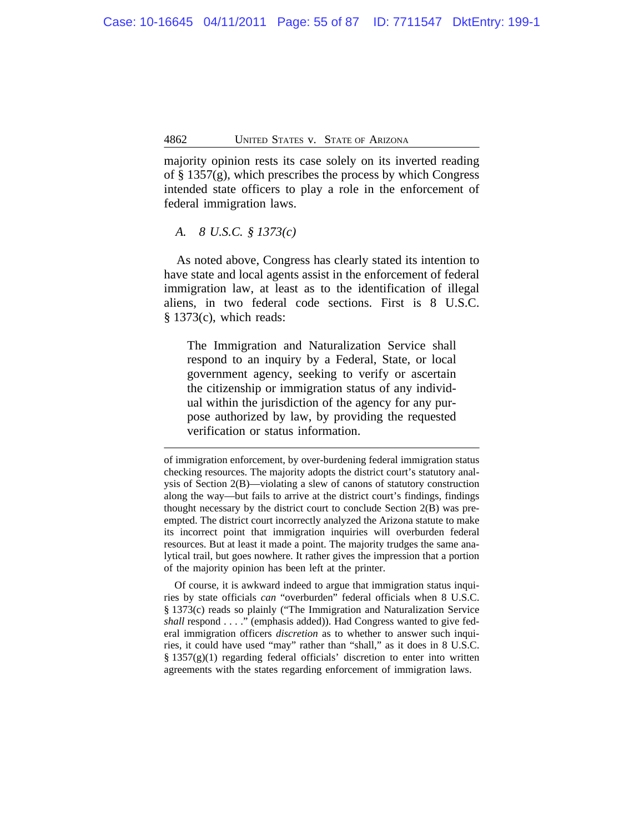majority opinion rests its case solely on its inverted reading of  $\S$  1357(g), which prescribes the process by which Congress intended state officers to play a role in the enforcement of federal immigration laws.

# *A. 8 U.S.C. § 1373(c)*

As noted above, Congress has clearly stated its intention to have state and local agents assist in the enforcement of federal immigration law, at least as to the identification of illegal aliens, in two federal code sections. First is 8 U.S.C. § 1373(c), which reads:

The Immigration and Naturalization Service shall respond to an inquiry by a Federal, State, or local government agency, seeking to verify or ascertain the citizenship or immigration status of any individual within the jurisdiction of the agency for any purpose authorized by law, by providing the requested verification or status information.

Of course, it is awkward indeed to argue that immigration status inquiries by state officials *can* "overburden" federal officials when 8 U.S.C. § 1373(c) reads so plainly ("The Immigration and Naturalization Service *shall* respond . . . ." (emphasis added)). Had Congress wanted to give federal immigration officers *discretion* as to whether to answer such inquiries, it could have used "may" rather than "shall," as it does in 8 U.S.C. § 1357(g)(1) regarding federal officials' discretion to enter into written agreements with the states regarding enforcement of immigration laws.

of immigration enforcement, by over-burdening federal immigration status checking resources. The majority adopts the district court's statutory analysis of Section 2(B)—violating a slew of canons of statutory construction along the way—but fails to arrive at the district court's findings, findings thought necessary by the district court to conclude Section 2(B) was preempted. The district court incorrectly analyzed the Arizona statute to make its incorrect point that immigration inquiries will overburden federal resources. But at least it made a point. The majority trudges the same analytical trail, but goes nowhere. It rather gives the impression that a portion of the majority opinion has been left at the printer.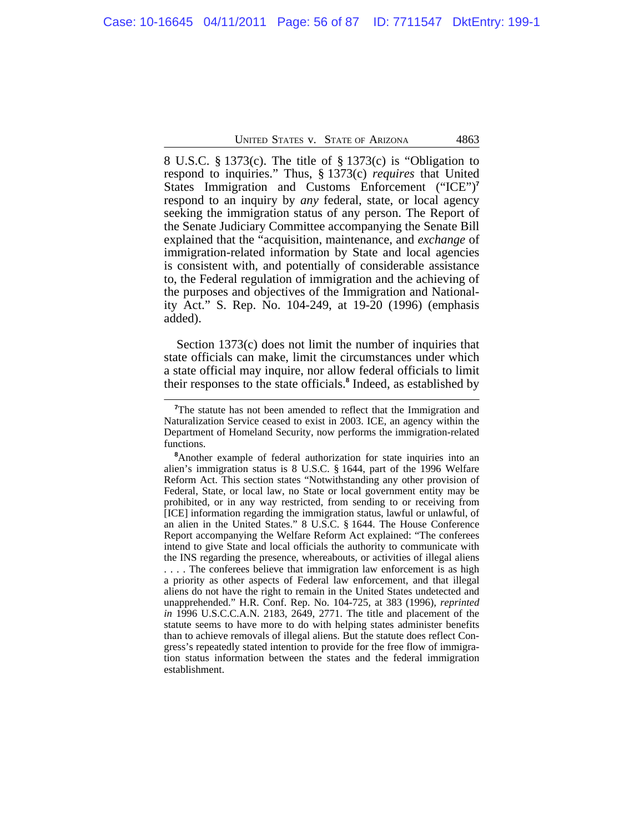8 U.S.C. § 1373(c). The title of § 1373(c) is "Obligation to respond to inquiries." Thus, § 1373(c) *requires* that United States Immigration and Customs Enforcement ("ICE")**<sup>7</sup>** respond to an inquiry by *any* federal, state, or local agency seeking the immigration status of any person. The Report of the Senate Judiciary Committee accompanying the Senate Bill explained that the "acquisition, maintenance, and *exchange* of immigration-related information by State and local agencies is consistent with, and potentially of considerable assistance to, the Federal regulation of immigration and the achieving of the purposes and objectives of the Immigration and Nationality Act." S. Rep. No. 104-249, at 19-20 (1996) (emphasis added).

Section 1373(c) does not limit the number of inquiries that state officials can make, limit the circumstances under which a state official may inquire, nor allow federal officials to limit their responses to the state officials.**<sup>8</sup>** Indeed, as established by

**<sup>7</sup>**The statute has not been amended to reflect that the Immigration and Naturalization Service ceased to exist in 2003. ICE, an agency within the Department of Homeland Security, now performs the immigration-related functions.

**<sup>8</sup>**Another example of federal authorization for state inquiries into an alien's immigration status is 8 U.S.C. § 1644, part of the 1996 Welfare Reform Act. This section states "Notwithstanding any other provision of Federal, State, or local law, no State or local government entity may be prohibited, or in any way restricted, from sending to or receiving from [ICE] information regarding the immigration status, lawful or unlawful, of an alien in the United States." 8 U.S.C. § 1644. The House Conference Report accompanying the Welfare Reform Act explained: "The conferees intend to give State and local officials the authority to communicate with the INS regarding the presence, whereabouts, or activities of illegal aliens . . . . The conferees believe that immigration law enforcement is as high a priority as other aspects of Federal law enforcement, and that illegal aliens do not have the right to remain in the United States undetected and unapprehended." H.R. Conf. Rep. No. 104-725, at 383 (1996), *reprinted in* 1996 U.S.C.C.A.N. 2183, 2649, 2771. The title and placement of the statute seems to have more to do with helping states administer benefits than to achieve removals of illegal aliens. But the statute does reflect Congress's repeatedly stated intention to provide for the free flow of immigration status information between the states and the federal immigration establishment.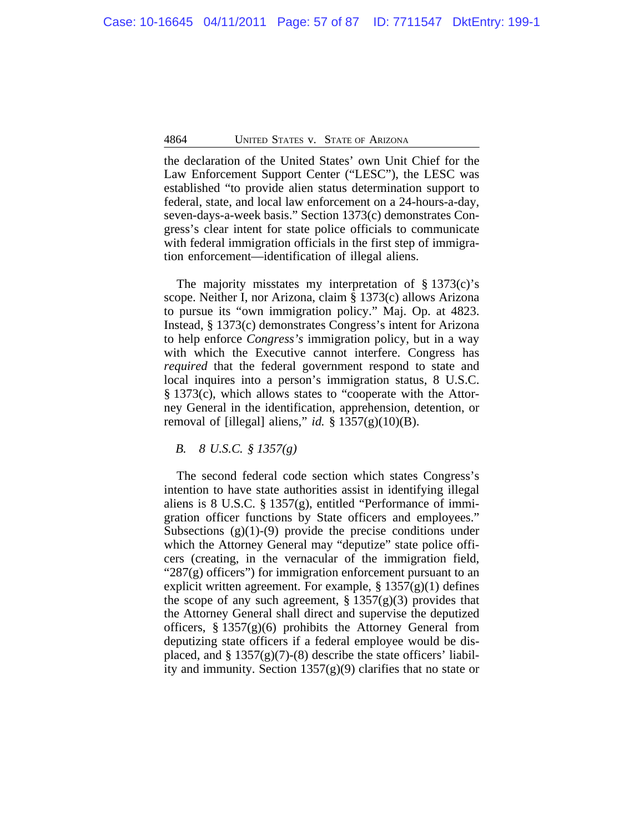the declaration of the United States' own Unit Chief for the Law Enforcement Support Center ("LESC"), the LESC was established "to provide alien status determination support to federal, state, and local law enforcement on a 24-hours-a-day, seven-days-a-week basis." Section 1373(c) demonstrates Congress's clear intent for state police officials to communicate with federal immigration officials in the first step of immigration enforcement—identification of illegal aliens.

The majority misstates my interpretation of § 1373(c)'s scope. Neither I, nor Arizona, claim § 1373(c) allows Arizona to pursue its "own immigration policy." Maj. Op. at 4823. Instead, § 1373(c) demonstrates Congress's intent for Arizona to help enforce *Congress's* immigration policy, but in a way with which the Executive cannot interfere. Congress has *required* that the federal government respond to state and local inquires into a person's immigration status, 8 U.S.C. § 1373(c), which allows states to "cooperate with the Attorney General in the identification, apprehension, detention, or removal of [illegal] aliens," *id.* §  $1357(g)(10)(B)$ .

*B. 8 U.S.C. § 1357(g)*

The second federal code section which states Congress's intention to have state authorities assist in identifying illegal aliens is 8 U.S.C.  $\S 1357(g)$ , entitled "Performance of immigration officer functions by State officers and employees." Subsections  $(g)(1)-(9)$  provide the precise conditions under which the Attorney General may "deputize" state police officers (creating, in the vernacular of the immigration field, " $287(g)$  officers") for immigration enforcement pursuant to an explicit written agreement. For example,  $\S 1357(g)(1)$  defines the scope of any such agreement,  $\S 1357(g)(3)$  provides that the Attorney General shall direct and supervise the deputized officers, § 1357(g)(6) prohibits the Attorney General from deputizing state officers if a federal employee would be displaced, and  $\S 1357(g)(7)$ -(8) describe the state officers' liability and immunity. Section  $1357(g)(9)$  clarifies that no state or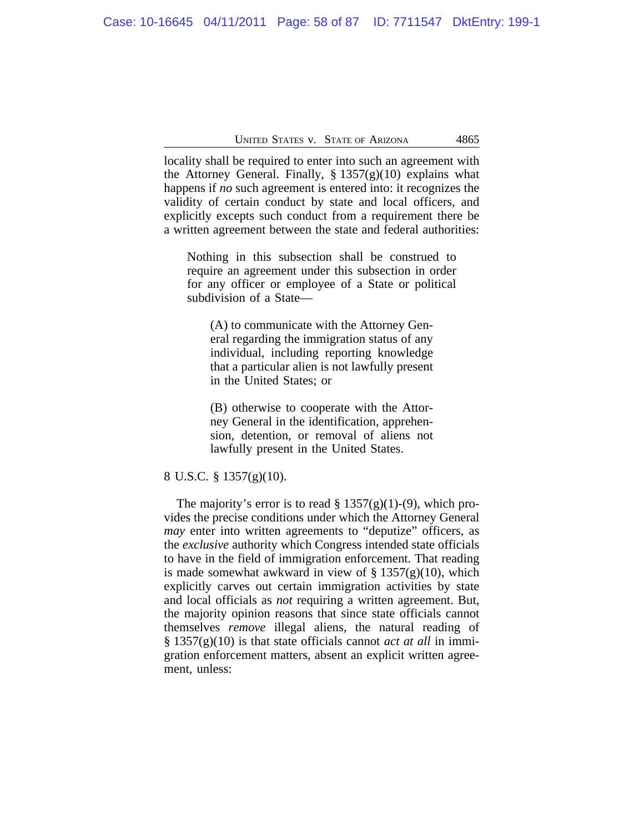locality shall be required to enter into such an agreement with the Attorney General. Finally,  $\S 1357(g)(10)$  explains what happens if *no* such agreement is entered into: it recognizes the validity of certain conduct by state and local officers, and explicitly excepts such conduct from a requirement there be a written agreement between the state and federal authorities:

Nothing in this subsection shall be construed to require an agreement under this subsection in order for any officer or employee of a State or political subdivision of a State—

(A) to communicate with the Attorney General regarding the immigration status of any individual, including reporting knowledge that a particular alien is not lawfully present in the United States; or

(B) otherwise to cooperate with the Attorney General in the identification, apprehension, detention, or removal of aliens not lawfully present in the United States.

### 8 U.S.C. § 1357(g)(10).

The majority's error is to read  $\S 1357(g)(1)-(9)$ , which provides the precise conditions under which the Attorney General *may* enter into written agreements to "deputize" officers, as the *exclusive* authority which Congress intended state officials to have in the field of immigration enforcement. That reading is made somewhat awkward in view of  $\S 1357(g)(10)$ , which explicitly carves out certain immigration activities by state and local officials as *not* requiring a written agreement. But, the majority opinion reasons that since state officials cannot themselves *remove* illegal aliens, the natural reading of § 1357(g)(10) is that state officials cannot *act at all* in immigration enforcement matters, absent an explicit written agreement, unless: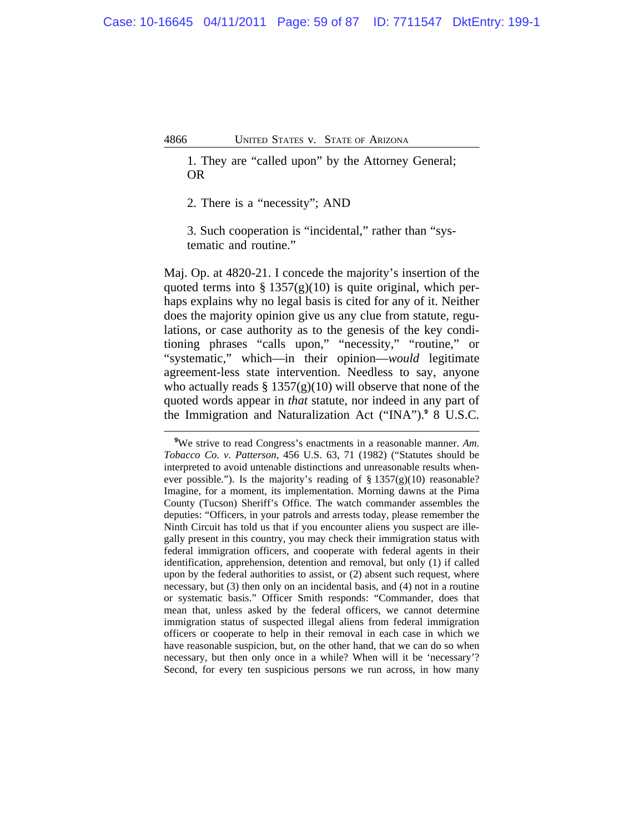1. They are "called upon" by the Attorney General; OR

2. There is a "necessity"; AND

3. Such cooperation is "incidental," rather than "systematic and routine."

Maj. Op. at 4820-21. I concede the majority's insertion of the quoted terms into §  $1357(g)(10)$  is quite original, which perhaps explains why no legal basis is cited for any of it. Neither does the majority opinion give us any clue from statute, regulations, or case authority as to the genesis of the key conditioning phrases "calls upon," "necessity," "routine," or "systematic," which—in their opinion—*would* legitimate agreement-less state intervention. Needless to say, anyone who actually reads  $\S 1357(g)(10)$  will observe that none of the quoted words appear in *that* statute, nor indeed in any part of the Immigration and Naturalization Act ("INA").**<sup>9</sup>** 8 U.S.C.

**<sup>9</sup>**We strive to read Congress's enactments in a reasonable manner. *Am. Tobacco Co. v. Patterson*, 456 U.S. 63, 71 (1982) ("Statutes should be interpreted to avoid untenable distinctions and unreasonable results whenever possible."). Is the majority's reading of  $\S 1357(g)(10)$  reasonable? Imagine, for a moment, its implementation. Morning dawns at the Pima County (Tucson) Sheriff's Office. The watch commander assembles the deputies: "Officers, in your patrols and arrests today, please remember the Ninth Circuit has told us that if you encounter aliens you suspect are illegally present in this country, you may check their immigration status with federal immigration officers, and cooperate with federal agents in their identification, apprehension, detention and removal, but only (1) if called upon by the federal authorities to assist, or (2) absent such request, where necessary, but (3) then only on an incidental basis, and (4) not in a routine or systematic basis." Officer Smith responds: "Commander, does that mean that, unless asked by the federal officers, we cannot determine immigration status of suspected illegal aliens from federal immigration officers or cooperate to help in their removal in each case in which we have reasonable suspicion, but, on the other hand, that we can do so when necessary, but then only once in a while? When will it be 'necessary'? Second, for every ten suspicious persons we run across, in how many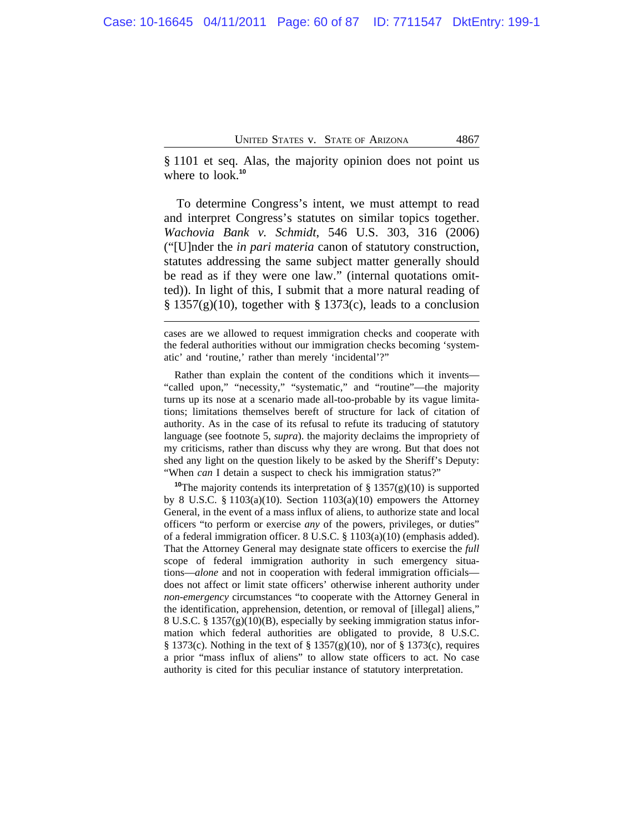§ 1101 et seq. Alas, the majority opinion does not point us where to look.<sup>10</sup>

To determine Congress's intent, we must attempt to read and interpret Congress's statutes on similar topics together. *Wachovia Bank v. Schmidt*, 546 U.S. 303, 316 (2006) ("[U]nder the *in pari materia* canon of statutory construction, statutes addressing the same subject matter generally should be read as if they were one law." (internal quotations omitted)). In light of this, I submit that a more natural reading of  $§$  1357(g)(10), together with § 1373(c), leads to a conclusion

Rather than explain the content of the conditions which it invents— "called upon," "necessity," "systematic," and "routine"—the majority turns up its nose at a scenario made all-too-probable by its vague limitations; limitations themselves bereft of structure for lack of citation of authority. As in the case of its refusal to refute its traducing of statutory language (see footnote 5, *supra*). the majority declaims the impropriety of my criticisms, rather than discuss why they are wrong. But that does not shed any light on the question likely to be asked by the Sheriff's Deputy: "When *can* I detain a suspect to check his immigration status?"

<sup>10</sup>The majority contends its interpretation of  $\S 1357(g)(10)$  is supported by 8 U.S.C. § 1103(a)(10). Section 1103(a)(10) empowers the Attorney General, in the event of a mass influx of aliens, to authorize state and local officers "to perform or exercise *any* of the powers, privileges, or duties" of a federal immigration officer. 8 U.S.C. § 1103(a)(10) (emphasis added). That the Attorney General may designate state officers to exercise the *full* scope of federal immigration authority in such emergency situations—*alone* and not in cooperation with federal immigration officials does not affect or limit state officers' otherwise inherent authority under *non-emergency* circumstances "to cooperate with the Attorney General in the identification, apprehension, detention, or removal of [illegal] aliens," 8 U.S.C. § 1357(g)(10)(B), especially by seeking immigration status information which federal authorities are obligated to provide, 8 U.S.C. § 1373(c). Nothing in the text of § 1357(g)(10), nor of § 1373(c), requires a prior "mass influx of aliens" to allow state officers to act. No case authority is cited for this peculiar instance of statutory interpretation.

cases are we allowed to request immigration checks and cooperate with the federal authorities without our immigration checks becoming 'systematic' and 'routine,' rather than merely 'incidental'?"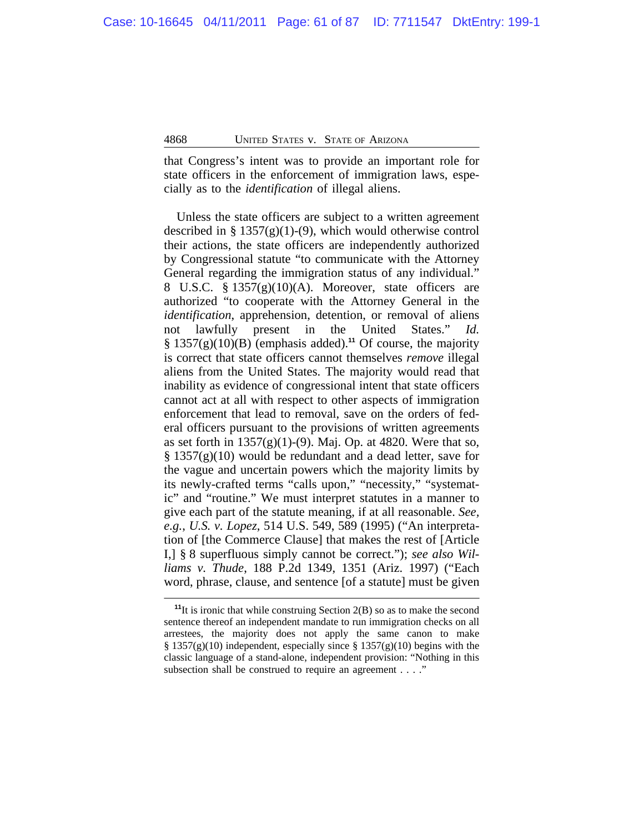that Congress's intent was to provide an important role for state officers in the enforcement of immigration laws, especially as to the *identification* of illegal aliens.

Unless the state officers are subject to a written agreement described in §  $1357(g)(1)-(9)$ , which would otherwise control their actions, the state officers are independently authorized by Congressional statute "to communicate with the Attorney General regarding the immigration status of any individual." 8 U.S.C.  $\S 1357(g)(10)(A)$ . Moreover, state officers are authorized "to cooperate with the Attorney General in the *identification*, apprehension, detention, or removal of aliens not lawfully present in the United States." *Id.* § 1357(g)(10)(B) (emphasis added).**<sup>11</sup>** Of course, the majority is correct that state officers cannot themselves *remove* illegal aliens from the United States. The majority would read that inability as evidence of congressional intent that state officers cannot act at all with respect to other aspects of immigration enforcement that lead to removal, save on the orders of federal officers pursuant to the provisions of written agreements as set forth in  $1357(g)(1)-(9)$ . Maj. Op. at 4820. Were that so,  $\S 1357(g)(10)$  would be redundant and a dead letter, save for the vague and uncertain powers which the majority limits by its newly-crafted terms "calls upon," "necessity," "systematic" and "routine." We must interpret statutes in a manner to give each part of the statute meaning, if at all reasonable. *See, e.g.*, *U.S. v. Lopez*, 514 U.S. 549, 589 (1995) ("An interpretation of [the Commerce Clause] that makes the rest of [Article I,] § 8 superfluous simply cannot be correct."); *see also Williams v. Thude*, 188 P.2d 1349, 1351 (Ariz. 1997) ("Each word, phrase, clause, and sentence [of a statute] must be given

**<sup>11</sup>**It is ironic that while construing Section 2(B) so as to make the second sentence thereof an independent mandate to run immigration checks on all arrestees, the majority does not apply the same canon to make  $\S 1357(g)(10)$  independent, especially since  $\S 1357(g)(10)$  begins with the classic language of a stand-alone, independent provision: "Nothing in this subsection shall be construed to require an agreement . . . ."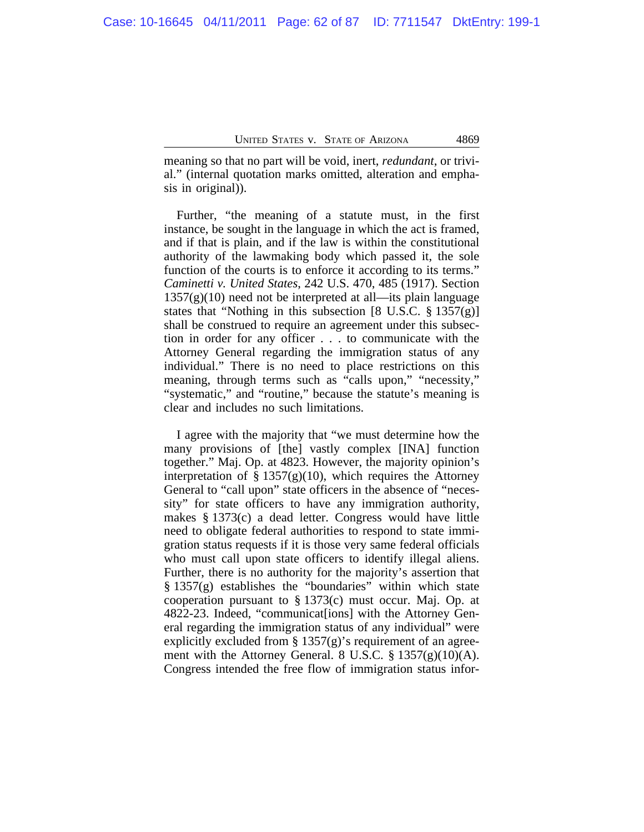meaning so that no part will be void, inert, *redundant*, or trivial." (internal quotation marks omitted, alteration and emphasis in original)).

Further, "the meaning of a statute must, in the first instance, be sought in the language in which the act is framed, and if that is plain, and if the law is within the constitutional authority of the lawmaking body which passed it, the sole function of the courts is to enforce it according to its terms." *Caminetti v. United States*, 242 U.S. 470, 485 (1917). Section  $1357(g)(10)$  need not be interpreted at all—its plain language states that "Nothing in this subsection  $[8 \text{ U.S.C. } \frac{8}{9} \frac{1357(g)}{g}]$ shall be construed to require an agreement under this subsection in order for any officer . . . to communicate with the Attorney General regarding the immigration status of any individual." There is no need to place restrictions on this meaning, through terms such as "calls upon," "necessity," "systematic," and "routine," because the statute's meaning is clear and includes no such limitations.

I agree with the majority that "we must determine how the many provisions of [the] vastly complex [INA] function together." Maj. Op. at 4823. However, the majority opinion's interpretation of §  $1357(g)(10)$ , which requires the Attorney General to "call upon" state officers in the absence of "necessity" for state officers to have any immigration authority, makes § 1373(c) a dead letter. Congress would have little need to obligate federal authorities to respond to state immigration status requests if it is those very same federal officials who must call upon state officers to identify illegal aliens. Further, there is no authority for the majority's assertion that § 1357(g) establishes the "boundaries" within which state cooperation pursuant to § 1373(c) must occur. Maj. Op. at 4822-23. Indeed, "communicat[ions] with the Attorney General regarding the immigration status of any individual" were explicitly excluded from  $\S 1357(g)'$  requirement of an agreement with the Attorney General. 8 U.S.C. § 1357(g)(10)(A). Congress intended the free flow of immigration status infor-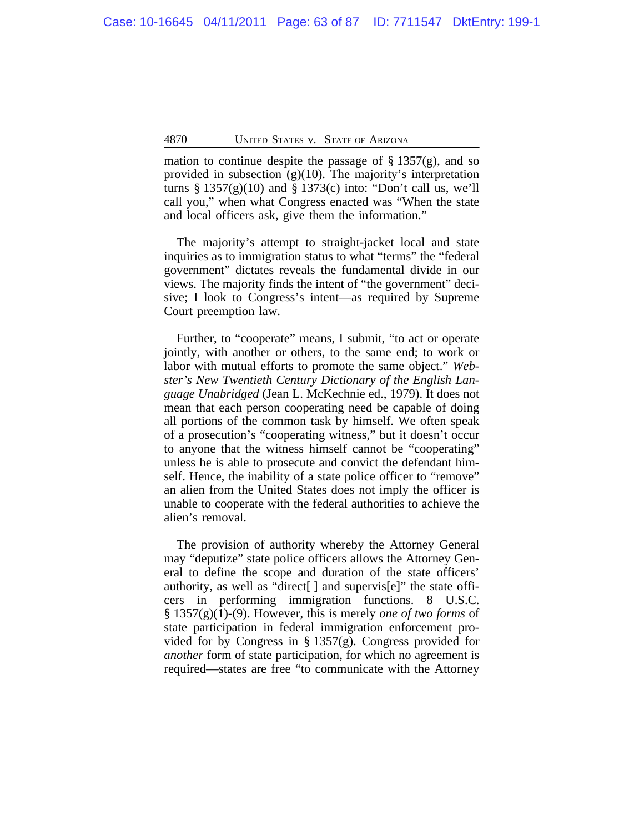mation to continue despite the passage of  $\S 1357(g)$ , and so provided in subsection (g)(10). The majority's interpretation turns  $\S 1357(g)(10)$  and  $\S 1373(c)$  into: "Don't call us, we'll call you," when what Congress enacted was "When the state and local officers ask, give them the information."

The majority's attempt to straight-jacket local and state inquiries as to immigration status to what "terms" the "federal government" dictates reveals the fundamental divide in our views. The majority finds the intent of "the government" decisive; I look to Congress's intent—as required by Supreme Court preemption law.

Further, to "cooperate" means, I submit, "to act or operate jointly, with another or others, to the same end; to work or labor with mutual efforts to promote the same object." *Webster's New Twentieth Century Dictionary of the English Language Unabridged* (Jean L. McKechnie ed., 1979). It does not mean that each person cooperating need be capable of doing all portions of the common task by himself. We often speak of a prosecution's "cooperating witness," but it doesn't occur to anyone that the witness himself cannot be "cooperating" unless he is able to prosecute and convict the defendant himself. Hence, the inability of a state police officer to "remove" an alien from the United States does not imply the officer is unable to cooperate with the federal authorities to achieve the alien's removal.

The provision of authority whereby the Attorney General may "deputize" state police officers allows the Attorney General to define the scope and duration of the state officers' authority, as well as "direct[ ] and supervis[e]" the state officers in performing immigration functions. 8 U.S.C. § 1357(g)(1)-(9). However, this is merely *one of two forms* of state participation in federal immigration enforcement provided for by Congress in § 1357(g). Congress provided for *another* form of state participation, for which no agreement is required—states are free "to communicate with the Attorney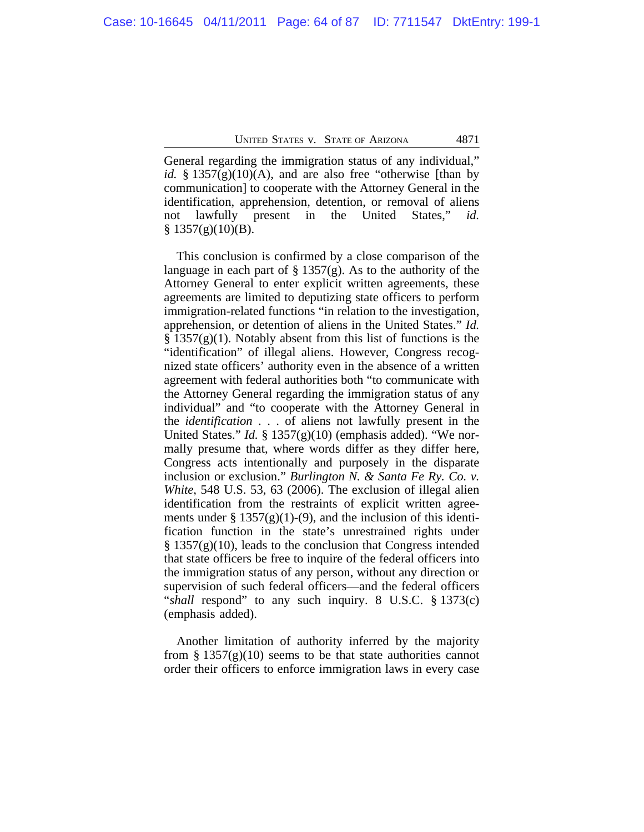General regarding the immigration status of any individual," *id.* § 1357 $(g)(10)(A)$ , and are also free "otherwise [than by communication] to cooperate with the Attorney General in the identification, apprehension, detention, or removal of aliens not lawfully present in the United States," *id.*  $§ 1357(g)(10)(B).$ 

This conclusion is confirmed by a close comparison of the language in each part of  $\S 1357(g)$ . As to the authority of the Attorney General to enter explicit written agreements, these agreements are limited to deputizing state officers to perform immigration-related functions "in relation to the investigation, apprehension, or detention of aliens in the United States." *Id.*  $\S 1357(g)(1)$ . Notably absent from this list of functions is the "identification" of illegal aliens. However, Congress recognized state officers' authority even in the absence of a written agreement with federal authorities both "to communicate with the Attorney General regarding the immigration status of any individual" and "to cooperate with the Attorney General in the *identification* . . . of aliens not lawfully present in the United States." *Id.* § 1357(g)(10) (emphasis added). "We normally presume that, where words differ as they differ here, Congress acts intentionally and purposely in the disparate inclusion or exclusion." *Burlington N. & Santa Fe Ry. Co. v. White*, 548 U.S. 53, 63 (2006). The exclusion of illegal alien identification from the restraints of explicit written agreements under  $\S 1357(g)(1)-(9)$ , and the inclusion of this identification function in the state's unrestrained rights under  $§ 1357(g)(10)$ , leads to the conclusion that Congress intended that state officers be free to inquire of the federal officers into the immigration status of any person, without any direction or supervision of such federal officers—and the federal officers "*shall* respond" to any such inquiry. 8 U.S.C. § 1373(c) (emphasis added).

Another limitation of authority inferred by the majority from §  $1357(g)(10)$  seems to be that state authorities cannot order their officers to enforce immigration laws in every case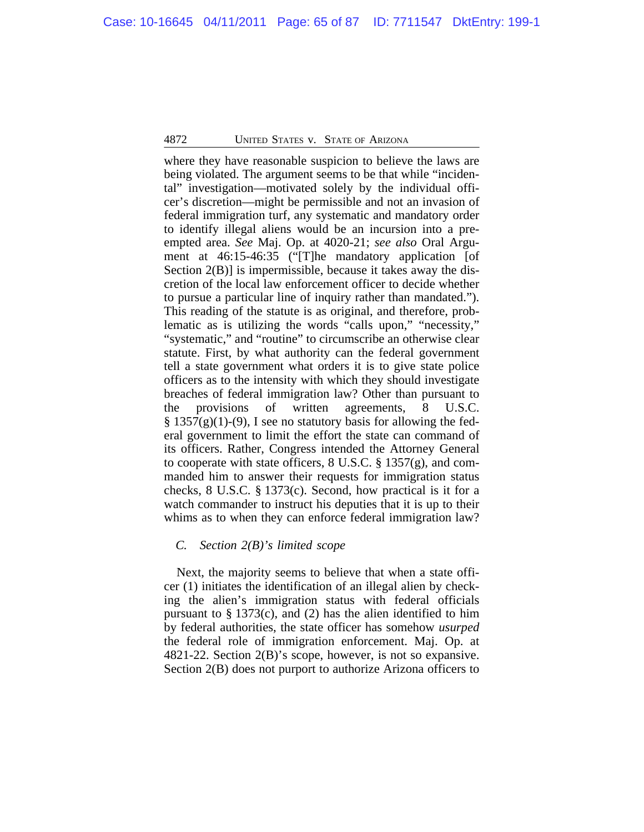where they have reasonable suspicion to believe the laws are being violated. The argument seems to be that while "incidental" investigation—motivated solely by the individual officer's discretion—might be permissible and not an invasion of federal immigration turf, any systematic and mandatory order to identify illegal aliens would be an incursion into a preempted area. *See* Maj. Op. at 4020-21; *see also* Oral Argument at 46:15-46:35 ("[T]he mandatory application [of Section 2(B)] is impermissible, because it takes away the discretion of the local law enforcement officer to decide whether to pursue a particular line of inquiry rather than mandated."). This reading of the statute is as original, and therefore, problematic as is utilizing the words "calls upon," "necessity," "systematic," and "routine" to circumscribe an otherwise clear statute. First, by what authority can the federal government tell a state government what orders it is to give state police officers as to the intensity with which they should investigate breaches of federal immigration law? Other than pursuant to the provisions of written agreements, 8 U.S.C.  $\S 1357(g)(1)-(9)$ , I see no statutory basis for allowing the federal government to limit the effort the state can command of its officers. Rather, Congress intended the Attorney General to cooperate with state officers,  $8 \text{ U.S.C. }$  $§ 1357(g)$ , and commanded him to answer their requests for immigration status checks, 8 U.S.C. § 1373(c). Second, how practical is it for a watch commander to instruct his deputies that it is up to their whims as to when they can enforce federal immigration law?

### *C. Section 2(B)'s limited scope*

Next, the majority seems to believe that when a state officer (1) initiates the identification of an illegal alien by checking the alien's immigration status with federal officials pursuant to  $\S 1373(c)$ , and (2) has the alien identified to him by federal authorities, the state officer has somehow *usurped* the federal role of immigration enforcement. Maj. Op. at 4821-22. Section 2(B)'s scope, however, is not so expansive. Section 2(B) does not purport to authorize Arizona officers to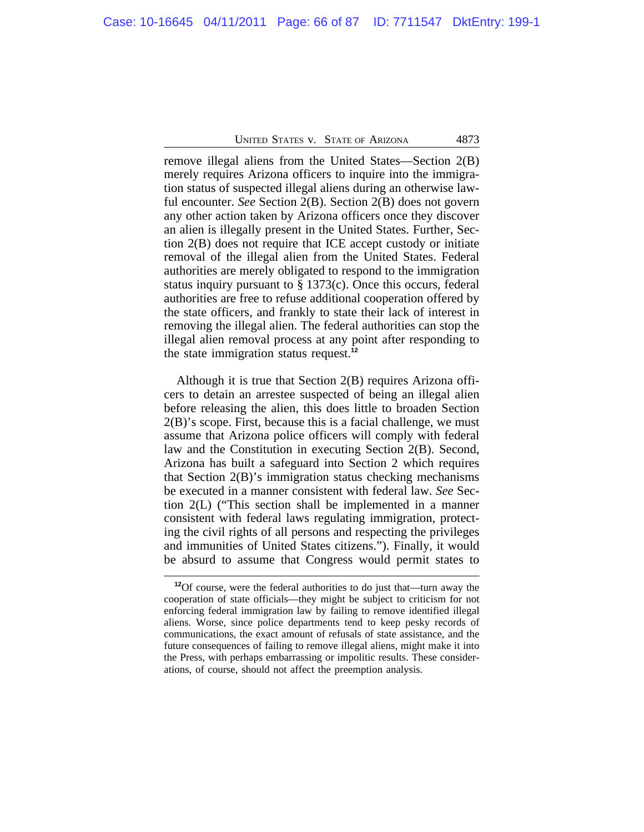remove illegal aliens from the United States—Section 2(B) merely requires Arizona officers to inquire into the immigration status of suspected illegal aliens during an otherwise lawful encounter. *See* Section 2(B). Section 2(B) does not govern any other action taken by Arizona officers once they discover an alien is illegally present in the United States. Further, Section 2(B) does not require that ICE accept custody or initiate removal of the illegal alien from the United States. Federal authorities are merely obligated to respond to the immigration status inquiry pursuant to § 1373(c). Once this occurs, federal authorities are free to refuse additional cooperation offered by the state officers, and frankly to state their lack of interest in removing the illegal alien. The federal authorities can stop the illegal alien removal process at any point after responding to the state immigration status request.**<sup>12</sup>**

Although it is true that Section 2(B) requires Arizona officers to detain an arrestee suspected of being an illegal alien before releasing the alien, this does little to broaden Section  $2(B)$ 's scope. First, because this is a facial challenge, we must assume that Arizona police officers will comply with federal law and the Constitution in executing Section 2(B). Second, Arizona has built a safeguard into Section 2 which requires that Section 2(B)'s immigration status checking mechanisms be executed in a manner consistent with federal law. *See* Section 2(L) ("This section shall be implemented in a manner consistent with federal laws regulating immigration, protecting the civil rights of all persons and respecting the privileges and immunities of United States citizens."). Finally, it would be absurd to assume that Congress would permit states to

**<sup>12</sup>**Of course, were the federal authorities to do just that—turn away the cooperation of state officials—they might be subject to criticism for not enforcing federal immigration law by failing to remove identified illegal aliens. Worse, since police departments tend to keep pesky records of communications, the exact amount of refusals of state assistance, and the future consequences of failing to remove illegal aliens, might make it into the Press, with perhaps embarrassing or impolitic results. These considerations, of course, should not affect the preemption analysis.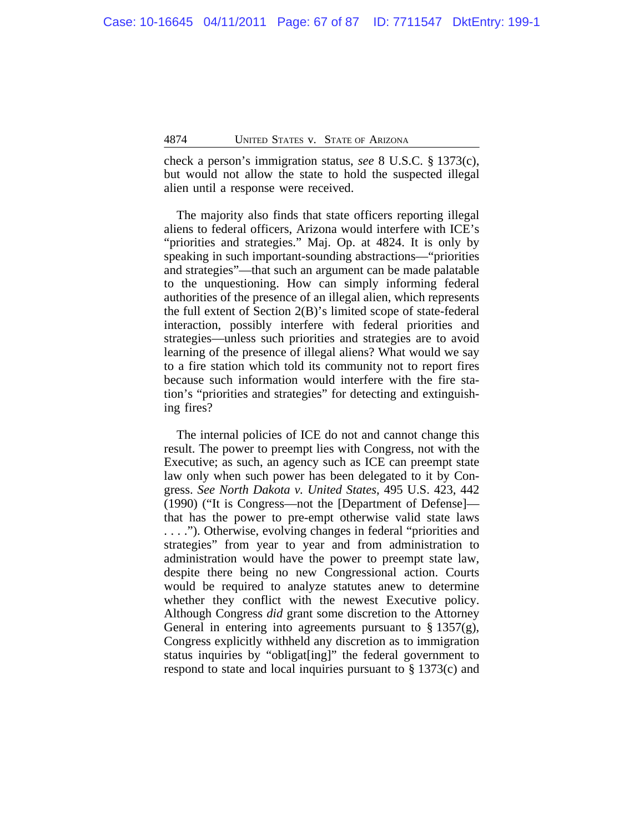check a person's immigration status, *see* 8 U.S.C. § 1373(c), but would not allow the state to hold the suspected illegal alien until a response were received.

The majority also finds that state officers reporting illegal aliens to federal officers, Arizona would interfere with ICE's "priorities and strategies." Maj. Op. at 4824. It is only by speaking in such important-sounding abstractions—"priorities and strategies"—that such an argument can be made palatable to the unquestioning. How can simply informing federal authorities of the presence of an illegal alien, which represents the full extent of Section 2(B)'s limited scope of state-federal interaction, possibly interfere with federal priorities and strategies—unless such priorities and strategies are to avoid learning of the presence of illegal aliens? What would we say to a fire station which told its community not to report fires because such information would interfere with the fire station's "priorities and strategies" for detecting and extinguishing fires?

The internal policies of ICE do not and cannot change this result. The power to preempt lies with Congress, not with the Executive; as such, an agency such as ICE can preempt state law only when such power has been delegated to it by Congress. *See North Dakota v. United States*, 495 U.S. 423, 442 (1990) ("It is Congress—not the [Department of Defense] that has the power to pre-empt otherwise valid state laws . . . ."). Otherwise, evolving changes in federal "priorities and strategies" from year to year and from administration to administration would have the power to preempt state law, despite there being no new Congressional action. Courts would be required to analyze statutes anew to determine whether they conflict with the newest Executive policy. Although Congress *did* grant some discretion to the Attorney General in entering into agreements pursuant to  $\S 1357(g)$ , Congress explicitly withheld any discretion as to immigration status inquiries by "obligat[ing]" the federal government to respond to state and local inquiries pursuant to § 1373(c) and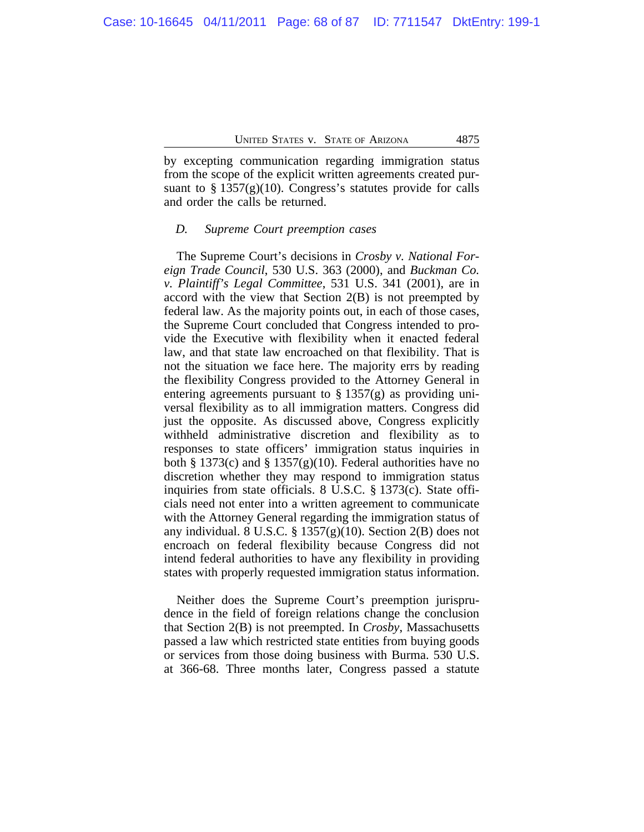by excepting communication regarding immigration status from the scope of the explicit written agreements created pursuant to  $\S 1357(g)(10)$ . Congress's statutes provide for calls and order the calls be returned.

#### *D. Supreme Court preemption cases*

The Supreme Court's decisions in *Crosby v. National Foreign Trade Council*, 530 U.S. 363 (2000), and *Buckman Co. v. Plaintiff's Legal Committee*, 531 U.S. 341 (2001), are in accord with the view that Section  $2(B)$  is not preempted by federal law. As the majority points out, in each of those cases, the Supreme Court concluded that Congress intended to provide the Executive with flexibility when it enacted federal law, and that state law encroached on that flexibility. That is not the situation we face here. The majority errs by reading the flexibility Congress provided to the Attorney General in entering agreements pursuant to  $\S 1357(g)$  as providing universal flexibility as to all immigration matters. Congress did just the opposite. As discussed above, Congress explicitly withheld administrative discretion and flexibility as to responses to state officers' immigration status inquiries in both § 1373(c) and § 1357(g)(10). Federal authorities have no discretion whether they may respond to immigration status inquiries from state officials. 8 U.S.C. § 1373(c). State officials need not enter into a written agreement to communicate with the Attorney General regarding the immigration status of any individual. 8 U.S.C. § 1357(g)(10). Section 2(B) does not encroach on federal flexibility because Congress did not intend federal authorities to have any flexibility in providing states with properly requested immigration status information.

Neither does the Supreme Court's preemption jurisprudence in the field of foreign relations change the conclusion that Section 2(B) is not preempted. In *Crosby*, Massachusetts passed a law which restricted state entities from buying goods or services from those doing business with Burma. 530 U.S. at 366-68. Three months later, Congress passed a statute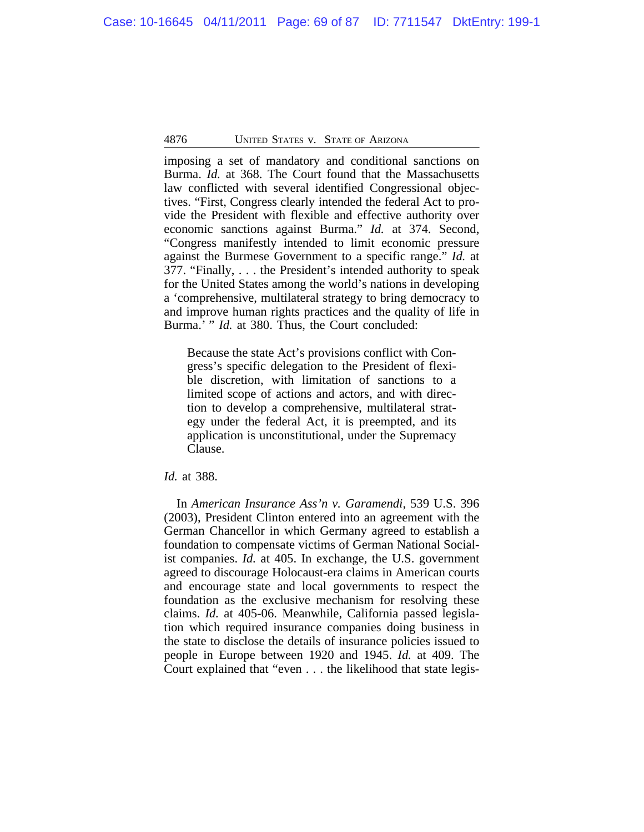imposing a set of mandatory and conditional sanctions on Burma. *Id.* at 368. The Court found that the Massachusetts law conflicted with several identified Congressional objectives. "First, Congress clearly intended the federal Act to provide the President with flexible and effective authority over economic sanctions against Burma." *Id.* at 374. Second, "Congress manifestly intended to limit economic pressure against the Burmese Government to a specific range." *Id.* at 377. "Finally, . . . the President's intended authority to speak for the United States among the world's nations in developing a 'comprehensive, multilateral strategy to bring democracy to and improve human rights practices and the quality of life in Burma.' " *Id.* at 380. Thus, the Court concluded:

Because the state Act's provisions conflict with Congress's specific delegation to the President of flexible discretion, with limitation of sanctions to a limited scope of actions and actors, and with direction to develop a comprehensive, multilateral strategy under the federal Act, it is preempted, and its application is unconstitutional, under the Supremacy Clause.

# *Id.* at 388.

In *American Insurance Ass'n v. Garamendi*, 539 U.S. 396 (2003), President Clinton entered into an agreement with the German Chancellor in which Germany agreed to establish a foundation to compensate victims of German National Socialist companies. *Id.* at 405. In exchange, the U.S. government agreed to discourage Holocaust-era claims in American courts and encourage state and local governments to respect the foundation as the exclusive mechanism for resolving these claims. *Id.* at 405-06. Meanwhile, California passed legislation which required insurance companies doing business in the state to disclose the details of insurance policies issued to people in Europe between 1920 and 1945. *Id.* at 409. The Court explained that "even . . . the likelihood that state legis-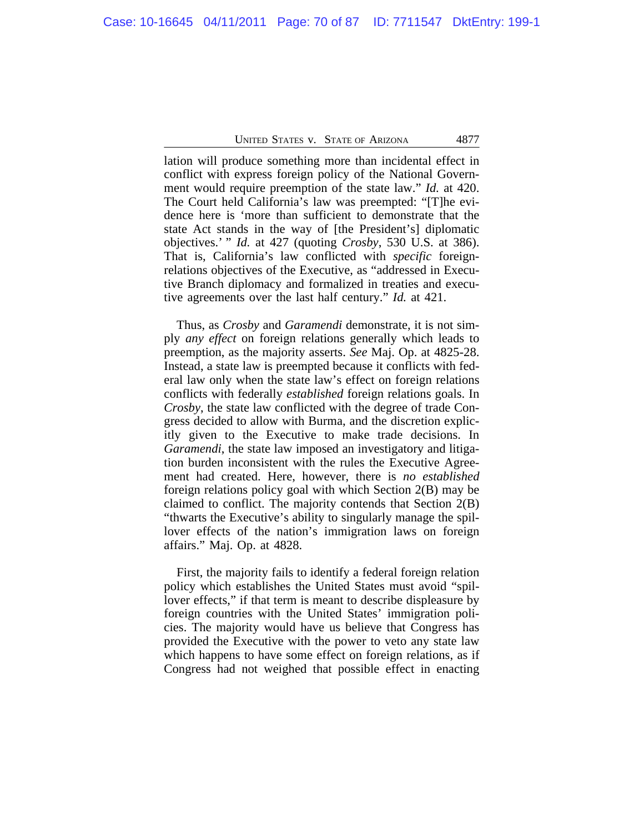lation will produce something more than incidental effect in conflict with express foreign policy of the National Government would require preemption of the state law." *Id.* at 420. The Court held California's law was preempted: "[T]he evidence here is 'more than sufficient to demonstrate that the state Act stands in the way of [the President's] diplomatic objectives.' " *Id.* at 427 (quoting *Crosby*, 530 U.S. at 386). That is, California's law conflicted with *specific* foreignrelations objectives of the Executive, as "addressed in Executive Branch diplomacy and formalized in treaties and executive agreements over the last half century." *Id.* at 421.

Thus, as *Crosby* and *Garamendi* demonstrate, it is not simply *any effect* on foreign relations generally which leads to preemption, as the majority asserts. *See* Maj. Op. at 4825-28. Instead, a state law is preempted because it conflicts with federal law only when the state law's effect on foreign relations conflicts with federally *established* foreign relations goals. In *Crosby*, the state law conflicted with the degree of trade Congress decided to allow with Burma, and the discretion explicitly given to the Executive to make trade decisions. In *Garamendi*, the state law imposed an investigatory and litigation burden inconsistent with the rules the Executive Agreement had created. Here, however, there is *no established* foreign relations policy goal with which Section 2(B) may be claimed to conflict. The majority contends that Section 2(B) "thwarts the Executive's ability to singularly manage the spillover effects of the nation's immigration laws on foreign affairs." Maj. Op. at 4828.

First, the majority fails to identify a federal foreign relation policy which establishes the United States must avoid "spillover effects," if that term is meant to describe displeasure by foreign countries with the United States' immigration policies. The majority would have us believe that Congress has provided the Executive with the power to veto any state law which happens to have some effect on foreign relations, as if Congress had not weighed that possible effect in enacting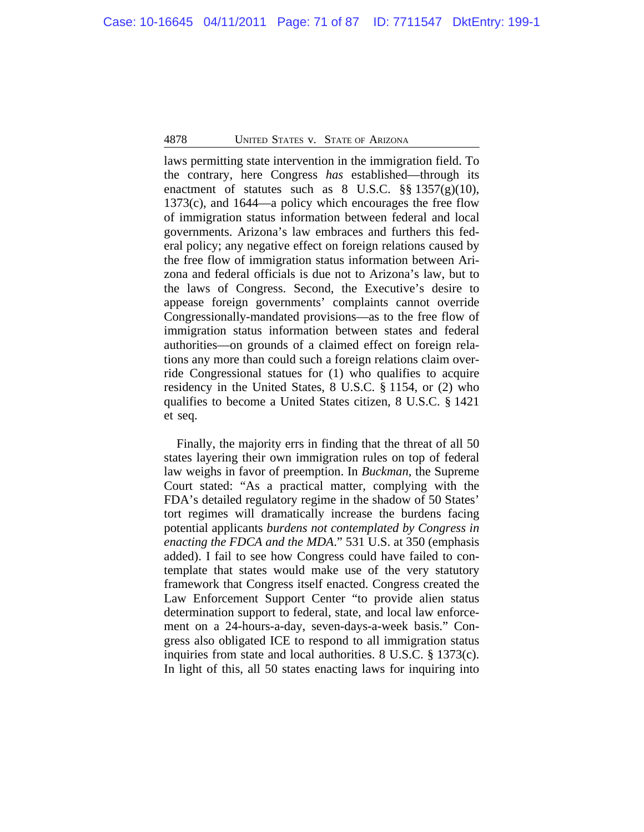laws permitting state intervention in the immigration field. To the contrary, here Congress *has* established—through its enactment of statutes such as  $8 \text{ U.S.C. }$   $\S\S 1357(g)(10)$ , 1373(c), and 1644—a policy which encourages the free flow of immigration status information between federal and local governments. Arizona's law embraces and furthers this federal policy; any negative effect on foreign relations caused by the free flow of immigration status information between Arizona and federal officials is due not to Arizona's law, but to the laws of Congress. Second, the Executive's desire to appease foreign governments' complaints cannot override Congressionally-mandated provisions—as to the free flow of immigration status information between states and federal authorities—on grounds of a claimed effect on foreign relations any more than could such a foreign relations claim override Congressional statues for (1) who qualifies to acquire residency in the United States, 8 U.S.C. § 1154, or (2) who qualifies to become a United States citizen, 8 U.S.C. § 1421 et seq.

Finally, the majority errs in finding that the threat of all 50 states layering their own immigration rules on top of federal law weighs in favor of preemption. In *Buckman*, the Supreme Court stated: "As a practical matter, complying with the FDA's detailed regulatory regime in the shadow of 50 States' tort regimes will dramatically increase the burdens facing potential applicants *burdens not contemplated by Congress in enacting the FDCA and the MDA*." 531 U.S. at 350 (emphasis added). I fail to see how Congress could have failed to contemplate that states would make use of the very statutory framework that Congress itself enacted. Congress created the Law Enforcement Support Center "to provide alien status determination support to federal, state, and local law enforcement on a 24-hours-a-day, seven-days-a-week basis." Congress also obligated ICE to respond to all immigration status inquiries from state and local authorities. 8 U.S.C. § 1373(c). In light of this, all 50 states enacting laws for inquiring into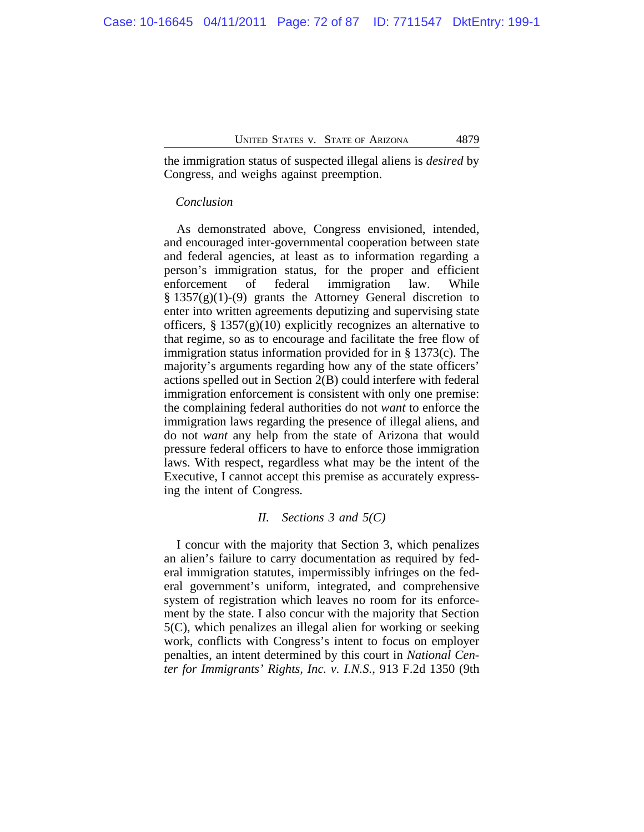the immigration status of suspected illegal aliens is *desired* by Congress, and weighs against preemption.

## *Conclusion*

As demonstrated above, Congress envisioned, intended, and encouraged inter-governmental cooperation between state and federal agencies, at least as to information regarding a person's immigration status, for the proper and efficient enforcement of federal immigration law. While  $§$  1357(g)(1)-(9) grants the Attorney General discretion to enter into written agreements deputizing and supervising state officers,  $\S 1357(g)(10)$  explicitly recognizes an alternative to that regime, so as to encourage and facilitate the free flow of immigration status information provided for in § 1373(c). The majority's arguments regarding how any of the state officers' actions spelled out in Section 2(B) could interfere with federal immigration enforcement is consistent with only one premise: the complaining federal authorities do not *want* to enforce the immigration laws regarding the presence of illegal aliens, and do not *want* any help from the state of Arizona that would pressure federal officers to have to enforce those immigration laws. With respect, regardless what may be the intent of the Executive, I cannot accept this premise as accurately expressing the intent of Congress.

## *II. Sections 3 and 5(C)*

I concur with the majority that Section 3, which penalizes an alien's failure to carry documentation as required by federal immigration statutes, impermissibly infringes on the federal government's uniform, integrated, and comprehensive system of registration which leaves no room for its enforcement by the state. I also concur with the majority that Section 5(C), which penalizes an illegal alien for working or seeking work, conflicts with Congress's intent to focus on employer penalties, an intent determined by this court in *National Center for Immigrants' Rights, Inc. v. I.N.S.*, 913 F.2d 1350 (9th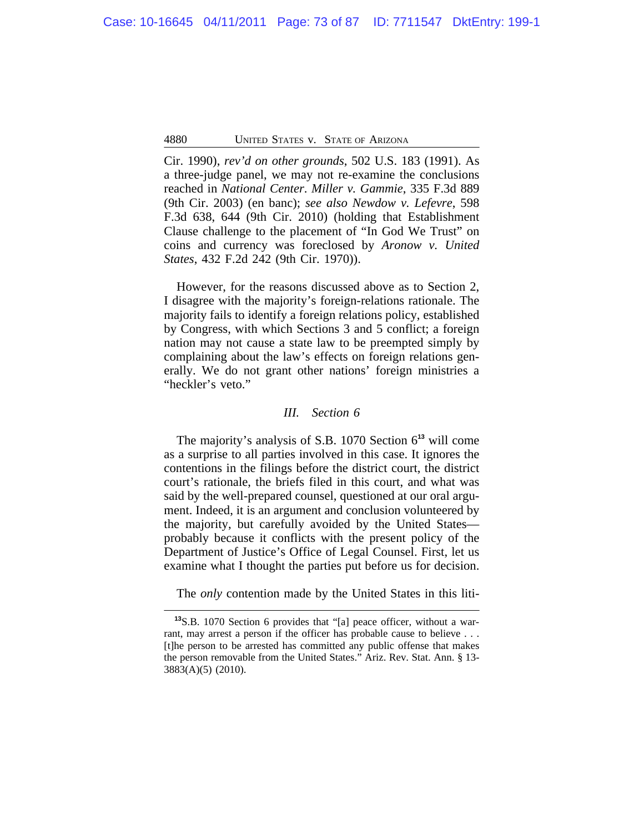Cir. 1990), *rev'd on other grounds*, 502 U.S. 183 (1991). As a three-judge panel, we may not re-examine the conclusions reached in *National Center*. *Miller v. Gammie*, 335 F.3d 889 (9th Cir. 2003) (en banc); *see also Newdow v. Lefevre*, 598 F.3d 638, 644 (9th Cir. 2010) (holding that Establishment Clause challenge to the placement of "In God We Trust" on coins and currency was foreclosed by *Aronow v. United States*, 432 F.2d 242 (9th Cir. 1970)).

However, for the reasons discussed above as to Section 2, I disagree with the majority's foreign-relations rationale. The majority fails to identify a foreign relations policy, established by Congress, with which Sections 3 and 5 conflict; a foreign nation may not cause a state law to be preempted simply by complaining about the law's effects on foreign relations generally. We do not grant other nations' foreign ministries a "heckler's veto."

#### *III. Section 6*

The majority's analysis of S.B. 1070 Section 6**<sup>13</sup>** will come as a surprise to all parties involved in this case. It ignores the contentions in the filings before the district court, the district court's rationale, the briefs filed in this court, and what was said by the well-prepared counsel, questioned at our oral argument. Indeed, it is an argument and conclusion volunteered by the majority, but carefully avoided by the United States probably because it conflicts with the present policy of the Department of Justice's Office of Legal Counsel. First, let us examine what I thought the parties put before us for decision.

The *only* contention made by the United States in this liti-

**<sup>13</sup>**S.B. 1070 Section 6 provides that "[a] peace officer, without a warrant, may arrest a person if the officer has probable cause to believe . . . [t]he person to be arrested has committed any public offense that makes the person removable from the United States." Ariz. Rev. Stat. Ann. § 13- 3883(A)(5) (2010).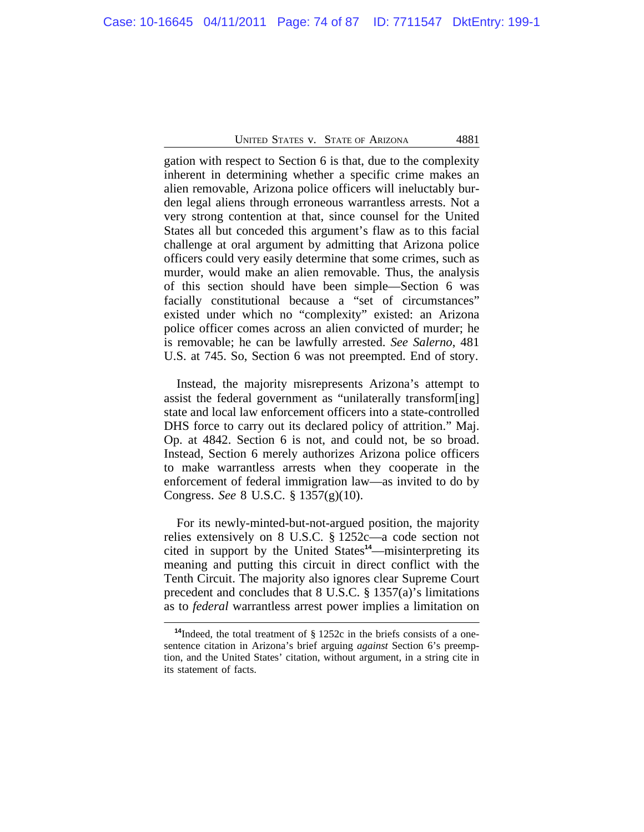gation with respect to Section 6 is that, due to the complexity inherent in determining whether a specific crime makes an alien removable, Arizona police officers will ineluctably burden legal aliens through erroneous warrantless arrests. Not a very strong contention at that, since counsel for the United States all but conceded this argument's flaw as to this facial challenge at oral argument by admitting that Arizona police officers could very easily determine that some crimes, such as murder, would make an alien removable. Thus, the analysis of this section should have been simple—Section 6 was facially constitutional because a "set of circumstances" existed under which no "complexity" existed: an Arizona police officer comes across an alien convicted of murder; he is removable; he can be lawfully arrested. *See Salerno*, 481 U.S. at 745. So, Section 6 was not preempted. End of story.

Instead, the majority misrepresents Arizona's attempt to assist the federal government as "unilaterally transform[ing] state and local law enforcement officers into a state-controlled DHS force to carry out its declared policy of attrition." Maj. Op. at 4842. Section 6 is not, and could not, be so broad. Instead, Section 6 merely authorizes Arizona police officers to make warrantless arrests when they cooperate in the enforcement of federal immigration law—as invited to do by Congress. *See* 8 U.S.C. § 1357(g)(10).

For its newly-minted-but-not-argued position, the majority relies extensively on 8 U.S.C. § 1252c—a code section not cited in support by the United States**<sup>14</sup>**—misinterpreting its meaning and putting this circuit in direct conflict with the Tenth Circuit. The majority also ignores clear Supreme Court precedent and concludes that 8 U.S.C. § 1357(a)'s limitations as to *federal* warrantless arrest power implies a limitation on

**<sup>14</sup>**Indeed, the total treatment of § 1252c in the briefs consists of a onesentence citation in Arizona's brief arguing *against* Section 6's preemption, and the United States' citation, without argument, in a string cite in its statement of facts.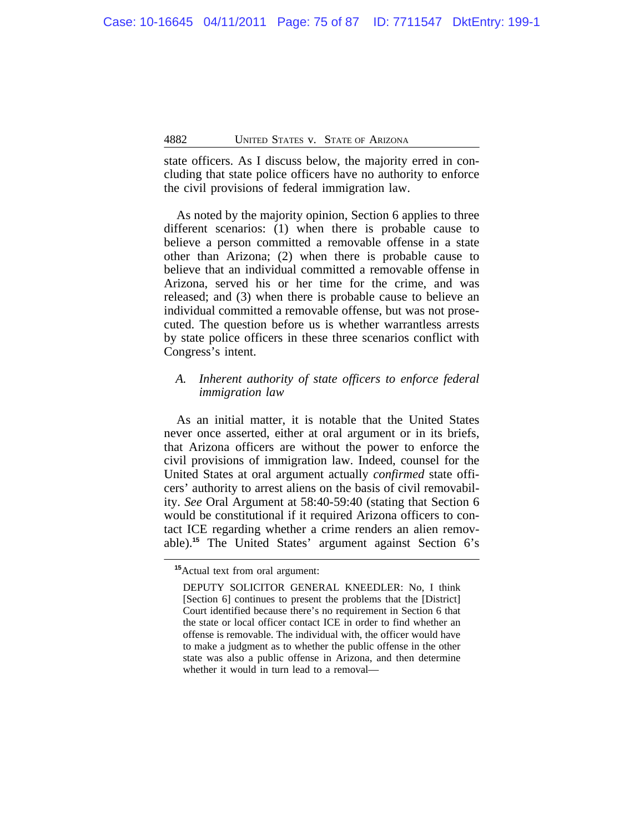state officers. As I discuss below, the majority erred in concluding that state police officers have no authority to enforce the civil provisions of federal immigration law.

As noted by the majority opinion, Section 6 applies to three different scenarios: (1) when there is probable cause to believe a person committed a removable offense in a state other than Arizona; (2) when there is probable cause to believe that an individual committed a removable offense in Arizona, served his or her time for the crime, and was released; and (3) when there is probable cause to believe an individual committed a removable offense, but was not prosecuted. The question before us is whether warrantless arrests by state police officers in these three scenarios conflict with Congress's intent.

# *A. Inherent authority of state officers to enforce federal immigration law*

As an initial matter, it is notable that the United States never once asserted, either at oral argument or in its briefs, that Arizona officers are without the power to enforce the civil provisions of immigration law. Indeed, counsel for the United States at oral argument actually *confirmed* state officers' authority to arrest aliens on the basis of civil removability. *See* Oral Argument at 58:40-59:40 (stating that Section 6 would be constitutional if it required Arizona officers to contact ICE regarding whether a crime renders an alien removable).**<sup>15</sup>** The United States' argument against Section 6's

**<sup>15</sup>**Actual text from oral argument:

DEPUTY SOLICITOR GENERAL KNEEDLER: No, I think [Section 6] continues to present the problems that the [District] Court identified because there's no requirement in Section 6 that the state or local officer contact ICE in order to find whether an offense is removable. The individual with, the officer would have to make a judgment as to whether the public offense in the other state was also a public offense in Arizona, and then determine whether it would in turn lead to a removal—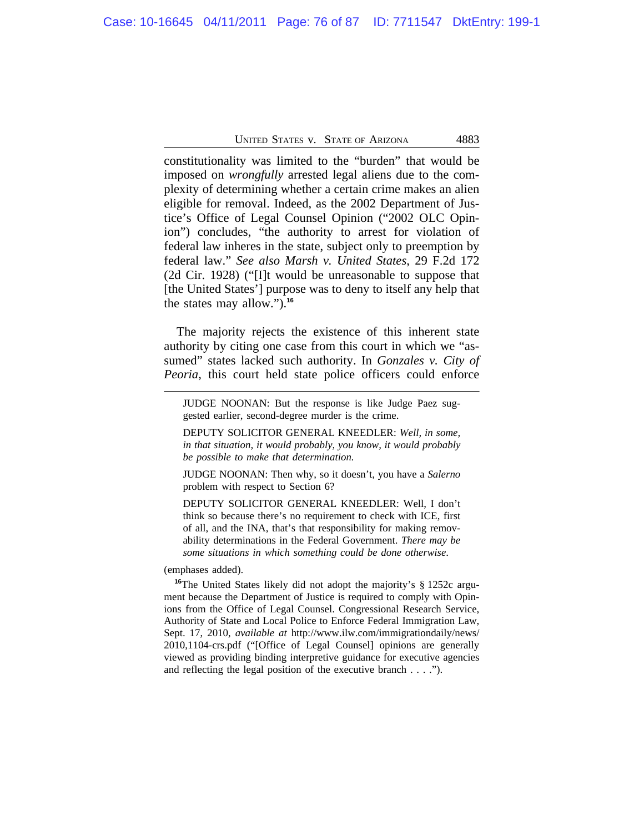constitutionality was limited to the "burden" that would be imposed on *wrongfully* arrested legal aliens due to the complexity of determining whether a certain crime makes an alien eligible for removal. Indeed, as the 2002 Department of Justice's Office of Legal Counsel Opinion ("2002 OLC Opinion") concludes, "the authority to arrest for violation of federal law inheres in the state, subject only to preemption by federal law." *See also Marsh v. United States*, 29 F.2d 172 (2d Cir. 1928) ("[I]t would be unreasonable to suppose that [the United States'] purpose was to deny to itself any help that the states may allow.").**<sup>16</sup>**

The majority rejects the existence of this inherent state authority by citing one case from this court in which we "assumed" states lacked such authority. In *Gonzales v. City of Peoria*, this court held state police officers could enforce

JUDGE NOONAN: But the response is like Judge Paez suggested earlier, second-degree murder is the crime.

DEPUTY SOLICITOR GENERAL KNEEDLER: *Well, in some, in that situation, it would probably, you know, it would probably be possible to make that determination.*

JUDGE NOONAN: Then why, so it doesn't, you have a *Salerno* problem with respect to Section 6?

DEPUTY SOLICITOR GENERAL KNEEDLER: Well, I don't think so because there's no requirement to check with ICE, first of all, and the INA, that's that responsibility for making removability determinations in the Federal Government. *There may be some situations in which something could be done otherwise*.

#### (emphases added).

**<sup>16</sup>**The United States likely did not adopt the majority's § 1252c argument because the Department of Justice is required to comply with Opinions from the Office of Legal Counsel. Congressional Research Service, Authority of State and Local Police to Enforce Federal Immigration Law, Sept. 17, 2010, *available at* http://www.ilw.com/immigrationdaily/news/ 2010,1104-crs.pdf ("[Office of Legal Counsel] opinions are generally viewed as providing binding interpretive guidance for executive agencies and reflecting the legal position of the executive branch . . . .").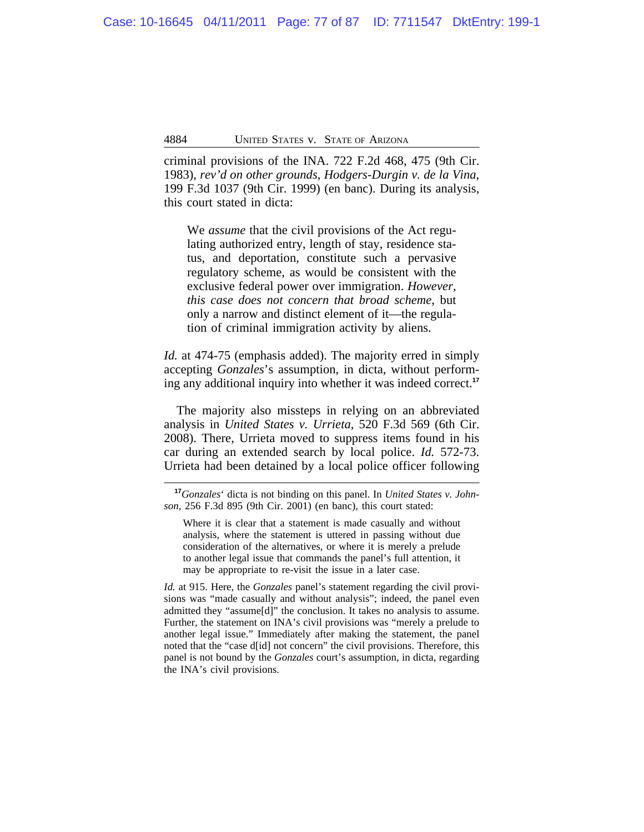criminal provisions of the INA. 722 F.2d 468, 475 (9th Cir. 1983), *rev'd on other grounds*, *Hodgers-Durgin v. de la Vina*, 199 F.3d 1037 (9th Cir. 1999) (en banc). During its analysis, this court stated in dicta:

We *assume* that the civil provisions of the Act regulating authorized entry, length of stay, residence status, and deportation, constitute such a pervasive regulatory scheme, as would be consistent with the exclusive federal power over immigration. *However, this case does not concern that broad scheme*, but only a narrow and distinct element of it—the regulation of criminal immigration activity by aliens.

*Id.* at 474-75 (emphasis added). The majority erred in simply accepting *Gonzales*'s assumption, in dicta, without performing any additional inquiry into whether it was indeed correct.**<sup>17</sup>**

The majority also missteps in relying on an abbreviated analysis in *United States v. Urrieta*, 520 F.3d 569 (6th Cir. 2008). There, Urrieta moved to suppress items found in his car during an extended search by local police. *Id.* 572-73. Urrieta had been detained by a local police officer following

*Id.* at 915. Here, the *Gonzales* panel's statement regarding the civil provisions was "made casually and without analysis"; indeed, the panel even admitted they "assume[d]" the conclusion. It takes no analysis to assume. Further, the statement on INA's civil provisions was "merely a prelude to another legal issue." Immediately after making the statement, the panel noted that the "case d[id] not concern" the civil provisions. Therefore, this panel is not bound by the *Gonzales* court's assumption, in dicta, regarding the INA's civil provisions.

**<sup>17</sup>***Gonzales*' dicta is not binding on this panel. In *United States v. Johnson*, 256 F.3d 895 (9th Cir. 2001) (en banc), this court stated:

Where it is clear that a statement is made casually and without analysis, where the statement is uttered in passing without due consideration of the alternatives, or where it is merely a prelude to another legal issue that commands the panel's full attention, it may be appropriate to re-visit the issue in a later case.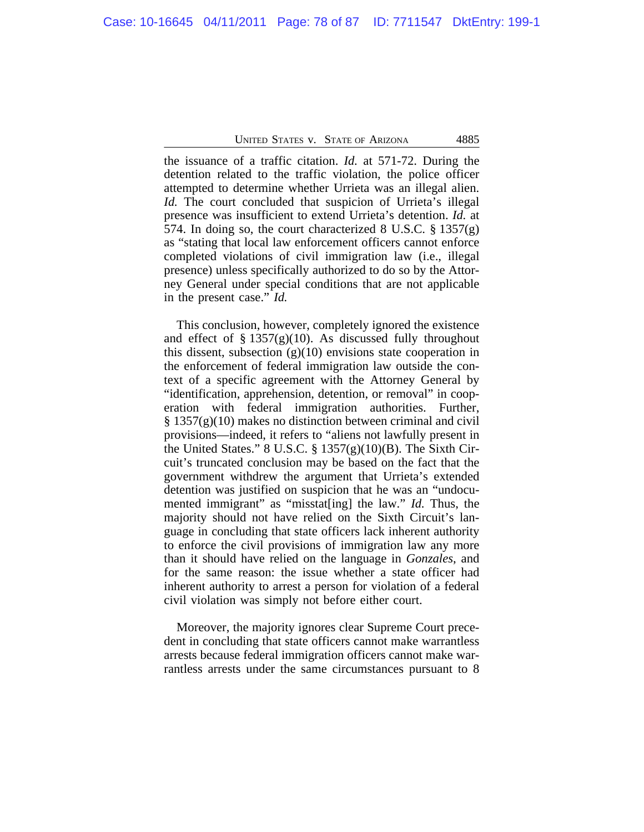the issuance of a traffic citation. *Id.* at 571-72. During the detention related to the traffic violation, the police officer attempted to determine whether Urrieta was an illegal alien. *Id.* The court concluded that suspicion of Urrieta's illegal presence was insufficient to extend Urrieta's detention. *Id.* at 574. In doing so, the court characterized 8 U.S.C.  $\S 1357(g)$ as "stating that local law enforcement officers cannot enforce completed violations of civil immigration law (i.e., illegal presence) unless specifically authorized to do so by the Attorney General under special conditions that are not applicable in the present case." *Id.*

This conclusion, however, completely ignored the existence and effect of  $\S 1357(g)(10)$ . As discussed fully throughout this dissent, subsection  $(g)(10)$  envisions state cooperation in the enforcement of federal immigration law outside the context of a specific agreement with the Attorney General by "identification, apprehension, detention, or removal" in cooperation with federal immigration authorities. Further,  $\S 1357(g)(10)$  makes no distinction between criminal and civil provisions—indeed, it refers to "aliens not lawfully present in the United States." 8 U.S.C.  $\S 1357(g)(10)(B)$ . The Sixth Circuit's truncated conclusion may be based on the fact that the government withdrew the argument that Urrieta's extended detention was justified on suspicion that he was an "undocumented immigrant" as "misstat[ing] the law." *Id.* Thus, the majority should not have relied on the Sixth Circuit's language in concluding that state officers lack inherent authority to enforce the civil provisions of immigration law any more than it should have relied on the language in *Gonzales*, and for the same reason: the issue whether a state officer had inherent authority to arrest a person for violation of a federal civil violation was simply not before either court.

Moreover, the majority ignores clear Supreme Court precedent in concluding that state officers cannot make warrantless arrests because federal immigration officers cannot make warrantless arrests under the same circumstances pursuant to 8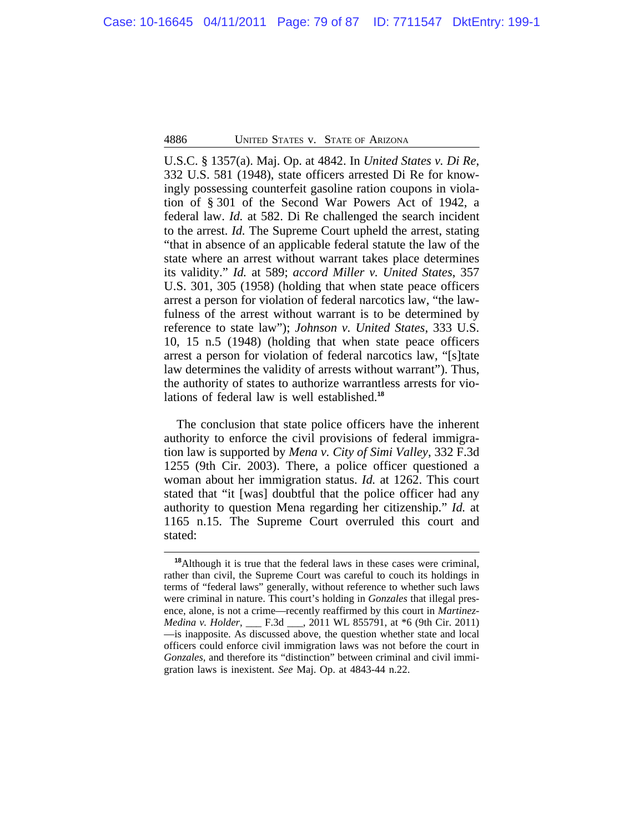U.S.C. § 1357(a). Maj. Op. at 4842. In *United States v. Di Re*, 332 U.S. 581 (1948), state officers arrested Di Re for knowingly possessing counterfeit gasoline ration coupons in violation of § 301 of the Second War Powers Act of 1942, a federal law. *Id.* at 582. Di Re challenged the search incident to the arrest. *Id.* The Supreme Court upheld the arrest, stating "that in absence of an applicable federal statute the law of the state where an arrest without warrant takes place determines its validity." *Id.* at 589; *accord Miller v. United States*, 357 U.S. 301, 305 (1958) (holding that when state peace officers arrest a person for violation of federal narcotics law, "the lawfulness of the arrest without warrant is to be determined by reference to state law"); *Johnson v. United States*, 333 U.S. 10, 15 n.5 (1948) (holding that when state peace officers arrest a person for violation of federal narcotics law, "[s]tate law determines the validity of arrests without warrant"). Thus, the authority of states to authorize warrantless arrests for violations of federal law is well established.**<sup>18</sup>**

The conclusion that state police officers have the inherent authority to enforce the civil provisions of federal immigration law is supported by *Mena v. City of Simi Valley*, 332 F.3d 1255 (9th Cir. 2003). There, a police officer questioned a woman about her immigration status. *Id.* at 1262. This court stated that "it [was] doubtful that the police officer had any authority to question Mena regarding her citizenship." *Id.* at 1165 n.15. The Supreme Court overruled this court and stated:

**<sup>18</sup>**Although it is true that the federal laws in these cases were criminal, rather than civil, the Supreme Court was careful to couch its holdings in terms of "federal laws" generally, without reference to whether such laws were criminal in nature. This court's holding in *Gonzales* that illegal presence, alone, is not a crime—recently reaffirmed by this court in *Martinez-Medina v. Holder*, \_\_\_ F.3d \_\_\_, 2011 WL 855791, at \*6 (9th Cir. 2011) —is inapposite. As discussed above, the question whether state and local officers could enforce civil immigration laws was not before the court in *Gonzales*, and therefore its "distinction" between criminal and civil immigration laws is inexistent. *See* Maj. Op. at 4843-44 n.22.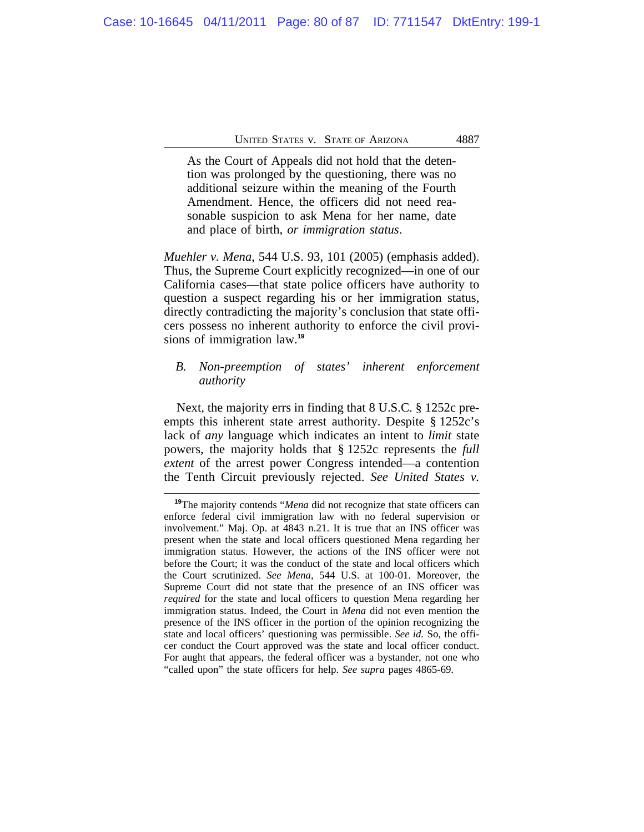As the Court of Appeals did not hold that the detention was prolonged by the questioning, there was no additional seizure within the meaning of the Fourth Amendment. Hence, the officers did not need reasonable suspicion to ask Mena for her name, date and place of birth, *or immigration status*.

*Muehler v. Mena*, 544 U.S. 93, 101 (2005) (emphasis added). Thus, the Supreme Court explicitly recognized—in one of our California cases—that state police officers have authority to question a suspect regarding his or her immigration status, directly contradicting the majority's conclusion that state officers possess no inherent authority to enforce the civil provisions of immigration law.**<sup>19</sup>**

# *B. Non-preemption of states' inherent enforcement authority*

Next, the majority errs in finding that 8 U.S.C. § 1252c preempts this inherent state arrest authority. Despite § 1252c's lack of *any* language which indicates an intent to *limit* state powers, the majority holds that § 1252c represents the *full extent* of the arrest power Congress intended—a contention the Tenth Circuit previously rejected. *See United States v.*

**<sup>19</sup>**The majority contends "*Mena* did not recognize that state officers can enforce federal civil immigration law with no federal supervision or involvement." Maj. Op. at 4843 n.21. It is true that an INS officer was present when the state and local officers questioned Mena regarding her immigration status. However, the actions of the INS officer were not before the Court; it was the conduct of the state and local officers which the Court scrutinized. *See Mena*, 544 U.S. at 100-01. Moreover, the Supreme Court did not state that the presence of an INS officer was *required* for the state and local officers to question Mena regarding her immigration status. Indeed, the Court in *Mena* did not even mention the presence of the INS officer in the portion of the opinion recognizing the state and local officers' questioning was permissible. *See id.* So, the officer conduct the Court approved was the state and local officer conduct. For aught that appears, the federal officer was a bystander, not one who "called upon" the state officers for help. *See supra* pages 4865-69.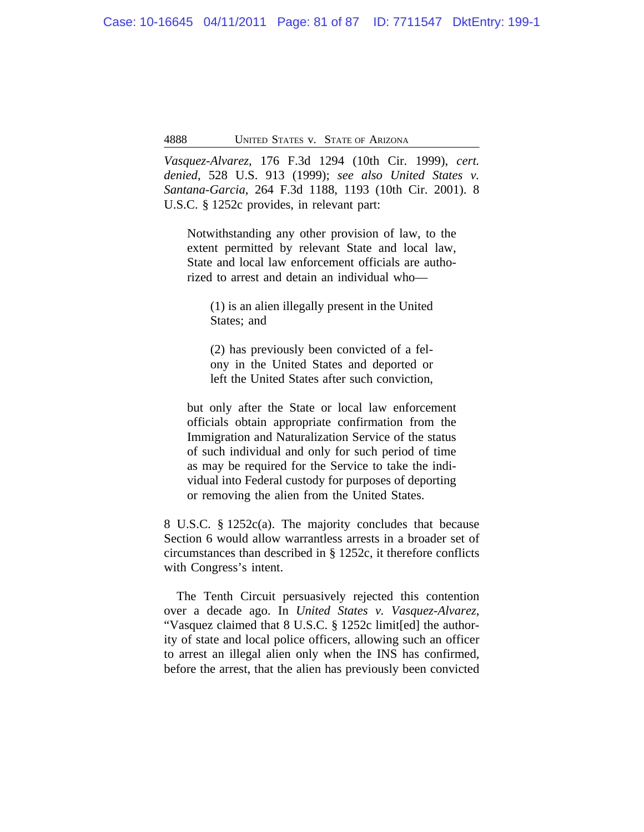*Vasquez-Alvarez*, 176 F.3d 1294 (10th Cir. 1999), *cert. denied*, 528 U.S. 913 (1999); *see also United States v. Santana-Garcia*, 264 F.3d 1188, 1193 (10th Cir. 2001). 8 U.S.C. § 1252c provides, in relevant part:

Notwithstanding any other provision of law, to the extent permitted by relevant State and local law, State and local law enforcement officials are authorized to arrest and detain an individual who—

(1) is an alien illegally present in the United States; and

(2) has previously been convicted of a felony in the United States and deported or left the United States after such conviction,

but only after the State or local law enforcement officials obtain appropriate confirmation from the Immigration and Naturalization Service of the status of such individual and only for such period of time as may be required for the Service to take the individual into Federal custody for purposes of deporting or removing the alien from the United States.

8 U.S.C. § 1252c(a). The majority concludes that because Section 6 would allow warrantless arrests in a broader set of circumstances than described in § 1252c, it therefore conflicts with Congress's intent.

The Tenth Circuit persuasively rejected this contention over a decade ago. In *United States v. Vasquez-Alvarez*, "Vasquez claimed that 8 U.S.C. § 1252c limit[ed] the authority of state and local police officers, allowing such an officer to arrest an illegal alien only when the INS has confirmed, before the arrest, that the alien has previously been convicted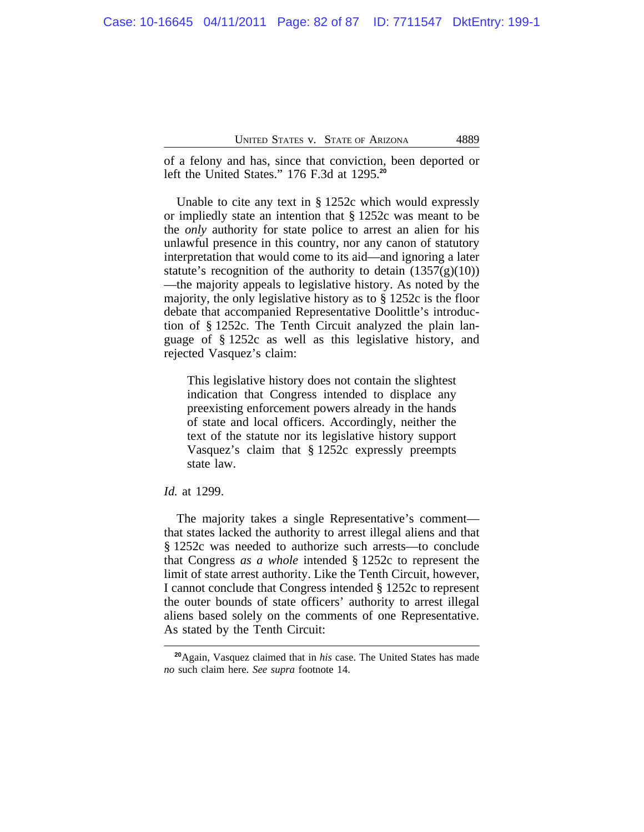of a felony and has, since that conviction, been deported or left the United States." 176 F.3d at 1295.**<sup>20</sup>**

Unable to cite any text in § 1252c which would expressly or impliedly state an intention that § 1252c was meant to be the *only* authority for state police to arrest an alien for his unlawful presence in this country, nor any canon of statutory interpretation that would come to its aid—and ignoring a later statute's recognition of the authority to detain  $(1357(g)(10))$ —the majority appeals to legislative history. As noted by the majority, the only legislative history as to § 1252c is the floor debate that accompanied Representative Doolittle's introduction of § 1252c. The Tenth Circuit analyzed the plain language of § 1252c as well as this legislative history, and rejected Vasquez's claim:

This legislative history does not contain the slightest indication that Congress intended to displace any preexisting enforcement powers already in the hands of state and local officers. Accordingly, neither the text of the statute nor its legislative history support Vasquez's claim that § 1252c expressly preempts state law.

### *Id.* at 1299.

The majority takes a single Representative's comment that states lacked the authority to arrest illegal aliens and that § 1252c was needed to authorize such arrests—to conclude that Congress *as a whole* intended § 1252c to represent the limit of state arrest authority. Like the Tenth Circuit, however, I cannot conclude that Congress intended § 1252c to represent the outer bounds of state officers' authority to arrest illegal aliens based solely on the comments of one Representative. As stated by the Tenth Circuit:

**<sup>20</sup>**Again, Vasquez claimed that in *his* case. The United States has made *no* such claim here. *See supra* footnote 14.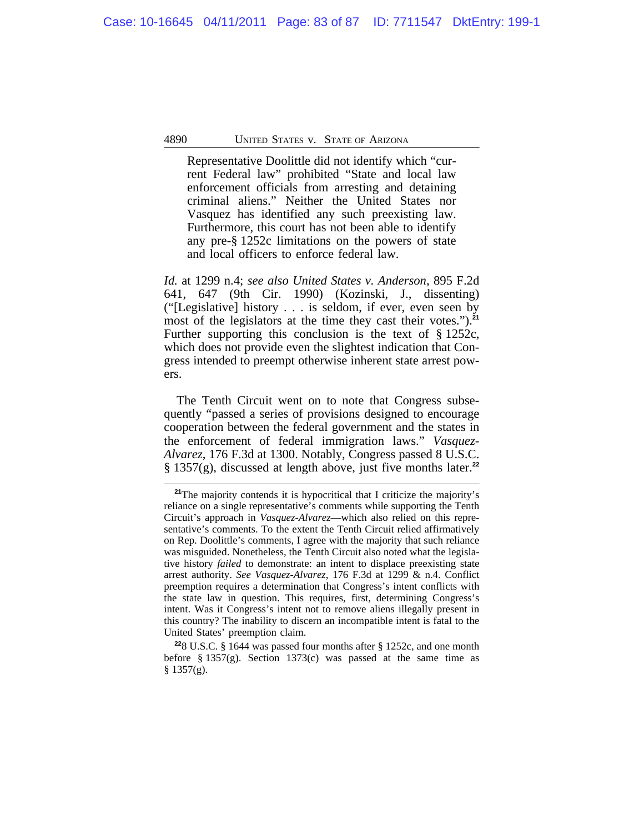Representative Doolittle did not identify which "current Federal law" prohibited "State and local law enforcement officials from arresting and detaining criminal aliens." Neither the United States nor Vasquez has identified any such preexisting law. Furthermore, this court has not been able to identify any pre-§ 1252c limitations on the powers of state and local officers to enforce federal law.

*Id.* at 1299 n.4; *see also United States v. Anderson*, 895 F.2d 641, 647 (9th Cir. 1990) (Kozinski, J., dissenting) ("[Legislative] history . . . is seldom, if ever, even seen by most of the legislators at the time they cast their votes.").**<sup>21</sup>** Further supporting this conclusion is the text of § 1252c, which does not provide even the slightest indication that Congress intended to preempt otherwise inherent state arrest powers.

The Tenth Circuit went on to note that Congress subsequently "passed a series of provisions designed to encourage cooperation between the federal government and the states in the enforcement of federal immigration laws." *Vasquez-Alvarez*, 176 F.3d at 1300. Notably, Congress passed 8 U.S.C. § 1357(g), discussed at length above, just five months later.**<sup>22</sup>**

<sup>&</sup>lt;sup>21</sup>The majority contends it is hypocritical that I criticize the majority's reliance on a single representative's comments while supporting the Tenth Circuit's approach in *Vasquez-Alvarez*—which also relied on this representative's comments. To the extent the Tenth Circuit relied affirmatively on Rep. Doolittle's comments, I agree with the majority that such reliance was misguided. Nonetheless, the Tenth Circuit also noted what the legislative history *failed* to demonstrate: an intent to displace preexisting state arrest authority. *See Vasquez-Alvarez*, 176 F.3d at 1299 & n.4. Conflict preemption requires a determination that Congress's intent conflicts with the state law in question. This requires, first, determining Congress's intent. Was it Congress's intent not to remove aliens illegally present in this country? The inability to discern an incompatible intent is fatal to the United States' preemption claim.

**<sup>22</sup>**8 U.S.C. § 1644 was passed four months after § 1252c, and one month before  $\S 1357(g)$ . Section 1373(c) was passed at the same time as  $§$  1357(g).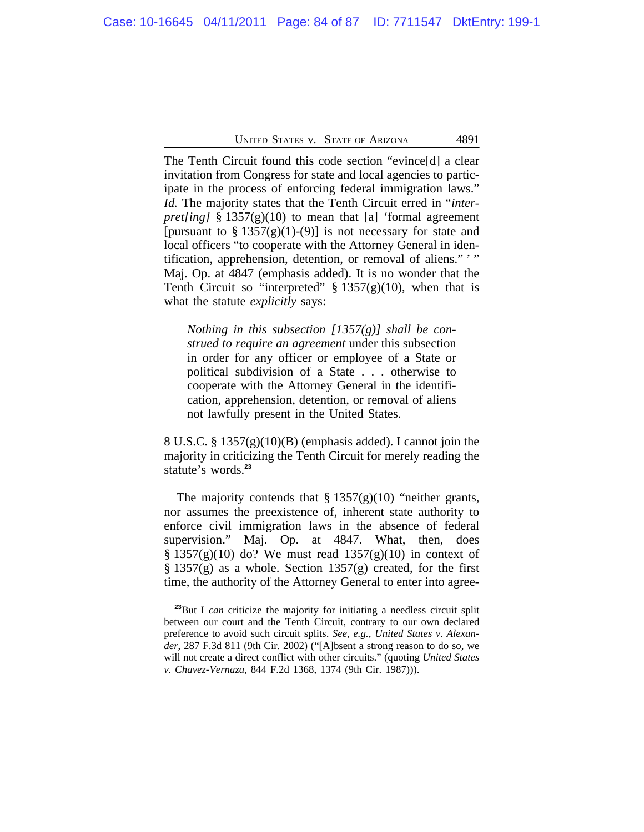The Tenth Circuit found this code section "evince[d] a clear invitation from Congress for state and local agencies to participate in the process of enforcing federal immigration laws." *Id.* The majority states that the Tenth Circuit erred in "*interpret[ing]* § 1357(g)(10) to mean that [a] 'formal agreement [pursuant to  $\S 1357(g)(1)-(9)$ ] is not necessary for state and local officers "to cooperate with the Attorney General in identification, apprehension, detention, or removal of aliens." ' " Maj. Op. at 4847 (emphasis added). It is no wonder that the Tenth Circuit so "interpreted"  $\S 1357(g)(10)$ , when that is what the statute *explicitly* says:

*Nothing in this subsection [1357(g)] shall be construed to require an agreement* under this subsection in order for any officer or employee of a State or political subdivision of a State . . . otherwise to cooperate with the Attorney General in the identification, apprehension, detention, or removal of aliens not lawfully present in the United States.

8 U.S.C. § 1357(g)(10)(B) (emphasis added). I cannot join the majority in criticizing the Tenth Circuit for merely reading the statute's words.**<sup>23</sup>**

The majority contends that  $\S 1357(g)(10)$  "neither grants, nor assumes the preexistence of, inherent state authority to enforce civil immigration laws in the absence of federal supervision." Maj. Op. at 4847. What, then, does  $§ 1357(g)(10)$  do? We must read  $1357(g)(10)$  in context of  $\S 1357(g)$  as a whole. Section  $1357(g)$  created, for the first time, the authority of the Attorney General to enter into agree-

**<sup>23</sup>**But I *can* criticize the majority for initiating a needless circuit split between our court and the Tenth Circuit, contrary to our own declared preference to avoid such circuit splits. *See, e.g.*, *United States v. Alexander*, 287 F.3d 811 (9th Cir. 2002) ("[A]bsent a strong reason to do so, we will not create a direct conflict with other circuits." (quoting *United States v. Chavez-Vernaza*, 844 F.2d 1368, 1374 (9th Cir. 1987))).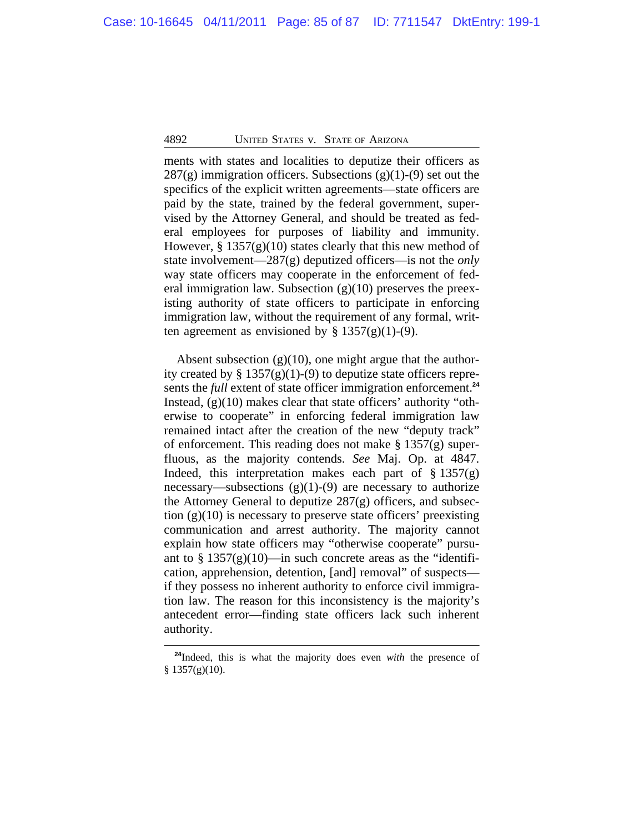ments with states and localities to deputize their officers as  $287(g)$  immigration officers. Subsections  $(g)(1)-(9)$  set out the specifics of the explicit written agreements—state officers are paid by the state, trained by the federal government, supervised by the Attorney General, and should be treated as federal employees for purposes of liability and immunity. However,  $\S 1357(g)(10)$  states clearly that this new method of state involvement—287(g) deputized officers—is not the *only* way state officers may cooperate in the enforcement of federal immigration law. Subsection  $(g)(10)$  preserves the preexisting authority of state officers to participate in enforcing immigration law, without the requirement of any formal, written agreement as envisioned by  $\S 1357(g)(1)-(9)$ .

Absent subsection  $(g)(10)$ , one might argue that the authority created by  $\S 1357(g)(1)-(9)$  to deputize state officers represents the *full* extent of state officer immigration enforcement.**<sup>24</sup>** Instead, (g)(10) makes clear that state officers' authority "otherwise to cooperate" in enforcing federal immigration law remained intact after the creation of the new "deputy track" of enforcement. This reading does not make § 1357(g) superfluous, as the majority contends. *See* Maj. Op. at 4847. Indeed, this interpretation makes each part of  $\S 1357(g)$ necessary—subsections  $(g)(1)-(9)$  are necessary to authorize the Attorney General to deputize 287(g) officers, and subsection  $(g)(10)$  is necessary to preserve state officers' preexisting communication and arrest authority. The majority cannot explain how state officers may "otherwise cooperate" pursuant to §  $1357(g)(10)$ —in such concrete areas as the "identification, apprehension, detention, [and] removal" of suspects if they possess no inherent authority to enforce civil immigration law. The reason for this inconsistency is the majority's antecedent error—finding state officers lack such inherent authority.

**<sup>24</sup>**Indeed, this is what the majority does even *with* the presence of § 1357(g)(10).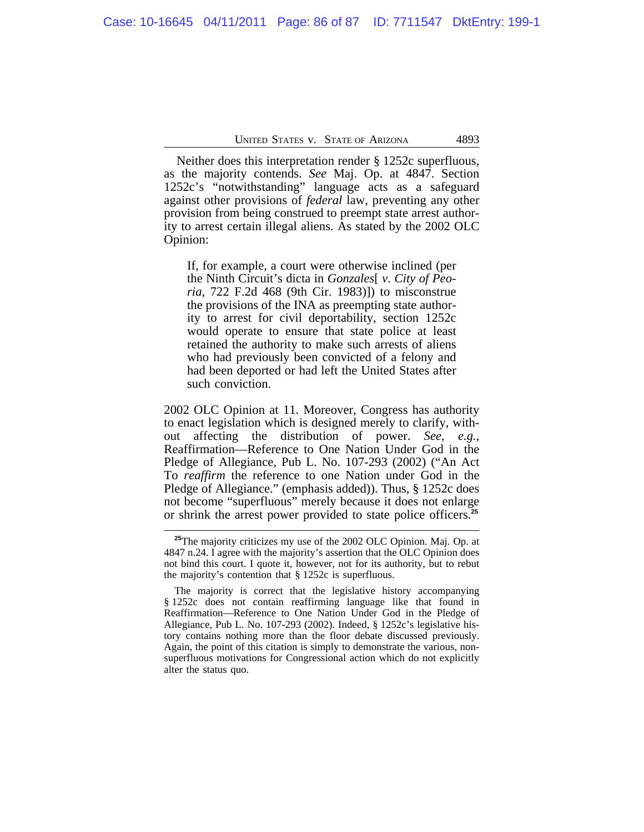Neither does this interpretation render § 1252c superfluous, as the majority contends. *See* Maj. Op. at 4847. Section 1252c's "notwithstanding" language acts as a safeguard against other provisions of *federal* law, preventing any other provision from being construed to preempt state arrest authority to arrest certain illegal aliens. As stated by the 2002 OLC Opinion:

If, for example, a court were otherwise inclined (per the Ninth Circuit's dicta in *Gonzales*[ *v. City of Peoria*, 722 F.2d 468 (9th Cir. 1983)]) to misconstrue the provisions of the INA as preempting state authority to arrest for civil deportability, section 1252c would operate to ensure that state police at least retained the authority to make such arrests of aliens who had previously been convicted of a felony and had been deported or had left the United States after such conviction.

2002 OLC Opinion at 11. Moreover, Congress has authority to enact legislation which is designed merely to clarify, without affecting the distribution of power. *See, e.g.*, Reaffirmation—Reference to One Nation Under God in the Pledge of Allegiance, Pub L. No. 107-293 (2002) ("An Act To *reaffirm* the reference to one Nation under God in the Pledge of Allegiance." (emphasis added)). Thus, § 1252c does not become "superfluous" merely because it does not enlarge or shrink the arrest power provided to state police officers.**<sup>25</sup>**

**<sup>25</sup>**The majority criticizes my use of the 2002 OLC Opinion. Maj. Op. at 4847 n.24. I agree with the majority's assertion that the OLC Opinion does not bind this court. I quote it, however, not for its authority, but to rebut the majority's contention that § 1252c is superfluous.

The majority is correct that the legislative history accompanying § 1252c does not contain reaffirming language like that found in Reaffirmation—Reference to One Nation Under God in the Pledge of Allegiance, Pub L. No. 107-293 (2002). Indeed, § 1252c's legislative history contains nothing more than the floor debate discussed previously. Again, the point of this citation is simply to demonstrate the various, nonsuperfluous motivations for Congressional action which do not explicitly alter the status quo.